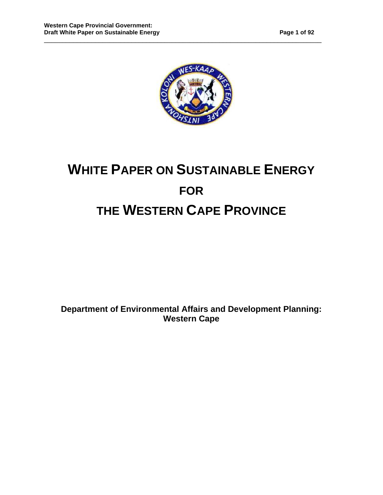

# **WHITE PAPER ON SUSTAINABLE ENERGY FOR THE WESTERN CAPE PROVINCE**

**Department of Environmental Affairs and Development Planning: Western Cape**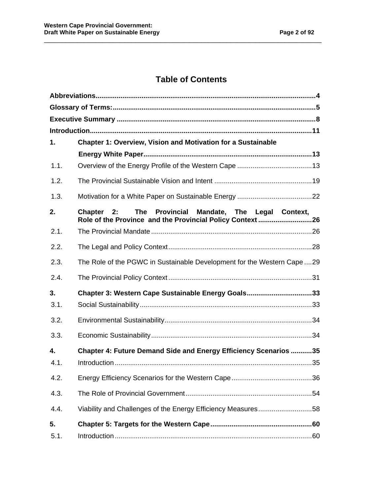# **Table of Contents**

\_\_\_\_\_\_\_\_\_\_\_\_\_\_\_\_\_\_\_\_\_\_\_\_\_\_\_\_\_\_\_\_\_\_\_\_\_\_\_\_\_\_\_\_\_\_\_\_\_\_\_\_\_\_\_\_\_\_\_\_\_\_\_\_\_\_\_\_\_\_\_\_\_\_\_\_

| 1.   | <b>Chapter 1: Overview, Vision and Motivation for a Sustainable</b>                                                   |  |
|------|-----------------------------------------------------------------------------------------------------------------------|--|
|      |                                                                                                                       |  |
| 1.1. |                                                                                                                       |  |
| 1.2. |                                                                                                                       |  |
| 1.3. |                                                                                                                       |  |
| 2.   | The Provincial Mandate, The Legal Context,<br>Chapter 2:<br>Role of the Province and the Provincial Policy Context 26 |  |
| 2.1. |                                                                                                                       |  |
| 2.2. |                                                                                                                       |  |
| 2.3. | The Role of the PGWC in Sustainable Development for the Western Cape 29                                               |  |
| 2.4. |                                                                                                                       |  |
| 3.   | Chapter 3: Western Cape Sustainable Energy Goals33                                                                    |  |
| 3.1. |                                                                                                                       |  |
| 3.2. |                                                                                                                       |  |
| 3.3. |                                                                                                                       |  |
| 4.   | Chapter 4: Future Demand Side and Energy Efficiency Scenarios 35                                                      |  |
| 4.1. |                                                                                                                       |  |
| 4.2. |                                                                                                                       |  |
| 4.3. |                                                                                                                       |  |
| 4.4. | Viability and Challenges of the Energy Efficiency Measures58                                                          |  |
| 5.   |                                                                                                                       |  |
| 5.1. |                                                                                                                       |  |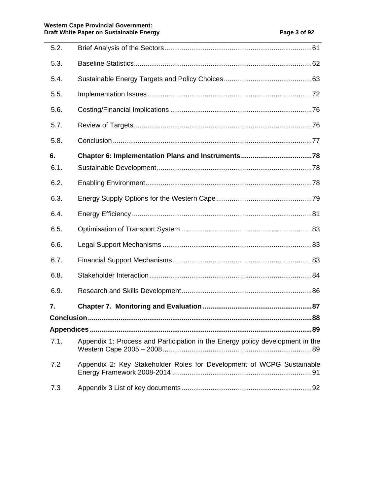| 5.2.       |                                                                               |  |
|------------|-------------------------------------------------------------------------------|--|
| 5.3.       |                                                                               |  |
| 5.4.       |                                                                               |  |
| 5.5.       |                                                                               |  |
| 5.6.       |                                                                               |  |
| 5.7.       |                                                                               |  |
| 5.8.       |                                                                               |  |
| 6.         |                                                                               |  |
| 6.1.       |                                                                               |  |
|            |                                                                               |  |
| 6.2.       |                                                                               |  |
| 6.3.       |                                                                               |  |
| 6.4.       |                                                                               |  |
| 6.5.       |                                                                               |  |
| 6.6.       |                                                                               |  |
| 6.7.       |                                                                               |  |
| 6.8.       |                                                                               |  |
| 6.9.       |                                                                               |  |
| 7.         |                                                                               |  |
| Conclusion | 88                                                                            |  |
|            |                                                                               |  |
| 7.1.       | Appendix 1: Process and Participation in the Energy policy development in the |  |
| 7.2        | Appendix 2: Key Stakeholder Roles for Development of WCPG Sustainable         |  |
| 7.3        |                                                                               |  |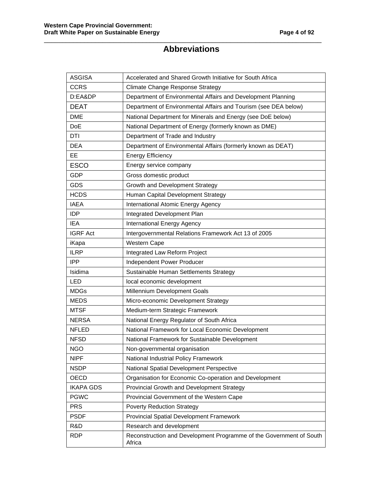# **Abbreviations**

\_\_\_\_\_\_\_\_\_\_\_\_\_\_\_\_\_\_\_\_\_\_\_\_\_\_\_\_\_\_\_\_\_\_\_\_\_\_\_\_\_\_\_\_\_\_\_\_\_\_\_\_\_\_\_\_\_\_\_\_\_\_\_\_\_\_\_\_\_\_\_\_\_\_\_\_

| <b>ASGISA</b>    | Accelerated and Shared Growth Initiative for South Africa                     |  |
|------------------|-------------------------------------------------------------------------------|--|
| <b>CCRS</b>      | <b>Climate Change Response Strategy</b>                                       |  |
| D:EA&DP          | Department of Environmental Affairs and Development Planning                  |  |
| <b>DEAT</b>      | Department of Environmental Affairs and Tourism (see DEA below)               |  |
| <b>DME</b>       | National Department for Minerals and Energy (see DoE below)                   |  |
| <b>DoE</b>       | National Department of Energy (formerly known as DME)                         |  |
| DTI              | Department of Trade and Industry                                              |  |
| <b>DEA</b>       | Department of Environmental Affairs (formerly known as DEAT)                  |  |
| EE               | <b>Energy Efficiency</b>                                                      |  |
| <b>ESCO</b>      | Energy service company                                                        |  |
| <b>GDP</b>       | Gross domestic product                                                        |  |
| <b>GDS</b>       | Growth and Development Strategy                                               |  |
| <b>HCDS</b>      | Human Capital Development Strategy                                            |  |
| <b>IAEA</b>      | International Atomic Energy Agency                                            |  |
| <b>IDP</b>       | Integrated Development Plan                                                   |  |
| <b>IEA</b>       | International Energy Agency                                                   |  |
| <b>IGRF Act</b>  | Intergovernmental Relations Framework Act 13 of 2005                          |  |
| iKapa            | Western Cape                                                                  |  |
| <b>ILRP</b>      | Integrated Law Reform Project                                                 |  |
| <b>IPP</b>       | Independent Power Producer                                                    |  |
| Isidima          | Sustainable Human Settlements Strategy                                        |  |
| LED              | local economic development                                                    |  |
| <b>MDGs</b>      | Millennium Development Goals                                                  |  |
| <b>MEDS</b>      | Micro-economic Development Strategy                                           |  |
| <b>MTSF</b>      | Medium-term Strategic Framework                                               |  |
| <b>NERSA</b>     | National Energy Regulator of South Africa                                     |  |
| <b>NFLED</b>     | National Framework for Local Economic Development                             |  |
| <b>NFSD</b>      | National Framework for Sustainable Development                                |  |
| <b>NGO</b>       | Non-governmental organisation                                                 |  |
| <b>NIPF</b>      | National Industrial Policy Framework                                          |  |
| <b>NSDP</b>      | National Spatial Development Perspective                                      |  |
| OECD             | Organisation for Economic Co-operation and Development                        |  |
| <b>IKAPA GDS</b> | Provincial Growth and Development Strategy                                    |  |
| <b>PGWC</b>      | Provincial Government of the Western Cape                                     |  |
| <b>PRS</b>       | <b>Poverty Reduction Strategy</b>                                             |  |
| <b>PSDF</b>      | Provincial Spatial Development Framework                                      |  |
| R&D              | Research and development                                                      |  |
| <b>RDP</b>       | Reconstruction and Development Programme of the Government of South<br>Africa |  |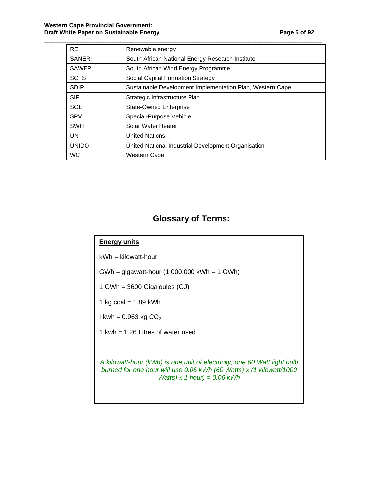| <b>RE</b>     | Renewable energy                                          |
|---------------|-----------------------------------------------------------|
| <b>SANERI</b> | South African National Energy Research Institute          |
| <b>SAWEP</b>  | South African Wind Energy Programme                       |
| <b>SCFS</b>   | Social Capital Formation Strategy                         |
| <b>SDIP</b>   | Sustainable Development Implementation Plan, Western Cape |
| <b>SIP</b>    | Strategic Infrastructure Plan                             |
| <b>SOE</b>    | <b>State-Owned Enterprise</b>                             |
| <b>SPV</b>    | Special-Purpose Vehicle                                   |
| <b>SWH</b>    | Solar Water Heater                                        |
| UN            | <b>United Nations</b>                                     |
| <b>UNIDO</b>  | United National Industrial Development Organisation       |
| <b>WC</b>     | Western Cape                                              |

## **Glossary of Terms:**

#### **Energy units**

 $kWh = kilowatt-hour$ 

GWh = gigawatt-hour (1,000,000 kWh = 1 GWh)

1 GWh = 3600 Gigajoules (GJ)

1 kg coal =  $1.89$  kWh

I kwh =  $0.963$  kg  $CO<sub>2</sub>$ 

1 kwh = 1.26 Litres of water used

A kilowatt-hour (kWh) is one unit of electricity; one 60 Watt light bulb burned for one hour will use 0.06 kWh (60 Watts) x (1 kilowatt/1000 Watts) x 1 hour) =  $0.06$  kWh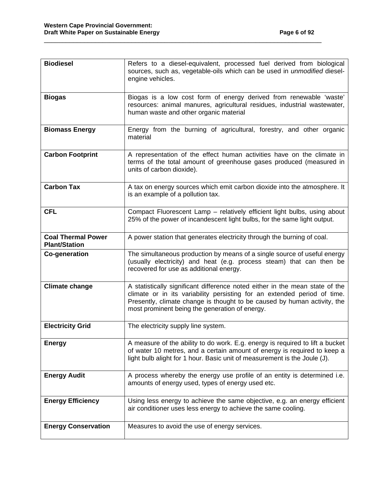| <b>Biodiesel</b>                                  | Refers to a diesel-equivalent, processed fuel derived from biological<br>sources, such as, vegetable-oils which can be used in unmodified diesel-<br>engine vehicles.                                                                                                                  |
|---------------------------------------------------|----------------------------------------------------------------------------------------------------------------------------------------------------------------------------------------------------------------------------------------------------------------------------------------|
| <b>Biogas</b>                                     | Biogas is a low cost form of energy derived from renewable 'waste'<br>resources: animal manures, agricultural residues, industrial wastewater,<br>human waste and other organic material                                                                                               |
| <b>Biomass Energy</b>                             | Energy from the burning of agricultural, forestry, and other organic<br>material                                                                                                                                                                                                       |
| <b>Carbon Footprint</b>                           | A representation of the effect human activities have on the climate in<br>terms of the total amount of greenhouse gases produced (measured in<br>units of carbon dioxide).                                                                                                             |
| <b>Carbon Tax</b>                                 | A tax on energy sources which emit carbon dioxide into the atmosphere. It<br>is an example of a pollution tax.                                                                                                                                                                         |
| <b>CFL</b>                                        | Compact Fluorescent Lamp - relatively efficient light bulbs, using about<br>25% of the power of incandescent light bulbs, for the same light output.                                                                                                                                   |
| <b>Coal Thermal Power</b><br><b>Plant/Station</b> | A power station that generates electricity through the burning of coal.                                                                                                                                                                                                                |
| Co-generation                                     | The simultaneous production by means of a single source of useful energy<br>(usually electricity) and heat (e.g. process steam) that can then be<br>recovered for use as additional energy.                                                                                            |
| <b>Climate change</b>                             | A statistically significant difference noted either in the mean state of the<br>climate or in its variability persisting for an extended period of time.<br>Presently, climate change is thought to be caused by human activity, the<br>most prominent being the generation of energy. |
| <b>Electricity Grid</b>                           | The electricity supply line system.                                                                                                                                                                                                                                                    |
| <b>Energy</b>                                     | A measure of the ability to do work. E.g. energy is required to lift a bucket<br>of water 10 metres, and a certain amount of energy is required to keep a<br>light bulb alight for 1 hour. Basic unit of measurement is the Joule (J).                                                 |
| <b>Energy Audit</b>                               | A process whereby the energy use profile of an entity is determined i.e.<br>amounts of energy used, types of energy used etc.                                                                                                                                                          |
| <b>Energy Efficiency</b>                          | Using less energy to achieve the same objective, e.g. an energy efficient<br>air conditioner uses less energy to achieve the same cooling.                                                                                                                                             |
| <b>Energy Conservation</b>                        | Measures to avoid the use of energy services.                                                                                                                                                                                                                                          |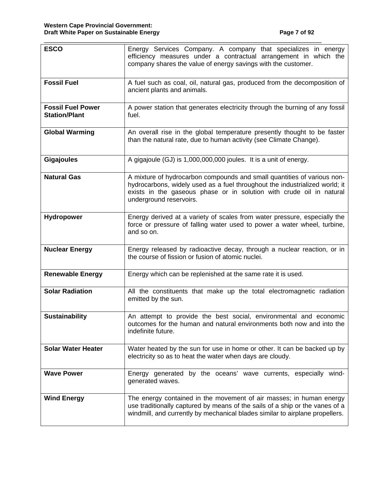| <b>ESCO</b>                                                                                                                                                        | Energy Services Company. A company that specializes in energy<br>efficiency measures under a contractual arrangement in which the<br>company shares the value of energy savings with the customer.                                                        |  |  |
|--------------------------------------------------------------------------------------------------------------------------------------------------------------------|-----------------------------------------------------------------------------------------------------------------------------------------------------------------------------------------------------------------------------------------------------------|--|--|
| <b>Fossil Fuel</b>                                                                                                                                                 | A fuel such as coal, oil, natural gas, produced from the decomposition of<br>ancient plants and animals.                                                                                                                                                  |  |  |
| <b>Fossil Fuel Power</b><br><b>Station/Plant</b>                                                                                                                   | A power station that generates electricity through the burning of any fossil<br>fuel.                                                                                                                                                                     |  |  |
| <b>Global Warming</b>                                                                                                                                              | An overall rise in the global temperature presently thought to be faster<br>than the natural rate, due to human activity (see Climate Change).                                                                                                            |  |  |
| <b>Gigajoules</b>                                                                                                                                                  | A gigajoule (GJ) is 1,000,000,000 joules. It is a unit of energy.                                                                                                                                                                                         |  |  |
| <b>Natural Gas</b>                                                                                                                                                 | A mixture of hydrocarbon compounds and small quantities of various non-<br>hydrocarbons, widely used as a fuel throughout the industrialized world; it<br>exists in the gaseous phase or in solution with crude oil in natural<br>underground reservoirs. |  |  |
| <b>Hydropower</b>                                                                                                                                                  | Energy derived at a variety of scales from water pressure, especially the<br>force or pressure of falling water used to power a water wheel, turbine,<br>and so on.                                                                                       |  |  |
| <b>Nuclear Energy</b>                                                                                                                                              | Energy released by radioactive decay, through a nuclear reaction, or in<br>the course of fission or fusion of atomic nuclei.                                                                                                                              |  |  |
| <b>Renewable Energy</b>                                                                                                                                            | Energy which can be replenished at the same rate it is used.                                                                                                                                                                                              |  |  |
| <b>Solar Radiation</b>                                                                                                                                             | All the constituents that make up the total electromagnetic radiation<br>emitted by the sun.                                                                                                                                                              |  |  |
| <b>Sustainability</b>                                                                                                                                              | An attempt to provide the best social, environmental and economic<br>outcomes for the human and natural environments both now and into the<br>indefinite future.                                                                                          |  |  |
| <b>Solar Water Heater</b><br>Water heated by the sun for use in home or other. It can be backed up by<br>electricity so as to heat the water when days are cloudy. |                                                                                                                                                                                                                                                           |  |  |
| <b>Wave Power</b>                                                                                                                                                  | Energy generated by the oceans' wave currents, especially wind-<br>generated waves.                                                                                                                                                                       |  |  |
| <b>Wind Energy</b>                                                                                                                                                 | The energy contained in the movement of air masses; in human energy<br>use traditionally captured by means of the sails of a ship or the vanes of a<br>windmill, and currently by mechanical blades similar to airplane propellers.                       |  |  |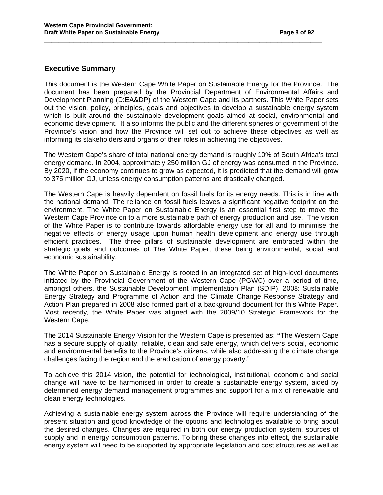#### **Executive Summary**

This document is the Western Cape White Paper on Sustainable Energy for the Province. The document has been prepared by the Provincial Department of Environmental Affairs and Development Planning (D:EA&DP) of the Western Cape and its partners. This White Paper sets out the vision, policy, principles, goals and objectives to develop a sustainable energy system which is built around the sustainable development goals aimed at social, environmental and economic development. It also informs the public and the different spheres of government of the Province's vision and how the Province will set out to achieve these objectives as well as informing its stakeholders and organs of their roles in achieving the objectives.

\_\_\_\_\_\_\_\_\_\_\_\_\_\_\_\_\_\_\_\_\_\_\_\_\_\_\_\_\_\_\_\_\_\_\_\_\_\_\_\_\_\_\_\_\_\_\_\_\_\_\_\_\_\_\_\_\_\_\_\_\_\_\_\_\_\_\_\_\_\_\_\_\_\_\_\_

The Western Cape's share of total national energy demand is roughly 10% of South Africa's total energy demand. In 2004, approximately 250 million GJ of energy was consumed in the Province. By 2020, if the economy continues to grow as expected, it is predicted that the demand will grow to 375 million GJ, unless energy consumption patterns are drastically changed.

The Western Cape is heavily dependent on fossil fuels for its energy needs. This is in line with the national demand. The reliance on fossil fuels leaves a significant negative footprint on the environment. The White Paper on Sustainable Energy is an essential first step to move the Western Cape Province on to a more sustainable path of energy production and use. The vision of the White Paper is to contribute towards affordable energy use for all and to minimise the negative effects of energy usage upon human health development and energy use through efficient practices. The three pillars of sustainable development are embraced within the strategic goals and outcomes of The White Paper, these being environmental, social and economic sustainability.

The White Paper on Sustainable Energy is rooted in an integrated set of high-level documents initiated by the Provincial Government of the Western Cape (PGWC) over a period of time, amongst others, the Sustainable Development Implementation Plan (SDIP), 2008: Sustainable Energy Strategy and Programme of Action and the Climate Change Response Strategy and Action Plan prepared in 2008 also formed part of a background document for this White Paper. Most recently, the White Paper was aligned with the 2009/10 Strategic Framework for the Western Cape.

The 2014 Sustainable Energy Vision for the Western Cape is presented as: **"**The Western Cape has a secure supply of quality, reliable, clean and safe energy, which delivers social, economic and environmental benefits to the Province's citizens, while also addressing the climate change challenges facing the region and the eradication of energy poverty."

To achieve this 2014 vision, the potential for technological, institutional, economic and social change will have to be harmonised in order to create a sustainable energy system, aided by determined energy demand management programmes and support for a mix of renewable and clean energy technologies.

Achieving a sustainable energy system across the Province will require understanding of the present situation and good knowledge of the options and technologies available to bring about the desired changes. Changes are required in both our energy production system, sources of supply and in energy consumption patterns. To bring these changes into effect, the sustainable energy system will need to be supported by appropriate legislation and cost structures as well as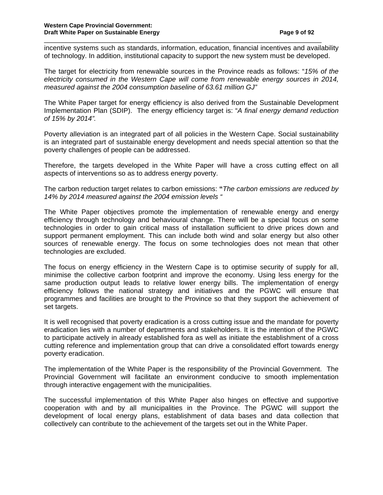incentive systems such as standards, information, education, financial incentives and availability of technology. In addition, institutional capacity to support the new system must be developed.

\_\_\_\_\_\_\_\_\_\_\_\_\_\_\_\_\_\_\_\_\_\_\_\_\_\_\_\_\_\_\_\_\_\_\_\_\_\_\_\_\_\_\_\_\_\_\_\_\_\_\_\_\_\_\_\_\_\_\_\_\_\_\_\_\_\_\_\_\_\_\_\_\_\_\_\_

The target for electricity from renewable sources in the Province reads as follows: "15% of the electricity consumed in the Western Cape will come from renewable energy sources in 2014, measured against the 2004 consumption baseline of 63.61 million GJ"

The White Paper target for energy efficiency is also derived from the Sustainable Development Implementation Plan (SDIP). The energy efficiency target is: "A final energy demand reduction of 15% by 2014".

Poverty alleviation is an integrated part of all policies in the Western Cape. Social sustainability is an integrated part of sustainable energy development and needs special attention so that the poverty challenges of people can be addressed.

Therefore, the targets developed in the White Paper will have a cross cutting effect on all aspects of interventions so as to address energy poverty.

The carbon reduction target relates to carbon emissions: **"**The carbon emissions are reduced by 14% by 2014 measured against the 2004 emission levels "

The White Paper objectives promote the implementation of renewable energy and energy efficiency through technology and behavioural change. There will be a special focus on some technologies in order to gain critical mass of installation sufficient to drive prices down and support permanent employment. This can include both wind and solar energy but also other sources of renewable energy. The focus on some technologies does not mean that other technologies are excluded.

The focus on energy efficiency in the Western Cape is to optimise security of supply for all, minimise the collective carbon footprint and improve the economy. Using less energy for the same production output leads to relative lower energy bills. The implementation of energy efficiency follows the national strategy and initiatives and the PGWC will ensure that programmes and facilities are brought to the Province so that they support the achievement of set targets.

It is well recognised that poverty eradication is a cross cutting issue and the mandate for poverty eradication lies with a number of departments and stakeholders. It is the intention of the PGWC to participate actively in already established fora as well as initiate the establishment of a cross cutting reference and implementation group that can drive a consolidated effort towards energy poverty eradication.

The implementation of the White Paper is the responsibility of the Provincial Government. The Provincial Government will facilitate an environment conducive to smooth implementation through interactive engagement with the municipalities.

The successful implementation of this White Paper also hinges on effective and supportive cooperation with and by all municipalities in the Province. The PGWC will support the development of local energy plans, establishment of data bases and data collection that collectively can contribute to the achievement of the targets set out in the White Paper.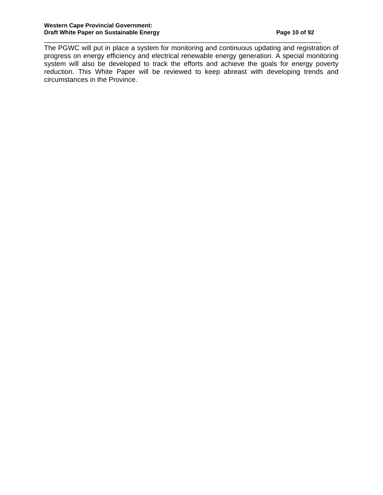The PGWC will put in place a system for monitoring and continuous updating and registration of progress on energy efficiency and electrical renewable energy generation. A special monitoring system will also be developed to track the efforts and achieve the goals for energy poverty reduction. This White Paper will be reviewed to keep abreast with developing trends and circumstances in the Province.

\_\_\_\_\_\_\_\_\_\_\_\_\_\_\_\_\_\_\_\_\_\_\_\_\_\_\_\_\_\_\_\_\_\_\_\_\_\_\_\_\_\_\_\_\_\_\_\_\_\_\_\_\_\_\_\_\_\_\_\_\_\_\_\_\_\_\_\_\_\_\_\_\_\_\_\_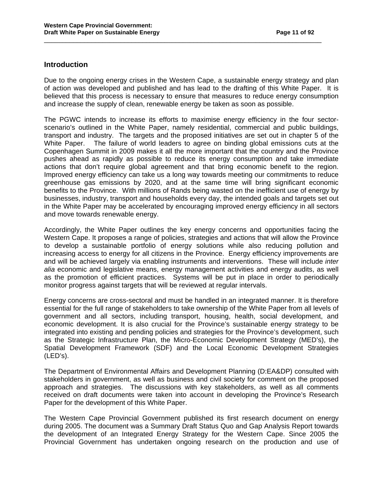#### **Introduction**

Due to the ongoing energy crises in the Western Cape, a sustainable energy strategy and plan of action was developed and published and has lead to the drafting of this White Paper. It is believed that this process is necessary to ensure that measures to reduce energy consumption and increase the supply of clean, renewable energy be taken as soon as possible.

\_\_\_\_\_\_\_\_\_\_\_\_\_\_\_\_\_\_\_\_\_\_\_\_\_\_\_\_\_\_\_\_\_\_\_\_\_\_\_\_\_\_\_\_\_\_\_\_\_\_\_\_\_\_\_\_\_\_\_\_\_\_\_\_\_\_\_\_\_\_\_\_\_\_\_\_

The PGWC intends to increase its efforts to maximise energy efficiency in the four sectorscenario's outlined in the White Paper, namely residential, commercial and public buildings, transport and industry. The targets and the proposed initiatives are set out in chapter 5 of the White Paper. The failure of world leaders to agree on binding global emissions cuts at the Copenhagen Summit in 2009 makes it all the more important that the country and the Province pushes ahead as rapidly as possible to reduce its energy consumption and take immediate actions that don't require global agreement and that bring economic benefit to the region. Improved energy efficiency can take us a long way towards meeting our commitments to reduce greenhouse gas emissions by 2020, and at the same time will bring significant economic benefits to the Province. With millions of Rands being wasted on the inefficient use of energy by businesses, industry, transport and households every day, the intended goals and targets set out in the White Paper may be accelerated by encouraging improved energy efficiency in all sectors and move towards renewable energy.

Accordingly, the White Paper outlines the key energy concerns and opportunities facing the Western Cape. It proposes a range of policies, strategies and actions that will allow the Province to develop a sustainable portfolio of energy solutions while also reducing pollution and increasing access to energy for all citizens in the Province. Energy efficiency improvements are and will be achieved largely via enabling instruments and interventions. These will include inter alia economic and legislative means, energy management activities and energy audits, as well as the promotion of efficient practices. Systems will be put in place in order to periodically monitor progress against targets that will be reviewed at regular intervals.

Energy concerns are cross-sectoral and must be handled in an integrated manner. It is therefore essential for the full range of stakeholders to take ownership of the White Paper from all levels of government and all sectors, including transport, housing, health, social development, and economic development. It is also crucial for the Province's sustainable energy strategy to be integrated into existing and pending policies and strategies for the Province's development, such as the Strategic Infrastructure Plan, the Micro-Economic Development Strategy (MED's), the Spatial Development Framework (SDF) and the Local Economic Development Strategies (LED's).

The Department of Environmental Affairs and Development Planning (D:EA&DP) consulted with stakeholders in government, as well as business and civil society for comment on the proposed approach and strategies. The discussions with key stakeholders, as well as all comments received on draft documents were taken into account in developing the Province's Research Paper for the development of this White Paper.

The Western Cape Provincial Government published its first research document on energy during 2005. The document was a Summary Draft Status Quo and Gap Analysis Report towards the development of an Integrated Energy Strategy for the Western Cape. Since 2005 the Provincial Government has undertaken ongoing research on the production and use of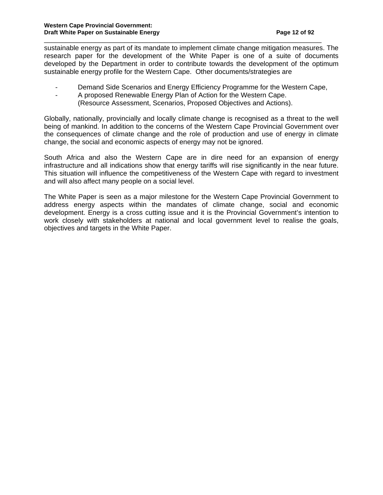sustainable energy as part of its mandate to implement climate change mitigation measures. The research paper for the development of the White Paper is one of a suite of documents developed by the Department in order to contribute towards the development of the optimum sustainable energy profile for the Western Cape. Other documents/strategies are

\_\_\_\_\_\_\_\_\_\_\_\_\_\_\_\_\_\_\_\_\_\_\_\_\_\_\_\_\_\_\_\_\_\_\_\_\_\_\_\_\_\_\_\_\_\_\_\_\_\_\_\_\_\_\_\_\_\_\_\_\_\_\_\_\_\_\_\_\_\_\_\_\_\_\_\_

- Demand Side Scenarios and Energy Efficiency Programme for the Western Cape,
- A proposed Renewable Energy Plan of Action for the Western Cape.
	- (Resource Assessment, Scenarios, Proposed Objectives and Actions).

Globally, nationally, provincially and locally climate change is recognised as a threat to the well being of mankind. In addition to the concerns of the Western Cape Provincial Government over the consequences of climate change and the role of production and use of energy in climate change, the social and economic aspects of energy may not be ignored.

South Africa and also the Western Cape are in dire need for an expansion of energy infrastructure and all indications show that energy tariffs will rise significantly in the near future. This situation will influence the competitiveness of the Western Cape with regard to investment and will also affect many people on a social level.

The White Paper is seen as a major milestone for the Western Cape Provincial Government to address energy aspects within the mandates of climate change, social and economic development. Energy is a cross cutting issue and it is the Provincial Government's intention to work closely with stakeholders at national and local government level to realise the goals, objectives and targets in the White Paper.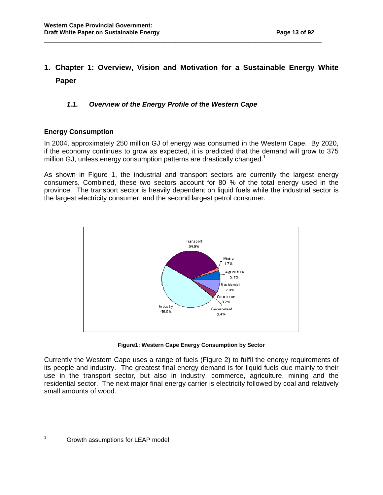# **1. Chapter 1: Overview, Vision and Motivation for a Sustainable Energy White Paper**

\_\_\_\_\_\_\_\_\_\_\_\_\_\_\_\_\_\_\_\_\_\_\_\_\_\_\_\_\_\_\_\_\_\_\_\_\_\_\_\_\_\_\_\_\_\_\_\_\_\_\_\_\_\_\_\_\_\_\_\_\_\_\_\_\_\_\_\_\_\_\_\_\_\_\_\_

#### **1.1. Overview of the Energy Profile of the Western Cape**

#### **Energy Consumption**

In 2004, approximately 250 million GJ of energy was consumed in the Western Cape. By 2020, if the economy continues to grow as expected, it is predicted that the demand will grow to 375 million GJ, unless energy consumption patterns are drastically changed.<sup>1</sup>

As shown in Figure 1, the industrial and transport sectors are currently the largest energy consumers. Combined, these two sectors account for 80 % of the total energy used in the province. The transport sector is heavily dependent on liquid fuels while the industrial sector is the largest electricity consumer, and the second largest petrol consumer.



**Figure1: Western Cape Energy Consumption by Sector**

Currently the Western Cape uses a range of fuels (Figure 2) to fulfil the energy requirements of its people and industry. The greatest final energy demand is for liquid fuels due mainly to their use in the transport sector, but also in industry, commerce, agriculture, mining and the residential sector. The next major final energy carrier is electricity followed by coal and relatively small amounts of wood.

 $\overline{a}$ 

<sup>1</sup> Growth assumptions for LEAP model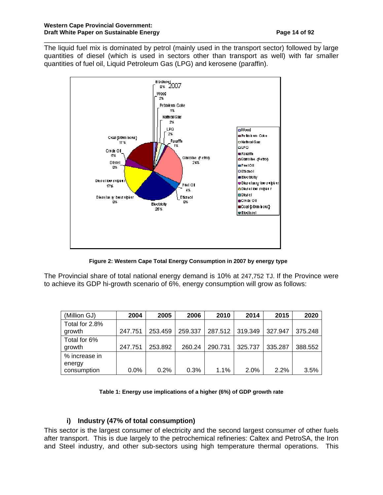The liquid fuel mix is dominated by petrol (mainly used in the transport sector) followed by large quantities of diesel (which is used in sectors other than transport as well) with far smaller quantities of fuel oil, Liquid Petroleum Gas (LPG) and kerosene (paraffin).

\_\_\_\_\_\_\_\_\_\_\_\_\_\_\_\_\_\_\_\_\_\_\_\_\_\_\_\_\_\_\_\_\_\_\_\_\_\_\_\_\_\_\_\_\_\_\_\_\_\_\_\_\_\_\_\_\_\_\_\_\_\_\_\_\_\_\_\_\_\_\_\_\_\_\_\_



 **Figure 2: Western Cape Total Energy Consumption in 2007 by energy type** 

The Provincial share of total national energy demand is 10% at 247,752 TJ. If the Province were to achieve its GDP hi-growth scenario of 6%, energy consumption will grow as follows:

| (Million GJ)                           | 2004    | 2005    | 2006    | 2010    | 2014    | 2015    | 2020    |
|----------------------------------------|---------|---------|---------|---------|---------|---------|---------|
| Total for 2.8%<br>growth               | 247.751 | 253.459 | 259.337 | 287.512 | 319.349 | 327.947 | 375.248 |
| Total for 6%<br>growth                 | 247.751 | 253.892 | 260.24  | 290.731 | 325.737 | 335.287 | 388.552 |
| % increase in<br>energy<br>consumption | 0.0%    | 0.2%    | 0.3%    | $1.1\%$ | 2.0%    | 2.2%    | 3.5%    |

#### **Table 1: Energy use implications of a higher (6%) of GDP growth rate**

#### **i) Industry (47% of total consumption)**

This sector is the largest consumer of electricity and the second largest consumer of other fuels after transport. This is due largely to the petrochemical refineries: Caltex and PetroSA, the Iron and Steel industry, and other sub-sectors using high temperature thermal operations. This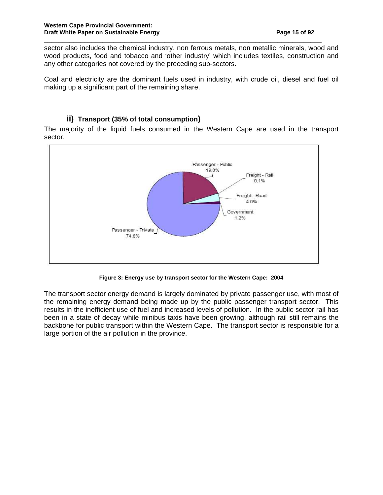sector also includes the chemical industry, non ferrous metals, non metallic minerals, wood and wood products, food and tobacco and 'other industry' which includes textiles, construction and any other categories not covered by the preceding sub-sectors.

\_\_\_\_\_\_\_\_\_\_\_\_\_\_\_\_\_\_\_\_\_\_\_\_\_\_\_\_\_\_\_\_\_\_\_\_\_\_\_\_\_\_\_\_\_\_\_\_\_\_\_\_\_\_\_\_\_\_\_\_\_\_\_\_\_\_\_\_\_\_\_\_\_\_\_\_

Coal and electricity are the dominant fuels used in industry, with crude oil, diesel and fuel oil making up a significant part of the remaining share.

#### **ii) Transport (35% of total consumption)**

The majority of the liquid fuels consumed in the Western Cape are used in the transport sector.



**Figure 3: Energy use by transport sector for the Western Cape: 2004** 

The transport sector energy demand is largely dominated by private passenger use, with most of the remaining energy demand being made up by the public passenger transport sector. This results in the inefficient use of fuel and increased levels of pollution. In the public sector rail has been in a state of decay while minibus taxis have been growing, although rail still remains the backbone for public transport within the Western Cape. The transport sector is responsible for a large portion of the air pollution in the province.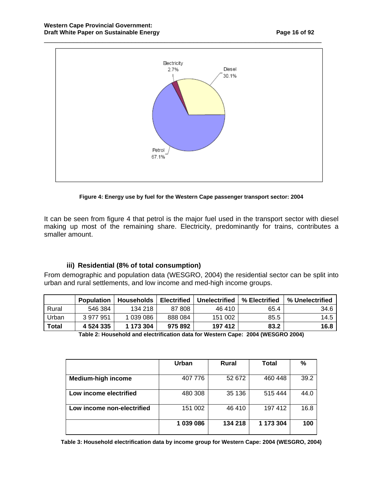

**Figure 4: Energy use by fuel for the Western Cape passenger transport sector: 2004**

It can be seen from figure 4 that petrol is the major fuel used in the transport sector with diesel making up most of the remaining share. Electricity, predominantly for trains, contributes a smaller amount.

#### **iii) Residential (8% of total consumption)**

From demographic and population data (WESGRO, 2004) the residential sector can be split into urban and rural settlements, and low income and med-high income groups.

|              | <b>Population</b> | <b>Households</b> | <b>Electrified</b> | Unelectrified | % Electrified | % Unelectrified |
|--------------|-------------------|-------------------|--------------------|---------------|---------------|-----------------|
| Rural        | 546 384           | 134 218           | 87 808             | 46 410        | 65.4          | 34.6            |
| Urban        | 3 977 951         | 1 039 086         | 888 084            | 151 002       | 85.5          | 14.5            |
| <b>Total</b> | 4 5 24 3 35       | 1 173 304         | 975 892            | 197412        | 83.2          | 16.8            |

| Table 2: Household and electrification data for Western Cape: 2004 (WESGRO 2004) |  |
|----------------------------------------------------------------------------------|--|
|----------------------------------------------------------------------------------|--|

|                            | Urban     | <b>Rural</b> | Total     | %    |
|----------------------------|-----------|--------------|-----------|------|
| <b>Medium-high income</b>  | 407 776   | 52 672       | 460 448   | 39.2 |
| Low income electrified     | 480 308   | 35 136       | 515 444   | 44.0 |
| Low income non-electrified | 151 002   | 46 410       | 197 412   | 16.8 |
|                            | 1 039 086 | 134 218      | 1 173 304 | 100  |

**Table 3: Household electrification data by income group for Western Cape: 2004 (WESGRO, 2004)**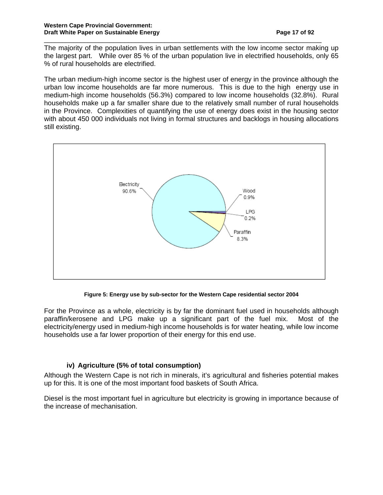The majority of the population lives in urban settlements with the low income sector making up the largest part. While over 85 % of the urban population live in electrified households, only 65 % of rural households are electrified.

\_\_\_\_\_\_\_\_\_\_\_\_\_\_\_\_\_\_\_\_\_\_\_\_\_\_\_\_\_\_\_\_\_\_\_\_\_\_\_\_\_\_\_\_\_\_\_\_\_\_\_\_\_\_\_\_\_\_\_\_\_\_\_\_\_\_\_\_\_\_\_\_\_\_\_\_

The urban medium-high income sector is the highest user of energy in the province although the urban low income households are far more numerous. This is due to the high energy use in medium-high income households (56.3%) compared to low income households (32.8%). Rural households make up a far smaller share due to the relatively small number of rural households in the Province. Complexities of quantifying the use of energy does exist in the housing sector with about 450 000 individuals not living in formal structures and backlogs in housing allocations still existing.



**Figure 5: Energy use by sub-sector for the Western Cape residential sector 2004** 

For the Province as a whole, electricity is by far the dominant fuel used in households although paraffin/kerosene and LPG make up a significant part of the fuel mix. Most of the electricity/energy used in medium-high income households is for water heating, while low income households use a far lower proportion of their energy for this end use.

#### **iv) Agriculture (5% of total consumption)**

Although the Western Cape is not rich in minerals, it's agricultural and fisheries potential makes up for this. It is one of the most important food baskets of South Africa.

Diesel is the most important fuel in agriculture but electricity is growing in importance because of the increase of mechanisation.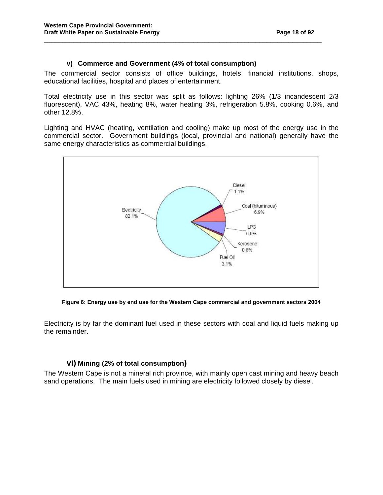#### **v) Commerce and Government (4% of total consumption)**

The commercial sector consists of office buildings, hotels, financial institutions, shops, educational facilities, hospital and places of entertainment.

\_\_\_\_\_\_\_\_\_\_\_\_\_\_\_\_\_\_\_\_\_\_\_\_\_\_\_\_\_\_\_\_\_\_\_\_\_\_\_\_\_\_\_\_\_\_\_\_\_\_\_\_\_\_\_\_\_\_\_\_\_\_\_\_\_\_\_\_\_\_\_\_\_\_\_\_

Total electricity use in this sector was split as follows: lighting 26% (1/3 incandescent 2/3 fluorescent), VAC 43%, heating 8%, water heating 3%, refrigeration 5.8%, cooking 0.6%, and other 12.8%.

Lighting and HVAC (heating, ventilation and cooling) make up most of the energy use in the commercial sector. Government buildings (local, provincial and national) generally have the same energy characteristics as commercial buildings.



**Figure 6: Energy use by end use for the Western Cape commercial and government sectors 2004** 

Electricity is by far the dominant fuel used in these sectors with coal and liquid fuels making up the remainder.

#### **vi) Mining (2% of total consumption)**

The Western Cape is not a mineral rich province, with mainly open cast mining and heavy beach sand operations. The main fuels used in mining are electricity followed closely by diesel.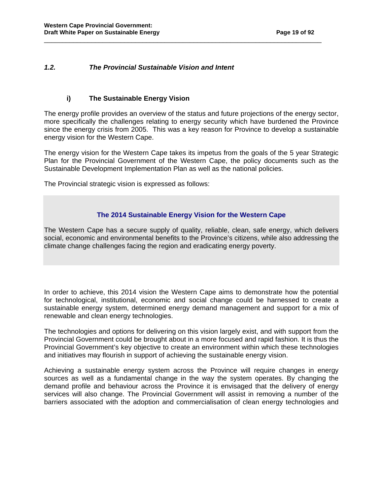#### **1.2. The Provincial Sustainable Vision and Intent**

#### **i) The Sustainable Energy Vision**

The energy profile provides an overview of the status and future projections of the energy sector, more specifically the challenges relating to energy security which have burdened the Province since the energy crisis from 2005. This was a key reason for Province to develop a sustainable energy vision for the Western Cape.

\_\_\_\_\_\_\_\_\_\_\_\_\_\_\_\_\_\_\_\_\_\_\_\_\_\_\_\_\_\_\_\_\_\_\_\_\_\_\_\_\_\_\_\_\_\_\_\_\_\_\_\_\_\_\_\_\_\_\_\_\_\_\_\_\_\_\_\_\_\_\_\_\_\_\_\_

The energy vision for the Western Cape takes its impetus from the goals of the 5 year Strategic Plan for the Provincial Government of the Western Cape, the policy documents such as the Sustainable Development Implementation Plan as well as the national policies.

The Provincial strategic vision is expressed as follows:

#### **The 2014 Sustainable Energy Vision for the Western Cape**

The Western Cape has a secure supply of quality, reliable, clean, safe energy, which delivers social, economic and environmental benefits to the Province's citizens, while also addressing the climate change challenges facing the region and eradicating energy poverty.

In order to achieve, this 2014 vision the Western Cape aims to demonstrate how the potential for technological, institutional, economic and social change could be harnessed to create a sustainable energy system, determined energy demand management and support for a mix of renewable and clean energy technologies.

The technologies and options for delivering on this vision largely exist, and with support from the Provincial Government could be brought about in a more focused and rapid fashion. It is thus the Provincial Government's key objective to create an environment within which these technologies and initiatives may flourish in support of achieving the sustainable energy vision.

Achieving a sustainable energy system across the Province will require changes in energy sources as well as a fundamental change in the way the system operates. By changing the demand profile and behaviour across the Province it is envisaged that the delivery of energy services will also change. The Provincial Government will assist in removing a number of the barriers associated with the adoption and commercialisation of clean energy technologies and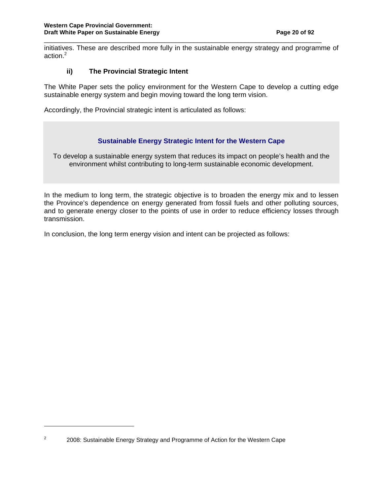initiatives. These are described more fully in the sustainable energy strategy and programme of action.<sup>2</sup>

\_\_\_\_\_\_\_\_\_\_\_\_\_\_\_\_\_\_\_\_\_\_\_\_\_\_\_\_\_\_\_\_\_\_\_\_\_\_\_\_\_\_\_\_\_\_\_\_\_\_\_\_\_\_\_\_\_\_\_\_\_\_\_\_\_\_\_\_\_\_\_\_\_\_\_\_

#### **ii) The Provincial Strategic Intent**

The White Paper sets the policy environment for the Western Cape to develop a cutting edge sustainable energy system and begin moving toward the long term vision.

Accordingly, the Provincial strategic intent is articulated as follows:

#### **Sustainable Energy Strategic Intent for the Western Cape**

To develop a sustainable energy system that reduces its impact on people's health and the environment whilst contributing to long-term sustainable economic development.

In the medium to long term, the strategic objective is to broaden the energy mix and to lessen the Province's dependence on energy generated from fossil fuels and other polluting sources, and to generate energy closer to the points of use in order to reduce efficiency losses through transmission.

In conclusion, the long term energy vision and intent can be projected as follows:

 $\overline{a}$ 2

 <sup>2008:</sup> Sustainable Energy Strategy and Programme of Action for the Western Cape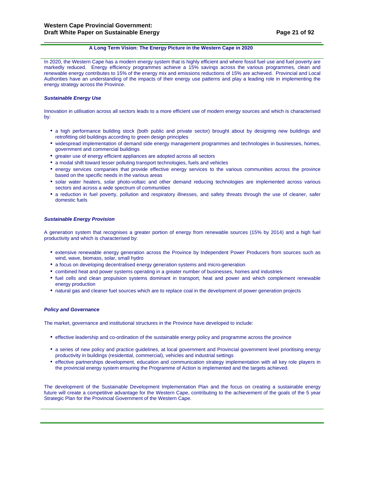#### **A Long Term Vision: The Energy Picture in the Western Cape in 2020**

In 2020, the Western Cape has a modern energy system that is highly efficient and where fossil fuel use and fuel poverty are markedly reduced. Energy efficiency programmes achieve a 15% savings across the various programmes, clean and renewable energy contributes to 15% of the energy mix and emissions reductions of 15% are achieved. Provincial and Local Authorities have an understanding of the impacts of their energy use patterns and play a leading role in implementing the energy strategy across the Province.

\_\_\_\_\_\_\_\_\_\_\_\_\_\_\_\_\_\_\_\_\_\_\_\_\_\_\_\_\_\_\_\_\_\_\_\_\_\_\_\_\_\_\_\_\_\_\_\_\_\_\_\_\_\_\_\_\_\_\_\_\_\_\_\_\_\_\_\_\_\_\_\_\_\_\_\_

#### **Sustainable Energy Use**

Innovation in utilisation across all sectors leads to a more efficient use of modern energy sources and which is characterised by:

- a high performance building stock (both public and private sector) brought about by designing new buildings and retrofitting old buildings according to green design principles
- widespread implementation of demand side energy management programmes and technologies in businesses, homes, government and commercial buildings
- greater use of energy efficient appliances are adopted across all sectors
- a modal shift toward lesser polluting transport technologies, fuels and vehicles
- energy services companies that provide effective energy services to the various communities across the province based on the specific needs in the various areas
- solar water heaters, solar photo-voltaic and other demand reducing technologies are implemented across various sectors and across a wide spectrum of communities
- a reduction in fuel poverty, pollution and respiratory illnesses, and safety threats through the use of cleaner, safer domestic fuels

#### **Sustainable Energy Provision**

A generation system that recognises a greater portion of energy from renewable sources (15% by 2014) and a high fuel productivity and which is characterised by:

- extensive renewable energy generation across the Province by Independent Power Producers from sources such as wind, wave, biomass, solar, small hydro
- a focus on developing decentralised energy generation systems and micro-generation
- combined heat and power systems operating in a greater number of businesses, homes and industries
- fuel cells and clean propulsion systems dominant in transport, heat and power and which complement renewable energy production
- natural gas and cleaner fuel sources which are to replace coal in the development of power generation projects

#### **Policy and Governance**

The market, governance and institutional structures in the Province have developed to include:

- effective leadership and co-ordination of the sustainable energy policy and programme across the province
- a series of new policy and practice guidelines, at local government and Provincial government level prioritising energy productivity in buildings (residential, commercial), vehicles and industrial settings
- effective partnerships development, education and communication strategy implementation with all key role players in the provincial energy system ensuring the Programme of Action is implemented and the targets achieved.

The development of the Sustainable Development Implementation Plan and the focus on creating a sustainable energy future will create a competitive advantage for the Western Cape, contributing to the achievement of the goals of the 5 year Strategic Plan for the Provincial Government of the Western Cape.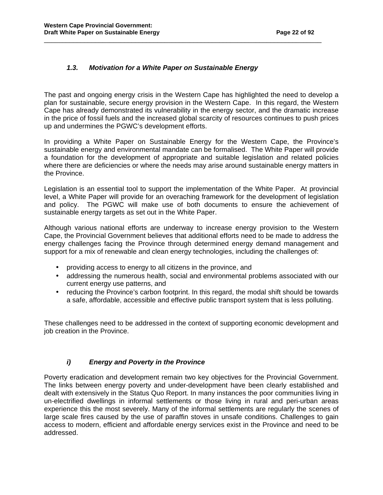#### **1.3. Motivation for a White Paper on Sustainable Energy**

The past and ongoing energy crisis in the Western Cape has highlighted the need to develop a plan for sustainable, secure energy provision in the Western Cape. In this regard, the Western Cape has already demonstrated its vulnerability in the energy sector, and the dramatic increase in the price of fossil fuels and the increased global scarcity of resources continues to push prices up and undermines the PGWC's development efforts.

\_\_\_\_\_\_\_\_\_\_\_\_\_\_\_\_\_\_\_\_\_\_\_\_\_\_\_\_\_\_\_\_\_\_\_\_\_\_\_\_\_\_\_\_\_\_\_\_\_\_\_\_\_\_\_\_\_\_\_\_\_\_\_\_\_\_\_\_\_\_\_\_\_\_\_\_

In providing a White Paper on Sustainable Energy for the Western Cape, the Province's sustainable energy and environmental mandate can be formalised. The White Paper will provide a foundation for the development of appropriate and suitable legislation and related policies where there are deficiencies or where the needs may arise around sustainable energy matters in the Province.

Legislation is an essential tool to support the implementation of the White Paper. At provincial level, a White Paper will provide for an overaching framework for the development of legislation and policy. The PGWC will make use of both documents to ensure the achievement of sustainable energy targets as set out in the White Paper.

Although various national efforts are underway to increase energy provision to the Western Cape, the Provincial Government believes that additional efforts need to be made to address the energy challenges facing the Province through determined energy demand management and support for a mix of renewable and clean energy technologies, including the challenges of:

- providing access to energy to all citizens in the province, and
- addressing the numerous health, social and environmental problems associated with our current energy use patterns, and
- reducing the Province's carbon footprint. In this regard, the modal shift should be towards a safe, affordable, accessible and effective public transport system that is less polluting.

These challenges need to be addressed in the context of supporting economic development and job creation in the Province.

#### **i) Energy and Poverty in the Province**

Poverty eradication and development remain two key objectives for the Provincial Government. The links between energy poverty and under-development have been clearly established and dealt with extensively in the Status Quo Report. In many instances the poor communities living in un-electrified dwellings in informal settlements or those living in rural and peri-urban areas experience this the most severely. Many of the informal settlements are regularly the scenes of large scale fires caused by the use of paraffin stoves in unsafe conditions. Challenges to gain access to modern, efficient and affordable energy services exist in the Province and need to be addressed.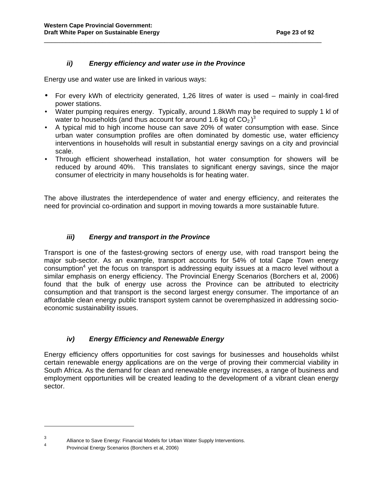#### **ii) Energy efficiency and water use in the Province**

Energy use and water use are linked in various ways:

• For every kWh of electricity generated, 1,26 litres of water is used – mainly in coal-fired power stations.

\_\_\_\_\_\_\_\_\_\_\_\_\_\_\_\_\_\_\_\_\_\_\_\_\_\_\_\_\_\_\_\_\_\_\_\_\_\_\_\_\_\_\_\_\_\_\_\_\_\_\_\_\_\_\_\_\_\_\_\_\_\_\_\_\_\_\_\_\_\_\_\_\_\_\_\_

- Water pumping requires energy. Typically, around 1.8kWh may be required to supply 1 kl of water to households (and thus account for around 1.6 kg of  $CO<sub>2</sub>$ )<sup>3</sup>
- A typical mid to high income house can save 20% of water consumption with ease. Since urban water consumption profiles are often dominated by domestic use, water efficiency interventions in households will result in substantial energy savings on a city and provincial scale.
- Through efficient showerhead installation, hot water consumption for showers will be reduced by around 40%. This translates to significant energy savings, since the major consumer of electricity in many households is for heating water.

The above illustrates the interdependence of water and energy efficiency, and reiterates the need for provincial co-ordination and support in moving towards a more sustainable future.

#### **iii) Energy and transport in the Province**

Transport is one of the fastest-growing sectors of energy use, with road transport being the major sub-sector. As an example, transport accounts for 54% of total Cape Town energy  $\cos$  consumption<sup>4</sup> yet the focus on transport is addressing equity issues at a macro level without a similar emphasis on energy efficiency. The Provincial Energy Scenarios (Borchers et al, 2006) found that the bulk of energy use across the Province can be attributed to electricity consumption and that transport is the second largest energy consumer. The importance of an affordable clean energy public transport system cannot be overemphasized in addressing socioeconomic sustainability issues.

#### **iv) Energy Efficiency and Renewable Energy**

Energy efficiency offers opportunities for cost savings for businesses and households whilst certain renewable energy applications are on the verge of proving their commercial viability in South Africa. As the demand for clean and renewable energy increases, a range of business and employment opportunities will be created leading to the development of a vibrant clean energy sector.

l

<sup>3</sup> Alliance to Save Energy: Financial Models for Urban Water Supply Interventions.

<sup>4</sup> Provincial Energy Scenarios (Borchers et al, 2006)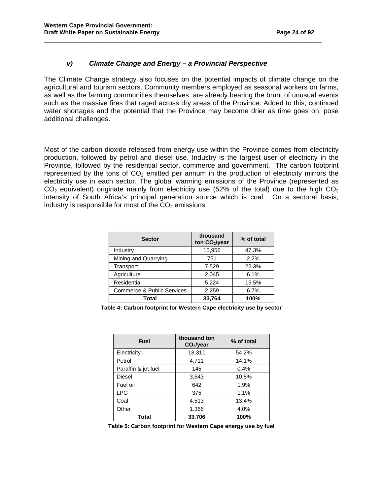#### **v) Climate Change and Energy – a Provincial Perspective**

The Climate Change strategy also focuses on the potential impacts of climate change on the agricultural and tourism sectors. Community members employed as seasonal workers on farms, as well as the farming communities themselves, are already bearing the brunt of unusual events such as the massive fires that raged across dry areas of the Province. Added to this, continued water shortages and the potential that the Province may become drier as time goes on, pose additional challenges.

\_\_\_\_\_\_\_\_\_\_\_\_\_\_\_\_\_\_\_\_\_\_\_\_\_\_\_\_\_\_\_\_\_\_\_\_\_\_\_\_\_\_\_\_\_\_\_\_\_\_\_\_\_\_\_\_\_\_\_\_\_\_\_\_\_\_\_\_\_\_\_\_\_\_\_\_

Most of the carbon dioxide released from energy use within the Province comes from electricity production, followed by petrol and diesel use. Industry is the largest user of electricity in the Province, followed by the residential sector, commerce and government. The carbon footprint represented by the tons of  $CO<sub>2</sub>$  emitted per annum in the production of electricity mirrors the electricity use in each sector. The global warming emissions of the Province (represented as  $CO<sub>2</sub>$  equivalent) originate mainly from electricity use (52% of the total) due to the high  $CO<sub>2</sub>$ intensity of South Africa's principal generation source which is coal. On a sectoral basis, industry is responsible for most of the  $CO<sub>2</sub>$  emissions.

| <b>Sector</b>              | thousand<br>ton CO <sub>2</sub> /year | % of total |
|----------------------------|---------------------------------------|------------|
| Industry                   | 15,956                                | 47.3%      |
| Mining and Quarrying       | 751                                   | 2.2%       |
| Transport                  | 7,529                                 | 22.3%      |
| Agriculture                | 2,045                                 | 6.1%       |
| Residential                | 5,224                                 | 15.5%      |
| Commerce & Public Services | 2,259                                 | 6.7%       |
| Total                      | 33,764                                | 100%       |

**Table 4: Carbon footprint for Western Cape electricity use by sector** 

| <b>Fuel</b>         | thousand ton<br>CO <sub>2</sub> /year | % of total |
|---------------------|---------------------------------------|------------|
| Electricity         | 18,311                                | 54.2%      |
| Petrol              | 4,711                                 | 14,1%      |
| Paraffin & jet fuel | 145                                   | 0.4%       |
| Diesel              | 3,643                                 | 10.8%      |
| Fuel oil            | 642                                   | 1.9%       |
| <b>LPG</b>          | 375                                   | 1.1%       |
| Coal                | 4,513                                 | 13.4%      |
| Other               | 1.366                                 | 4.0%       |
| Total               | 33.706                                | 100%       |

**Table 5: Carbon footprint for Western Cape energy use by fuel**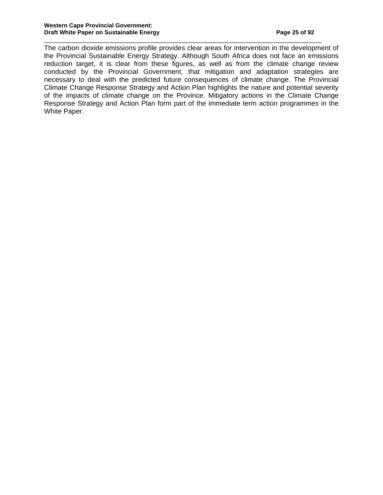The carbon dioxide emissions profile provides clear areas for intervention in the development of the Provincial Sustainable Energy Strategy. Although South Africa does not face an emissions reduction target, it is clear from these figures, as well as from the climate change review conducted by the Provincial Government, that mitigation and adaptation strategies are necessary to deal with the predicted future consequences of climate change. The Provincial Climate Change Response Strategy and Action Plan highlights the nature and potential severity of the impacts of climate change on the Province. Mitigatory actions in the Climate Change Response Strategy and Action Plan form part of the immediate term action programmes in the White Paper.

\_\_\_\_\_\_\_\_\_\_\_\_\_\_\_\_\_\_\_\_\_\_\_\_\_\_\_\_\_\_\_\_\_\_\_\_\_\_\_\_\_\_\_\_\_\_\_\_\_\_\_\_\_\_\_\_\_\_\_\_\_\_\_\_\_\_\_\_\_\_\_\_\_\_\_\_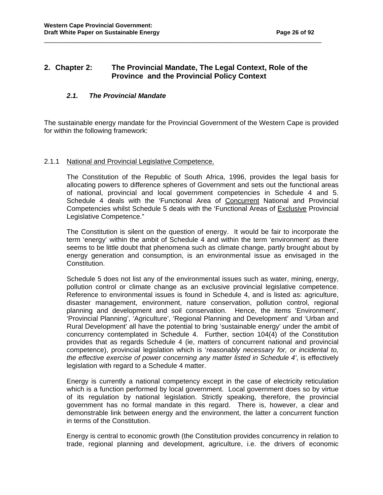#### **2. Chapter 2: The Provincial Mandate, The Legal Context, Role of the Province and the Provincial Policy Context**

\_\_\_\_\_\_\_\_\_\_\_\_\_\_\_\_\_\_\_\_\_\_\_\_\_\_\_\_\_\_\_\_\_\_\_\_\_\_\_\_\_\_\_\_\_\_\_\_\_\_\_\_\_\_\_\_\_\_\_\_\_\_\_\_\_\_\_\_\_\_\_\_\_\_\_\_

#### **2.1. The Provincial Mandate**

The sustainable energy mandate for the Provincial Government of the Western Cape is provided for within the following framework:

#### 2.1.1 National and Provincial Legislative Competence.

The Constitution of the Republic of South Africa, 1996, provides the legal basis for allocating powers to difference spheres of Government and sets out the functional areas of national, provincial and local government competencies in Schedule 4 and 5. Schedule 4 deals with the 'Functional Area of Concurrent National and Provincial Competencies whilst Schedule 5 deals with the 'Functional Areas of Exclusive Provincial Legislative Competence."

 The Constitution is silent on the question of energy. It would be fair to incorporate the term 'energy' within the ambit of Schedule 4 and within the term 'environment' as there seems to be little doubt that phenomena such as climate change, partly brought about by energy generation and consumption, is an environmental issue as envisaged in the Constitution.

Schedule 5 does not list any of the environmental issues such as water, mining, energy, pollution control or climate change as an exclusive provincial legislative competence. Reference to environmental issues is found in Schedule 4, and is listed as: agriculture, disaster management, environment, nature conservation, pollution control, regional planning and development and soil conservation. Hence, the items 'Environment', 'Provincial Planning', 'Agriculture', 'Regional Planning and Development' and 'Urban and Rural Development' all have the potential to bring 'sustainable energy' under the ambit of concurrency contemplated in Schedule 4. Further, section 104(4) of the Constitution provides that as regards Schedule 4 (ie, matters of concurrent national and provincial competence), provincial legislation which is 'reasonably necessary for, or incidental to, the effective exercise of power concerning any matter listed in Schedule 4', is effectively legislation with regard to a Schedule 4 matter.

 Energy is currently a national competency except in the case of electricity reticulation which is a function performed by local government. Local government does so by virtue of its regulation by national legislation. Strictly speaking, therefore, the provincial government has no formal mandate in this regard. There is, however, a clear and demonstrable link between energy and the environment, the latter a concurrent function in terms of the Constitution.

 Energy is central to economic growth (the Constitution provides concurrency in relation to trade, regional planning and development, agriculture, i.e. the drivers of economic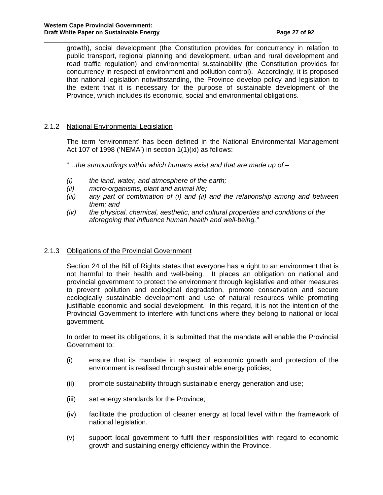growth), social development (the Constitution provides for concurrency in relation to public transport, regional planning and development, urban and rural development and road traffic regulation) and environmental sustainability (the Constitution provides for concurrency in respect of environment and pollution control). Accordingly, it is proposed that national legislation notwithstanding, the Province develop policy and legislation to the extent that it is necessary for the purpose of sustainable development of the Province, which includes its economic, social and environmental obligations.

\_\_\_\_\_\_\_\_\_\_\_\_\_\_\_\_\_\_\_\_\_\_\_\_\_\_\_\_\_\_\_\_\_\_\_\_\_\_\_\_\_\_\_\_\_\_\_\_\_\_\_\_\_\_\_\_\_\_\_\_\_\_\_\_\_\_\_\_\_\_\_\_\_\_\_\_

#### 2.1.2 National Environmental Legislation

 The term 'environment' has been defined in the National Environmental Management Act 107 of 1998 ('NEMA') in section 1(1)(xi) as follows:

"...the surroundings within which humans exist and that are made up of  $-$ 

- $(i)$  the land, water, and atmosphere of the earth;
- (ii) micro-organisms, plant and animal life;
- (iii) any part of combination of (i) and (ii) and the relationship among and between them; and
- $(iv)$  the physical, chemical, aesthetic, and cultural properties and conditions of the aforegoing that influence human health and well-being."

#### 2.1.3 Obligations of the Provincial Government

 Section 24 of the Bill of Rights states that everyone has a right to an environment that is not harmful to their health and well-being. It places an obligation on national and provincial government to protect the environment through legislative and other measures to prevent pollution and ecological degradation, promote conservation and secure ecologically sustainable development and use of natural resources while promoting justifiable economic and social development. In this regard, it is not the intention of the Provincial Government to interfere with functions where they belong to national or local government.

 In order to meet its obligations, it is submitted that the mandate will enable the Provincial Government to:

- (i) ensure that its mandate in respect of economic growth and protection of the environment is realised through sustainable energy policies;
- (ii) promote sustainability through sustainable energy generation and use;
- (iii) set energy standards for the Province;
- (iv) facilitate the production of cleaner energy at local level within the framework of national legislation.
- (v) support local government to fulfil their responsibilities with regard to economic growth and sustaining energy efficiency within the Province.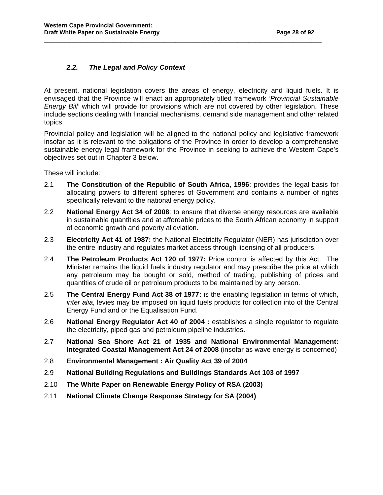#### **2.2. The Legal and Policy Context**

At present, national legislation covers the areas of energy, electricity and liquid fuels. It is envisaged that the Province will enact an appropriately titled framework 'Provincial Sustainable Energy Bill' which will provide for provisions which are not covered by other legislation. These include sections dealing with financial mechanisms, demand side management and other related topics.

\_\_\_\_\_\_\_\_\_\_\_\_\_\_\_\_\_\_\_\_\_\_\_\_\_\_\_\_\_\_\_\_\_\_\_\_\_\_\_\_\_\_\_\_\_\_\_\_\_\_\_\_\_\_\_\_\_\_\_\_\_\_\_\_\_\_\_\_\_\_\_\_\_\_\_\_

Provincial policy and legislation will be aligned to the national policy and legislative framework insofar as it is relevant to the obligations of the Province in order to develop a comprehensive sustainable energy legal framework for the Province in seeking to achieve the Western Cape's objectives set out in Chapter 3 below.

These will include:

- 2.1 **The Constitution of the Republic of South Africa, 1996**: provides the legal basis for allocating powers to different spheres of Government and contains a number of rights specifically relevant to the national energy policy.
- 2.2 **National Energy Act 34 of 2008**: to ensure that diverse energy resources are available in sustainable quantities and at affordable prices to the South African economy in support of economic growth and poverty alleviation.
- 2.3 **Electricity Act 41 of 1987:** the National Electricity Regulator (NER) has jurisdiction over the entire industry and regulates market access through licensing of all producers.
- 2.4 **The Petroleum Products Act 120 of 1977:** Price control is affected by this Act. The Minister remains the liquid fuels industry regulator and may prescribe the price at which any petroleum may be bought or sold, method of trading, publishing of prices and quantities of crude oil or petroleum products to be maintained by any person.
- 2.5 **The Central Energy Fund Act 38 of 1977:** is the enabling legislation in terms of which, inter alia, levies may be imposed on liquid fuels products for collection into of the Central Energy Fund and or the Equalisation Fund.
- 2.6 **National Energy Regulator Act 40 of 2004** : establishes a single regulator to regulate the electricity, piped gas and petroleum pipeline industries.
- 2.7 **National Sea Shore Act 21 of 1935 and National Environmental Management: Integrated Coastal Management Act 24 of 2008** (insofar as wave energy is concerned)
- 2.8 **Environmental Management : Air Quality Act 39 of 2004**
- 2.9 **National Building Regulations and Buildings Standards Act 103 of 1997**
- 2.10 **The White Paper on Renewable Energy Policy of RSA (2003)**
- 2.11 **National Climate Change Response Strategy for SA (2004)**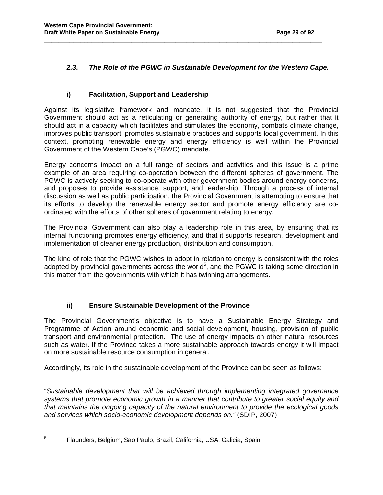#### **2.3. The Role of the PGWC in Sustainable Development for the Western Cape.**

\_\_\_\_\_\_\_\_\_\_\_\_\_\_\_\_\_\_\_\_\_\_\_\_\_\_\_\_\_\_\_\_\_\_\_\_\_\_\_\_\_\_\_\_\_\_\_\_\_\_\_\_\_\_\_\_\_\_\_\_\_\_\_\_\_\_\_\_\_\_\_\_\_\_\_\_

#### **i) Facilitation, Support and Leadership**

Against its legislative framework and mandate, it is not suggested that the Provincial Government should act as a reticulating or generating authority of energy, but rather that it should act in a capacity which facilitates and stimulates the economy, combats climate change, improves public transport, promotes sustainable practices and supports local government. In this context, promoting renewable energy and energy efficiency is well within the Provincial Government of the Western Cape's (PGWC) mandate.

Energy concerns impact on a full range of sectors and activities and this issue is a prime example of an area requiring co-operation between the different spheres of government. The PGWC is actively seeking to co-operate with other government bodies around energy concerns, and proposes to provide assistance, support, and leadership. Through a process of internal discussion as well as public participation, the Provincial Government is attempting to ensure that its efforts to develop the renewable energy sector and promote energy efficiency are coordinated with the efforts of other spheres of government relating to energy.

The Provincial Government can also play a leadership role in this area, by ensuring that its internal functioning promotes energy efficiency, and that it supports research, development and implementation of cleaner energy production, distribution and consumption.

The kind of role that the PGWC wishes to adopt in relation to energy is consistent with the roles adopted by provincial governments across the world<sup>5</sup>, and the PGWC is taking some direction in this matter from the governments with which it has twinning arrangements.

#### **ii) Ensure Sustainable Development of the Province**

The Provincial Government's objective is to have a Sustainable Energy Strategy and Programme of Action around economic and social development, housing, provision of public transport and environmental protection. The use of energy impacts on other natural resources such as water. If the Province takes a more sustainable approach towards energy it will impact on more sustainable resource consumption in general.

Accordingly, its role in the sustainable development of the Province can be seen as follows:

"Sustainable development that will be achieved through implementing integrated governance systems that promote economic growth in a manner that contribute to greater social equity and that maintains the ongoing capacity of the natural environment to provide the ecological goods and services which socio-economic development depends on." (SDIP, 2007)

 $\overline{a}$ 

<sup>5</sup> Flaunders, Belgium; Sao Paulo, Brazil; California, USA; Galicia, Spain.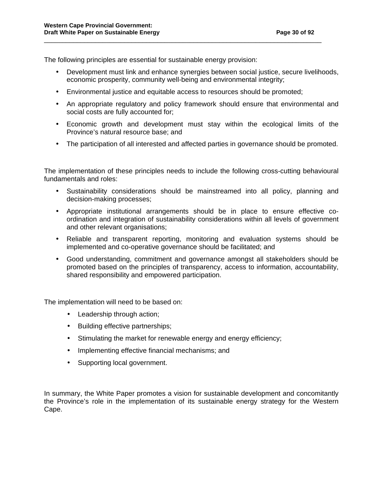The following principles are essential for sustainable energy provision:

- Development must link and enhance synergies between social justice, secure livelihoods, economic prosperity, community well-being and environmental integrity;
- Environmental justice and equitable access to resources should be promoted;

\_\_\_\_\_\_\_\_\_\_\_\_\_\_\_\_\_\_\_\_\_\_\_\_\_\_\_\_\_\_\_\_\_\_\_\_\_\_\_\_\_\_\_\_\_\_\_\_\_\_\_\_\_\_\_\_\_\_\_\_\_\_\_\_\_\_\_\_\_\_\_\_\_\_\_\_

- An appropriate regulatory and policy framework should ensure that environmental and social costs are fully accounted for;
- Economic growth and development must stay within the ecological limits of the Province's natural resource base; and
- The participation of all interested and affected parties in governance should be promoted.

The implementation of these principles needs to include the following cross-cutting behavioural fundamentals and roles:

- Sustainability considerations should be mainstreamed into all policy, planning and decision-making processes;
- Appropriate institutional arrangements should be in place to ensure effective coordination and integration of sustainability considerations within all levels of government and other relevant organisations;
- Reliable and transparent reporting, monitoring and evaluation systems should be implemented and co-operative governance should be facilitated; and
- Good understanding, commitment and governance amongst all stakeholders should be promoted based on the principles of transparency, access to information, accountability, shared responsibility and empowered participation.

The implementation will need to be based on:

- Leadership through action;
- Building effective partnerships;
- Stimulating the market for renewable energy and energy efficiency;
- Implementing effective financial mechanisms; and
- Supporting local government.

In summary, the White Paper promotes a vision for sustainable development and concomitantly the Province's role in the implementation of its sustainable energy strategy for the Western Cape.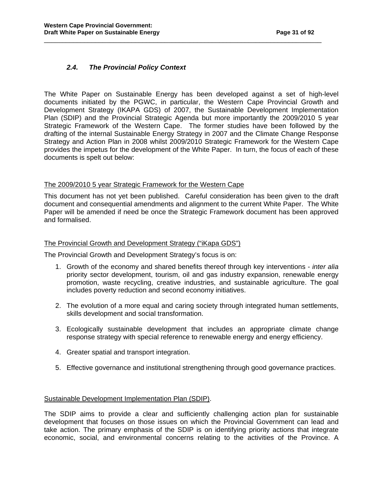#### **2.4. The Provincial Policy Context**

The White Paper on Sustainable Energy has been developed against a set of high-level documents initiated by the PGWC, in particular, the Western Cape Provincial Growth and Development Strategy (IKAPA GDS) of 2007, the Sustainable Development Implementation Plan (SDIP) and the Provincial Strategic Agenda but more importantly the 2009/2010 5 year Strategic Framework of the Western Cape. The former studies have been followed by the drafting of the internal Sustainable Energy Strategy in 2007 and the Climate Change Response Strategy and Action Plan in 2008 whilst 2009/2010 Strategic Framework for the Western Cape provides the impetus for the development of the White Paper. In turn, the focus of each of these documents is spelt out below:

\_\_\_\_\_\_\_\_\_\_\_\_\_\_\_\_\_\_\_\_\_\_\_\_\_\_\_\_\_\_\_\_\_\_\_\_\_\_\_\_\_\_\_\_\_\_\_\_\_\_\_\_\_\_\_\_\_\_\_\_\_\_\_\_\_\_\_\_\_\_\_\_\_\_\_\_

#### The 2009/2010 5 year Strategic Framework for the Western Cape

This document has not yet been published. Careful consideration has been given to the draft document and consequential amendments and alignment to the current White Paper. The White Paper will be amended if need be once the Strategic Framework document has been approved and formalised.

#### The Provincial Growth and Development Strategy ("iKapa GDS")

The Provincial Growth and Development Strategy's focus is on:

- 1. Growth of the economy and shared benefits thereof through key interventions inter alia priority sector development, tourism, oil and gas industry expansion, renewable energy promotion, waste recycling, creative industries, and sustainable agriculture. The goal includes poverty reduction and second economy initiatives.
- 2. The evolution of a more equal and caring society through integrated human settlements, skills development and social transformation.
- 3. Ecologically sustainable development that includes an appropriate climate change response strategy with special reference to renewable energy and energy efficiency.
- 4. Greater spatial and transport integration.
- 5. Effective governance and institutional strengthening through good governance practices.

#### Sustainable Development Implementation Plan (SDIP).

The SDIP aims to provide a clear and sufficiently challenging action plan for sustainable development that focuses on those issues on which the Provincial Government can lead and take action. The primary emphasis of the SDIP is on identifying priority actions that integrate economic, social, and environmental concerns relating to the activities of the Province. A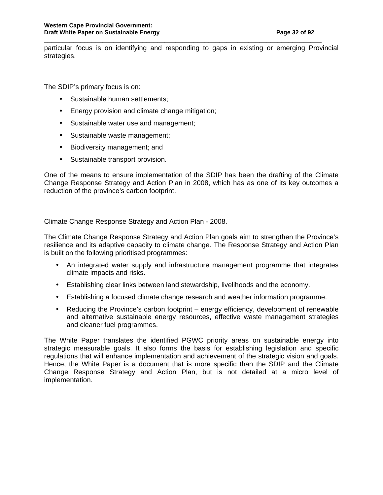particular focus is on identifying and responding to gaps in existing or emerging Provincial strategies.

\_\_\_\_\_\_\_\_\_\_\_\_\_\_\_\_\_\_\_\_\_\_\_\_\_\_\_\_\_\_\_\_\_\_\_\_\_\_\_\_\_\_\_\_\_\_\_\_\_\_\_\_\_\_\_\_\_\_\_\_\_\_\_\_\_\_\_\_\_\_\_\_\_\_\_\_

The SDIP's primary focus is on:

- Sustainable human settlements;
- Energy provision and climate change mitigation;
- Sustainable water use and management;
- Sustainable waste management;
- Biodiversity management; and
- Sustainable transport provision.

One of the means to ensure implementation of the SDIP has been the drafting of the Climate Change Response Strategy and Action Plan in 2008, which has as one of its key outcomes a reduction of the province's carbon footprint.

#### Climate Change Response Strategy and Action Plan - 2008.

The Climate Change Response Strategy and Action Plan goals aim to strengthen the Province's resilience and its adaptive capacity to climate change. The Response Strategy and Action Plan is built on the following prioritised programmes:

- An integrated water supply and infrastructure management programme that integrates climate impacts and risks.
- Establishing clear links between land stewardship, livelihoods and the economy.
- Establishing a focused climate change research and weather information programme.
- Reducing the Province's carbon footprint energy efficiency, development of renewable and alternative sustainable energy resources, effective waste management strategies and cleaner fuel programmes.

The White Paper translates the identified PGWC priority areas on sustainable energy into strategic measurable goals. It also forms the basis for establishing legislation and specific regulations that will enhance implementation and achievement of the strategic vision and goals. Hence, the White Paper is a document that is more specific than the SDIP and the Climate Change Response Strategy and Action Plan, but is not detailed at a micro level of implementation.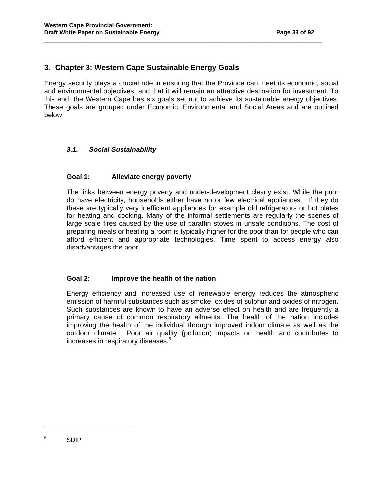## **3. Chapter 3: Western Cape Sustainable Energy Goals**

Energy security plays a crucial role in ensuring that the Province can meet its economic, social and environmental objectives, and that it will remain an attractive destination for investment. To this end, the Western Cape has six goals set out to achieve its sustainable energy objectives. These goals are grouped under Economic, Environmental and Social Areas and are outlined below.

\_\_\_\_\_\_\_\_\_\_\_\_\_\_\_\_\_\_\_\_\_\_\_\_\_\_\_\_\_\_\_\_\_\_\_\_\_\_\_\_\_\_\_\_\_\_\_\_\_\_\_\_\_\_\_\_\_\_\_\_\_\_\_\_\_\_\_\_\_\_\_\_\_\_\_\_

#### **3.1. Social Sustainability**

#### **Goal 1: Alleviate energy poverty**

The links between energy poverty and under-development clearly exist. While the poor do have electricity, households either have no or few electrical appliances. If they do these are typically very inefficient appliances for example old refrigerators or hot plates for heating and cooking. Many of the informal settlements are regularly the scenes of large scale fires caused by the use of paraffin stoves in unsafe conditions. The cost of preparing meals or heating a room is typically higher for the poor than for people who can afford efficient and appropriate technologies. Time spent to access energy also disadvantages the poor.

#### **Goal 2: Improve the health of the nation**

Energy efficiency and increased use of renewable energy reduces the atmospheric emission of harmful substances such as smoke, oxides of sulphur and oxides of nitrogen. Such substances are known to have an adverse effect on health and are frequently a primary cause of common respiratory ailments. The health of the nation includes improving the health of the individual through improved indoor climate as well as the outdoor climate. Poor air quality (pollution) impacts on health and contributes to increases in respiratory diseases.<sup>6</sup>

 $\overline{a}$ 

<sup>6</sup> SDIP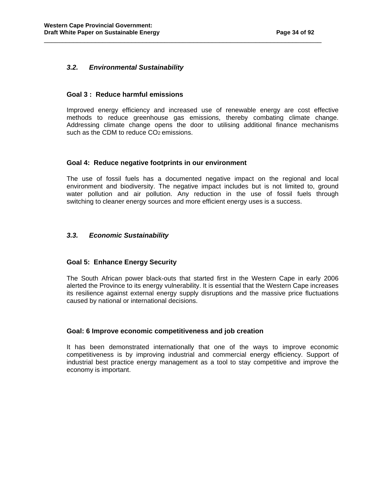#### **3.2. Environmental Sustainability**

#### **Goal 3 : Reduce harmful emissions**

 Improved energy efficiency and increased use of renewable energy are cost effective methods to reduce greenhouse gas emissions, thereby combating climate change. Addressing climate change opens the door to utilising additional finance mechanisms such as the CDM to reduce CO<sub>2</sub> emissions.

\_\_\_\_\_\_\_\_\_\_\_\_\_\_\_\_\_\_\_\_\_\_\_\_\_\_\_\_\_\_\_\_\_\_\_\_\_\_\_\_\_\_\_\_\_\_\_\_\_\_\_\_\_\_\_\_\_\_\_\_\_\_\_\_\_\_\_\_\_\_\_\_\_\_\_\_

#### **Goal 4: Reduce negative footprints in our environment**

 The use of fossil fuels has a documented negative impact on the regional and local environment and biodiversity. The negative impact includes but is not limited to, ground water pollution and air pollution. Any reduction in the use of fossil fuels through switching to cleaner energy sources and more efficient energy uses is a success.

#### **3.3. Economic Sustainability**

#### **Goal 5: Enhance Energy Security**

 The South African power black-outs that started first in the Western Cape in early 2006 alerted the Province to its energy vulnerability. It is essential that the Western Cape increases its resilience against external energy supply disruptions and the massive price fluctuations caused by national or international decisions.

#### **Goal: 6 Improve economic competitiveness and job creation**

 It has been demonstrated internationally that one of the ways to improve economic competitiveness is by improving industrial and commercial energy efficiency. Support of industrial best practice energy management as a tool to stay competitive and improve the economy is important.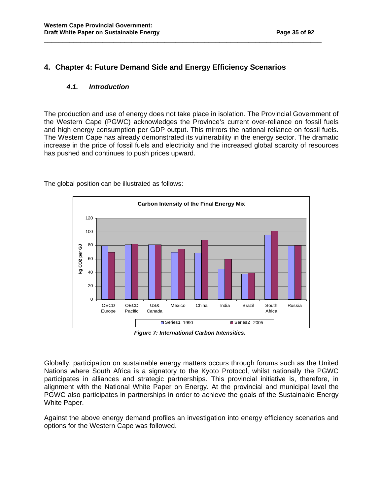## **4. Chapter 4: Future Demand Side and Energy Efficiency Scenarios**

\_\_\_\_\_\_\_\_\_\_\_\_\_\_\_\_\_\_\_\_\_\_\_\_\_\_\_\_\_\_\_\_\_\_\_\_\_\_\_\_\_\_\_\_\_\_\_\_\_\_\_\_\_\_\_\_\_\_\_\_\_\_\_\_\_\_\_\_\_\_\_\_\_\_\_\_

#### **4.1. Introduction**

The production and use of energy does not take place in isolation. The Provincial Government of the Western Cape (PGWC) acknowledges the Province's current over-reliance on fossil fuels and high energy consumption per GDP output. This mirrors the national reliance on fossil fuels. The Western Cape has already demonstrated its vulnerability in the energy sector. The dramatic increase in the price of fossil fuels and electricity and the increased global scarcity of resources has pushed and continues to push prices upward.



The global position can be illustrated as follows:

 **Figure 7: International Carbon Intensities.** 

Globally, participation on sustainable energy matters occurs through forums such as the United Nations where South Africa is a signatory to the Kyoto Protocol, whilst nationally the PGWC participates in alliances and strategic partnerships. This provincial initiative is, therefore, in alignment with the National White Paper on Energy. At the provincial and municipal level the PGWC also participates in partnerships in order to achieve the goals of the Sustainable Energy White Paper.

Against the above energy demand profiles an investigation into energy efficiency scenarios and options for the Western Cape was followed.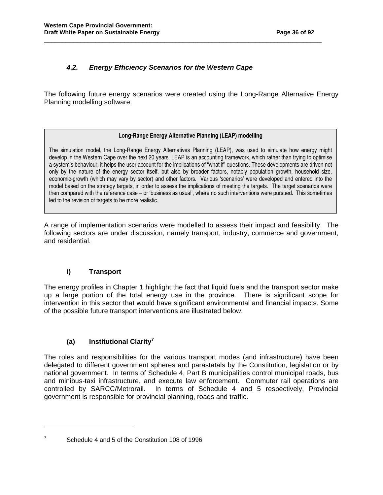## **4.2. Energy Efficiency Scenarios for the Western Cape**

The following future energy scenarios were created using the Long-Range Alternative Energy Planning modelling software.

\_\_\_\_\_\_\_\_\_\_\_\_\_\_\_\_\_\_\_\_\_\_\_\_\_\_\_\_\_\_\_\_\_\_\_\_\_\_\_\_\_\_\_\_\_\_\_\_\_\_\_\_\_\_\_\_\_\_\_\_\_\_\_\_\_\_\_\_\_\_\_\_\_\_\_\_

#### **Long-Range Energy Alternative Planning (LEAP) modelling**

The simulation model, the Long-Range Energy Alternatives Planning (LEAP), was used to simulate how energy might develop in the Western Cape over the next 20 years. LEAP is an accounting framework, which rather than trying to optimise a system's behaviour, it helps the user account for the implications of "what if" questions. These developments are driven not only by the nature of the energy sector itself, but also by broader factors, notably population growth, household size, economic-growth (which may vary by sector) and other factors. Various 'scenarios' were developed and entered into the model based on the strategy targets, in order to assess the implications of meeting the targets. The target scenarios were then compared with the reference case – or 'business as usual', where no such interventions were pursued. This sometimes led to the revision of targets to be more realistic.

A range of implementation scenarios were modelled to assess their impact and feasibility. The following sectors are under discussion, namely transport, industry, commerce and government, and residential.

#### **i) Transport**

 $\overline{a}$ 

The energy profiles in Chapter 1 highlight the fact that liquid fuels and the transport sector make up a large portion of the total energy use in the province. There is significant scope for intervention in this sector that would have significant environmental and financial impacts. Some of the possible future transport interventions are illustrated below.

## **(a) Institutional Clarity<sup>7</sup>**

The roles and responsibilities for the various transport modes (and infrastructure) have been delegated to different government spheres and parastatals by the Constitution, legislation or by national government. In terms of Schedule 4, Part B municipalities control municipal roads, bus and minibus-taxi infrastructure, and execute law enforcement. Commuter rail operations are controlled by SARCC/Metrorail. In terms of Schedule 4 and 5 respectively, Provincial government is responsible for provincial planning, roads and traffic.

<sup>7</sup> Schedule 4 and 5 of the Constitution 108 of 1996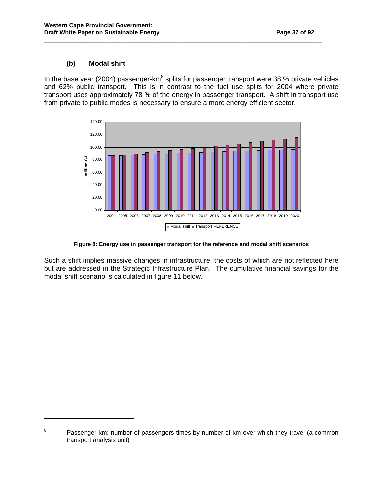# **(b) Modal shift**

l

In the base year (2004) passenger-km<sup>8</sup> splits for passenger transport were 38 % private vehicles and 62% public transport. This is in contrast to the fuel use splits for 2004 where private transport uses approximately 78 % of the energy in passenger transport. A shift in transport use from private to public modes is necessary to ensure a more energy efficient sector.

\_\_\_\_\_\_\_\_\_\_\_\_\_\_\_\_\_\_\_\_\_\_\_\_\_\_\_\_\_\_\_\_\_\_\_\_\_\_\_\_\_\_\_\_\_\_\_\_\_\_\_\_\_\_\_\_\_\_\_\_\_\_\_\_\_\_\_\_\_\_\_\_\_\_\_\_



**Figure 8: Energy use in passenger transport for the reference and modal shift scenarios** 

Such a shift implies massive changes in infrastructure, the costs of which are not reflected here but are addressed in the Strategic Infrastructure Plan. The cumulative financial savings for the modal shift scenario is calculated in figure 11 below.

<sup>8</sup> Passenger-km: number of passengers times by number of km over which they travel (a common transport analysis unit)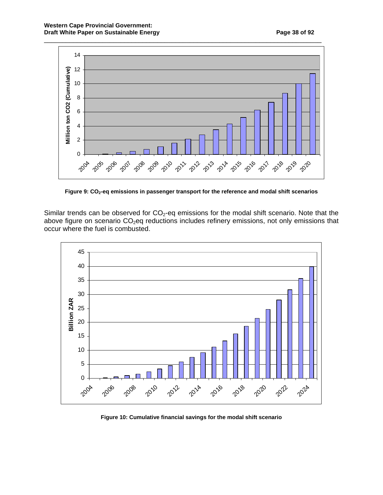

**Figure 9: CO2-eq emissions in passenger transport for the reference and modal shift scenarios** 

Similar trends can be observed for  $CO_2$ -eq emissions for the modal shift scenario. Note that the above figure on scenario  $CO<sub>2</sub>$ eq reductions includes refinery emissions, not only emissions that occur where the fuel is combusted.



**Figure 10: Cumulative financial savings for the modal shift scenario**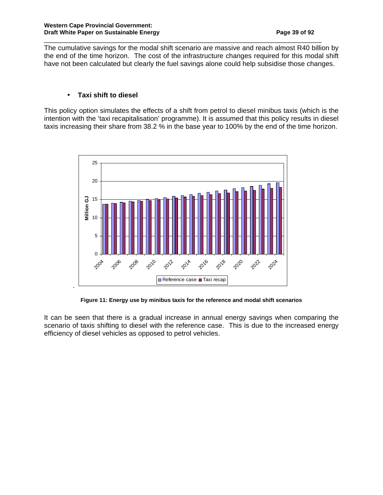The cumulative savings for the modal shift scenario are massive and reach almost R40 billion by the end of the time horizon. The cost of the infrastructure changes required for this modal shift have not been calculated but clearly the fuel savings alone could help subsidise those changes.

\_\_\_\_\_\_\_\_\_\_\_\_\_\_\_\_\_\_\_\_\_\_\_\_\_\_\_\_\_\_\_\_\_\_\_\_\_\_\_\_\_\_\_\_\_\_\_\_\_\_\_\_\_\_\_\_\_\_\_\_\_\_\_\_\_\_\_\_\_\_\_\_\_\_\_\_

# • **Taxi shift to diesel**

This policy option simulates the effects of a shift from petrol to diesel minibus taxis (which is the intention with the 'taxi recapitalisation' programme). It is assumed that this policy results in diesel taxis increasing their share from 38.2 % in the base year to 100% by the end of the time horizon.



**Figure 11: Energy use by minibus taxis for the reference and modal shift scenarios** 

It can be seen that there is a gradual increase in annual energy savings when comparing the scenario of taxis shifting to diesel with the reference case. This is due to the increased energy efficiency of diesel vehicles as opposed to petrol vehicles.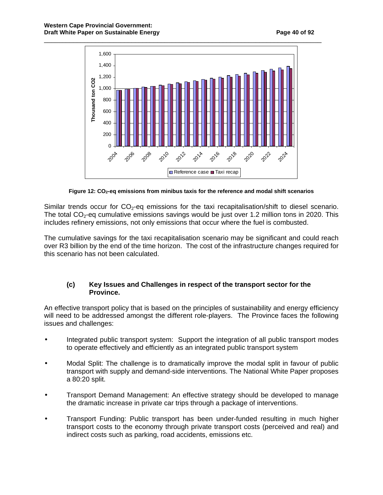

**Figure 12: CO2-eq emissions from minibus taxis for the reference and modal shift scenarios** 

Similar trends occur for  $CO<sub>2</sub>$ -eq emissions for the taxi recapitalisation/shift to diesel scenario. The total  $CO<sub>2</sub>$ -eq cumulative emissions savings would be just over 1.2 million tons in 2020. This includes refinery emissions, not only emissions that occur where the fuel is combusted.

The cumulative savings for the taxi recapitalisation scenario may be significant and could reach over R3 billion by the end of the time horizon. The cost of the infrastructure changes required for this scenario has not been calculated.

# **(c) Key Issues and Challenges in respect of the transport sector for the Province.**

An effective transport policy that is based on the principles of sustainability and energy efficiency will need to be addressed amongst the different role-players. The Province faces the following issues and challenges:

- Integrated public transport system: Support the integration of all public transport modes to operate effectively and efficiently as an integrated public transport system
- Modal Split: The challenge is to dramatically improve the modal split in favour of public transport with supply and demand-side interventions. The National White Paper proposes a 80:20 split.
- Transport Demand Management: An effective strategy should be developed to manage the dramatic increase in private car trips through a package of interventions.
- Transport Funding: Public transport has been under-funded resulting in much higher transport costs to the economy through private transport costs (perceived and real) and indirect costs such as parking, road accidents, emissions etc.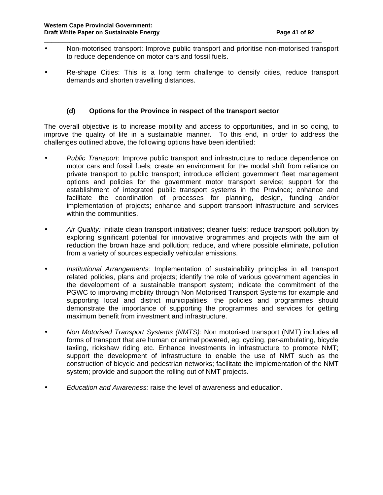• Non-motorised transport: Improve public transport and prioritise non-motorised transport to reduce dependence on motor cars and fossil fuels.

\_\_\_\_\_\_\_\_\_\_\_\_\_\_\_\_\_\_\_\_\_\_\_\_\_\_\_\_\_\_\_\_\_\_\_\_\_\_\_\_\_\_\_\_\_\_\_\_\_\_\_\_\_\_\_\_\_\_\_\_\_\_\_\_\_\_\_\_\_\_\_\_\_\_\_\_

Re-shape Cities: This is a long term challenge to densify cities, reduce transport demands and shorten travelling distances.

# **(d) Options for the Province in respect of the transport sector**

The overall objective is to increase mobility and access to opportunities, and in so doing, to improve the quality of life in a sustainable manner. To this end, in order to address the challenges outlined above, the following options have been identified:

- Public Transport: Improve public transport and infrastructure to reduce dependence on motor cars and fossil fuels; create an environment for the modal shift from reliance on private transport to public transport; introduce efficient government fleet management options and policies for the government motor transport service; support for the establishment of integrated public transport systems in the Province; enhance and facilitate the coordination of processes for planning, design, funding and/or implementation of projects; enhance and support transport infrastructure and services within the communities.
- Air Quality: Initiate clean transport initiatives; cleaner fuels; reduce transport pollution by exploring significant potential for innovative programmes and projects with the aim of reduction the brown haze and pollution; reduce, and where possible eliminate, pollution from a variety of sources especially vehicular emissions.
- Institutional Arrangements: Implementation of sustainability principles in all transport related policies, plans and projects; identify the role of various government agencies in the development of a sustainable transport system; indicate the commitment of the PGWC to improving mobility through Non Motorised Transport Systems for example and supporting local and district municipalities; the policies and programmes should demonstrate the importance of supporting the programmes and services for getting maximum benefit from investment and infrastructure.
- Non Motorised Transport Systems (NMTS): Non motorised transport (NMT) includes all forms of transport that are human or animal powered, eg. cycling, per-ambulating, bicycle taxiing, rickshaw riding etc. Enhance investments in infrastructure to promote NMT; support the development of infrastructure to enable the use of NMT such as the construction of bicycle and pedestrian networks; facilitate the implementation of the NMT system; provide and support the rolling out of NMT projects.
- Education and Awareness: raise the level of awareness and education.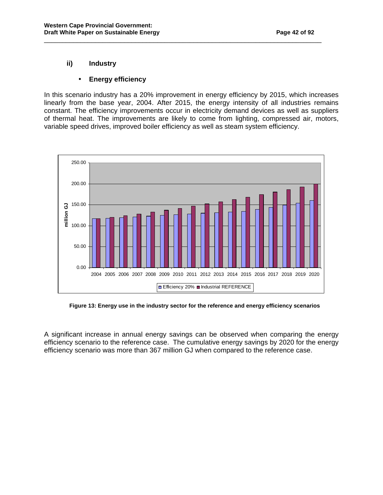# **ii) Industry**

# • **Energy efficiency**

In this scenario industry has a 20% improvement in energy efficiency by 2015, which increases linearly from the base year, 2004. After 2015, the energy intensity of all industries remains constant. The efficiency improvements occur in electricity demand devices as well as suppliers of thermal heat. The improvements are likely to come from lighting, compressed air, motors, variable speed drives, improved boiler efficiency as well as steam system efficiency.

\_\_\_\_\_\_\_\_\_\_\_\_\_\_\_\_\_\_\_\_\_\_\_\_\_\_\_\_\_\_\_\_\_\_\_\_\_\_\_\_\_\_\_\_\_\_\_\_\_\_\_\_\_\_\_\_\_\_\_\_\_\_\_\_\_\_\_\_\_\_\_\_\_\_\_\_



 **Figure 13: Energy use in the industry sector for the reference and energy efficiency scenarios** 

A significant increase in annual energy savings can be observed when comparing the energy efficiency scenario to the reference case. The cumulative energy savings by 2020 for the energy efficiency scenario was more than 367 million GJ when compared to the reference case.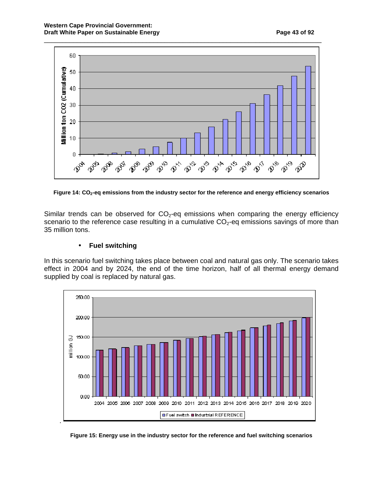

**Figure 14: CO2-eq emissions from the industry sector for the reference and energy efficiency scenarios** 

Similar trends can be observed for  $CO<sub>2</sub>$ -eq emissions when comparing the energy efficiency scenario to the reference case resulting in a cumulative  $CO<sub>2</sub>$ -eq emissions savings of more than 35 million tons.

# • **Fuel switching**

In this scenario fuel switching takes place between coal and natural gas only. The scenario takes effect in 2004 and by 2024, the end of the time horizon, half of all thermal energy demand supplied by coal is replaced by natural gas.



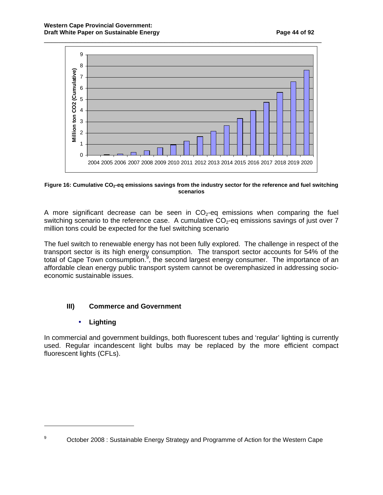

#### **Figure 16: Cumulative CO2-eq emissions savings from the industry sector for the reference and fuel switching scenarios**

A more significant decrease can be seen in  $CO<sub>2</sub>$ -eq emissions when comparing the fuel switching scenario to the reference case. A cumulative  $CO<sub>2</sub>$ -eq emissions savings of just over 7 million tons could be expected for the fuel switching scenario

The fuel switch to renewable energy has not been fully explored. The challenge in respect of the transport sector is its high energy consumption. The transport sector accounts for 54% of the total of Cape Town consumption.<sup>9</sup>, the second largest energy consumer. The importance of an affordable clean energy public transport system cannot be overemphasized in addressing socioeconomic sustainable issues.

# **III) Commerce and Government**

# • **Lighting**

 $\overline{a}$ 

In commercial and government buildings, both fluorescent tubes and 'regular' lighting is currently used. Regular incandescent light bulbs may be replaced by the more efficient compact fluorescent lights (CFLs).

<sup>9</sup> October 2008 : Sustainable Energy Strategy and Programme of Action for the Western Cape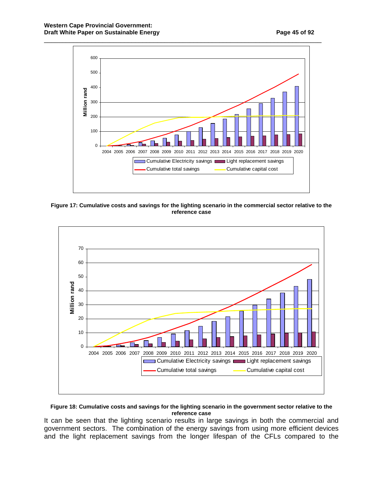





#### **Figure 18: Cumulative costs and savings for the lighting scenario in the government sector relative to the reference case**

It can be seen that the lighting scenario results in large savings in both the commercial and government sectors. The combination of the energy savings from using more efficient devices and the light replacement savings from the longer lifespan of the CFLs compared to the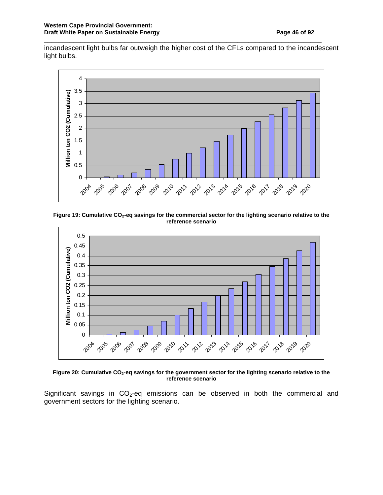incandescent light bulbs far outweigh the higher cost of the CFLs compared to the incandescent light bulbs.

\_\_\_\_\_\_\_\_\_\_\_\_\_\_\_\_\_\_\_\_\_\_\_\_\_\_\_\_\_\_\_\_\_\_\_\_\_\_\_\_\_\_\_\_\_\_\_\_\_\_\_\_\_\_\_\_\_\_\_\_\_\_\_\_\_\_\_\_\_\_\_\_\_\_\_\_



**Figure 19: Cumulative CO2-eq savings for the commercial sector for the lighting scenario relative to the reference scenario** 



**Figure 20: Cumulative CO2-eq savings for the government sector for the lighting scenario relative to the reference scenario** 

Significant savings in  $CO<sub>2</sub>$ -eq emissions can be observed in both the commercial and government sectors for the lighting scenario.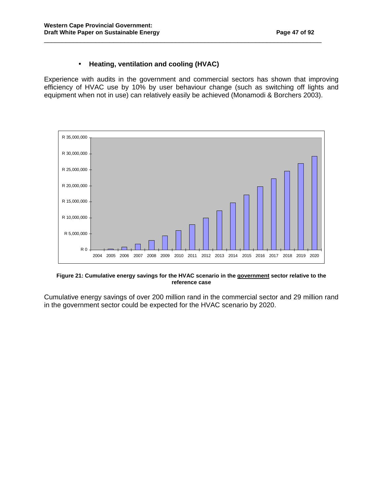# • **Heating, ventilation and cooling (HVAC)**

Experience with audits in the government and commercial sectors has shown that improving efficiency of HVAC use by 10% by user behaviour change (such as switching off lights and equipment when not in use) can relatively easily be achieved (Monamodi & Borchers 2003).

\_\_\_\_\_\_\_\_\_\_\_\_\_\_\_\_\_\_\_\_\_\_\_\_\_\_\_\_\_\_\_\_\_\_\_\_\_\_\_\_\_\_\_\_\_\_\_\_\_\_\_\_\_\_\_\_\_\_\_\_\_\_\_\_\_\_\_\_\_\_\_\_\_\_\_\_



**Figure 21: Cumulative energy savings for the HVAC scenario in the government sector relative to the reference case** 

Cumulative energy savings of over 200 million rand in the commercial sector and 29 million rand in the government sector could be expected for the HVAC scenario by 2020.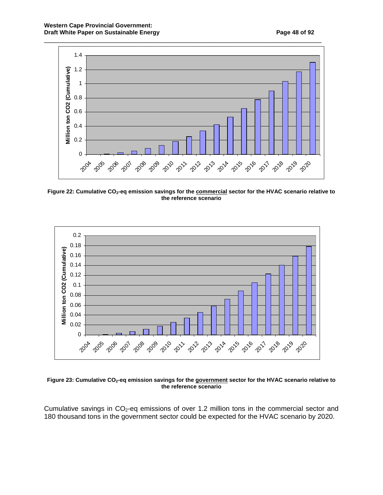

**Figure 22: Cumulative CO2-eq emission savings for the commercial sector for the HVAC scenario relative to the reference scenario** 



**Figure 23: Cumulative CO2-eq emission savings for the government sector for the HVAC scenario relative to the reference scenario** 

Cumulative savings in  $CO<sub>2</sub>$ -eq emissions of over 1.2 million tons in the commercial sector and 180 thousand tons in the government sector could be expected for the HVAC scenario by 2020.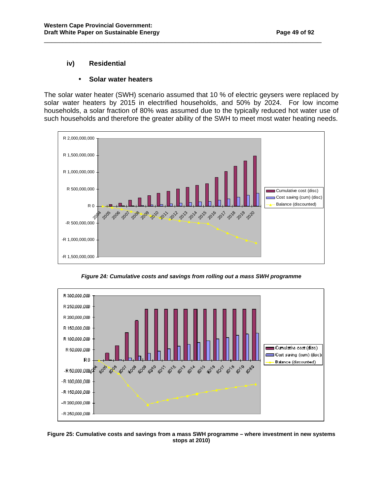# **iv) Residential**

#### • **Solar water heaters**

The solar water heater (SWH) scenario assumed that 10 % of electric geysers were replaced by solar water heaters by 2015 in electrified households, and 50% by 2024. For low income households, a solar fraction of 80% was assumed due to the typically reduced hot water use of such households and therefore the greater ability of the SWH to meet most water heating needs.

\_\_\_\_\_\_\_\_\_\_\_\_\_\_\_\_\_\_\_\_\_\_\_\_\_\_\_\_\_\_\_\_\_\_\_\_\_\_\_\_\_\_\_\_\_\_\_\_\_\_\_\_\_\_\_\_\_\_\_\_\_\_\_\_\_\_\_\_\_\_\_\_\_\_\_\_



**Figure 24: Cumulative costs and savings from rolling out a mass SWH programme** 



**Figure 25: Cumulative costs and savings from a mass SWH programme – where investment in new systems stops at 2010)**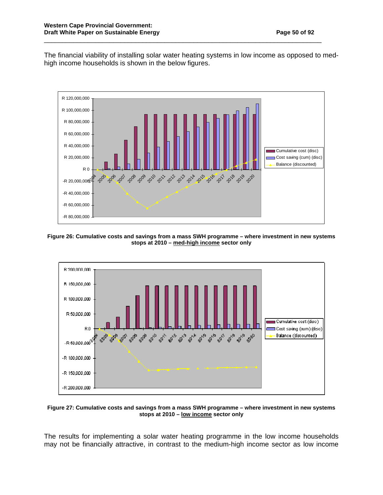The financial viability of installing solar water heating systems in low income as opposed to medhigh income households is shown in the below figures.

\_\_\_\_\_\_\_\_\_\_\_\_\_\_\_\_\_\_\_\_\_\_\_\_\_\_\_\_\_\_\_\_\_\_\_\_\_\_\_\_\_\_\_\_\_\_\_\_\_\_\_\_\_\_\_\_\_\_\_\_\_\_\_\_\_\_\_\_\_\_\_\_\_\_\_\_



**Figure 26: Cumulative costs and savings from a mass SWH programme – where investment in new systems stops at 2010 – med-high income sector only** 



**Figure 27: Cumulative costs and savings from a mass SWH programme – where investment in new systems stops at 2010 – low income sector only** 

The results for implementing a solar water heating programme in the low income households may not be financially attractive, in contrast to the medium-high income sector as low income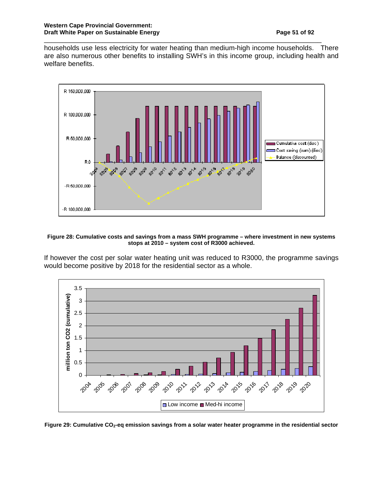households use less electricity for water heating than medium-high income households. There are also numerous other benefits to installing SWH's in this income group, including health and welfare benefits.

\_\_\_\_\_\_\_\_\_\_\_\_\_\_\_\_\_\_\_\_\_\_\_\_\_\_\_\_\_\_\_\_\_\_\_\_\_\_\_\_\_\_\_\_\_\_\_\_\_\_\_\_\_\_\_\_\_\_\_\_\_\_\_\_\_\_\_\_\_\_\_\_\_\_\_\_



#### **Figure 28: Cumulative costs and savings from a mass SWH programme – where investment in new systems stops at 2010 – system cost of R3000 achieved.**

If however the cost per solar water heating unit was reduced to R3000, the programme savings would become positive by 2018 for the residential sector as a whole.



**Figure 29: Cumulative CO2-eq emission savings from a solar water heater programme in the residential sector**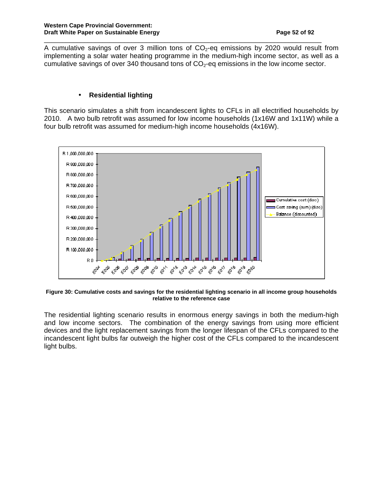A cumulative savings of over 3 million tons of  $CO<sub>2</sub>$ -eq emissions by 2020 would result from implementing a solar water heating programme in the medium-high income sector, as well as a cumulative savings of over 340 thousand tons of  $CO<sub>2</sub>$ -eq emissions in the low income sector.

\_\_\_\_\_\_\_\_\_\_\_\_\_\_\_\_\_\_\_\_\_\_\_\_\_\_\_\_\_\_\_\_\_\_\_\_\_\_\_\_\_\_\_\_\_\_\_\_\_\_\_\_\_\_\_\_\_\_\_\_\_\_\_\_\_\_\_\_\_\_\_\_\_\_\_\_

# • **Residential lighting**

This scenario simulates a shift from incandescent lights to CFLs in all electrified households by 2010. A two bulb retrofit was assumed for low income households (1x16W and 1x11W) while a four bulb retrofit was assumed for medium-high income households (4x16W).



**Figure 30: Cumulative costs and savings for the residential lighting scenario in all income group households relative to the reference case** 

The residential lighting scenario results in enormous energy savings in both the medium-high and low income sectors. The combination of the energy savings from using more efficient devices and the light replacement savings from the longer lifespan of the CFLs compared to the incandescent light bulbs far outweigh the higher cost of the CFLs compared to the incandescent light bulbs.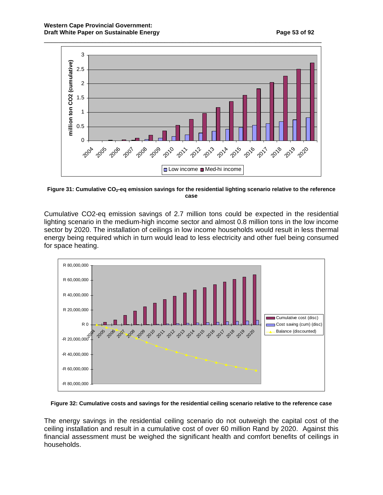

**Figure 31: Cumulative CO2-eq emission savings for the residential lighting scenario relative to the reference case** 

Cumulative CO2-eq emission savings of 2.7 million tons could be expected in the residential lighting scenario in the medium-high income sector and almost 0.8 million tons in the low income sector by 2020. The installation of ceilings in low income households would result in less thermal energy being required which in turn would lead to less electricity and other fuel being consumed for space heating.



#### **Figure 32: Cumulative costs and savings for the residential ceiling scenario relative to the reference case**

The energy savings in the residential ceiling scenario do not outweigh the capital cost of the ceiling installation and result in a cumulative cost of over 60 million Rand by 2020. Against this financial assessment must be weighed the significant health and comfort benefits of ceilings in households.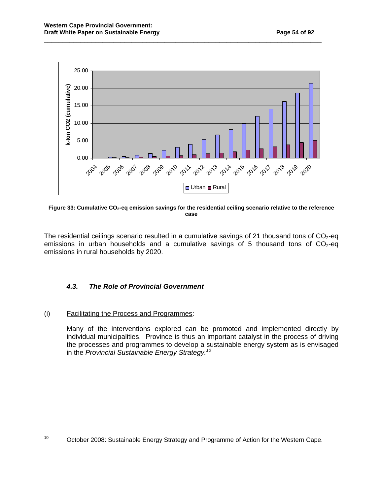

\_\_\_\_\_\_\_\_\_\_\_\_\_\_\_\_\_\_\_\_\_\_\_\_\_\_\_\_\_\_\_\_\_\_\_\_\_\_\_\_\_\_\_\_\_\_\_\_\_\_\_\_\_\_\_\_\_\_\_\_\_\_\_\_\_\_\_\_\_\_\_\_\_\_\_\_

**Figure 33: Cumulative CO2-eq emission savings for the residential ceiling scenario relative to the reference case** 

The residential ceilings scenario resulted in a cumulative savings of 21 thousand tons of  $CO<sub>2</sub>$ -eq emissions in urban households and a cumulative savings of 5 thousand tons of  $CO<sub>2</sub>$ -eq emissions in rural households by 2020.

# **4.3. The Role of Provincial Government**

#### (i) Facilitating the Process and Programmes:

 $\overline{a}$ 

Many of the interventions explored can be promoted and implemented directly by individual municipalities. Province is thus an important catalyst in the process of driving the processes and programmes to develop a sustainable energy system as is envisaged in the Provincial Sustainable Energy Strategy.<sup>10</sup>

<sup>&</sup>lt;sup>10</sup> October 2008: Sustainable Energy Strategy and Programme of Action for the Western Cape.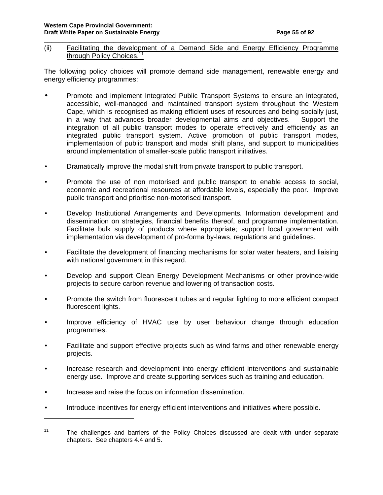(ii) Facilitating the development of a Demand Side and Energy Efficiency Programme through Policy Choices.<sup>11</sup>

\_\_\_\_\_\_\_\_\_\_\_\_\_\_\_\_\_\_\_\_\_\_\_\_\_\_\_\_\_\_\_\_\_\_\_\_\_\_\_\_\_\_\_\_\_\_\_\_\_\_\_\_\_\_\_\_\_\_\_\_\_\_\_\_\_\_\_\_\_\_\_\_\_\_\_\_

The following policy choices will promote demand side management, renewable energy and energy efficiency programmes:

- Promote and implement Integrated Public Transport Systems to ensure an integrated, accessible, well-managed and maintained transport system throughout the Western Cape, which is recognised as making efficient uses of resources and being socially just, in a way that advances broader developmental aims and objectives. Support the integration of all public transport modes to operate effectively and efficiently as an integrated public transport system. Active promotion of public transport modes, implementation of public transport and modal shift plans, and support to municipalities around implementation of smaller-scale public transport initiatives.
- Dramatically improve the modal shift from private transport to public transport.
- Promote the use of non motorised and public transport to enable access to social, economic and recreational resources at affordable levels, especially the poor. Improve public transport and prioritise non-motorised transport.
- Develop Institutional Arrangements and Developments. Information development and dissemination on strategies, financial benefits thereof, and programme implementation. Facilitate bulk supply of products where appropriate; support local government with implementation via development of pro-forma by-laws, regulations and guidelines.
- Facilitate the development of financing mechanisms for solar water heaters, and liaising with national government in this regard.
- Develop and support Clean Energy Development Mechanisms or other province-wide projects to secure carbon revenue and lowering of transaction costs.
- Promote the switch from fluorescent tubes and regular lighting to more efficient compact fluorescent lights.
- Improve efficiency of HVAC use by user behaviour change through education programmes.
- Facilitate and support effective projects such as wind farms and other renewable energy projects.
- Increase research and development into energy efficient interventions and sustainable energy use. Improve and create supporting services such as training and education.
- Increase and raise the focus on information dissemination.

l

• Introduce incentives for energy efficient interventions and initiatives where possible.

<sup>&</sup>lt;sup>11</sup> The challenges and barriers of the Policy Choices discussed are dealt with under separate chapters. See chapters 4.4 and 5.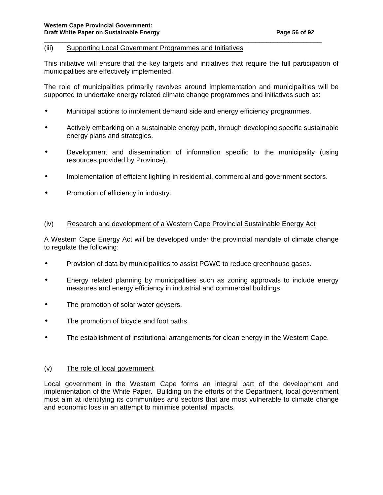#### (iii) Supporting Local Government Programmes and Initiatives

 This initiative will ensure that the key targets and initiatives that require the full participation of municipalities are effectively implemented.

\_\_\_\_\_\_\_\_\_\_\_\_\_\_\_\_\_\_\_\_\_\_\_\_\_\_\_\_\_\_\_\_\_\_\_\_\_\_\_\_\_\_\_\_\_\_\_\_\_\_\_\_\_\_\_\_\_\_\_\_\_\_\_\_\_\_\_\_\_\_\_\_\_\_\_\_

 The role of municipalities primarily revolves around implementation and municipalities will be supported to undertake energy related climate change programmes and initiatives such as:

- Municipal actions to implement demand side and energy efficiency programmes.
- Actively embarking on a sustainable energy path, through developing specific sustainable energy plans and strategies.
- Development and dissemination of information specific to the municipality (using resources provided by Province).
- Implementation of efficient lighting in residential, commercial and government sectors.
- Promotion of efficiency in industry.

#### (iv) Research and development of a Western Cape Provincial Sustainable Energy Act

A Western Cape Energy Act will be developed under the provincial mandate of climate change to regulate the following:

- Provision of data by municipalities to assist PGWC to reduce greenhouse gases.
- Energy related planning by municipalities such as zoning approvals to include energy measures and energy efficiency in industrial and commercial buildings.
- The promotion of solar water geysers.
- The promotion of bicycle and foot paths.
- The establishment of institutional arrangements for clean energy in the Western Cape.

#### (v) The role of local government

Local government in the Western Cape forms an integral part of the development and implementation of the White Paper. Building on the efforts of the Department, local government must aim at identifying its communities and sectors that are most vulnerable to climate change and economic loss in an attempt to minimise potential impacts.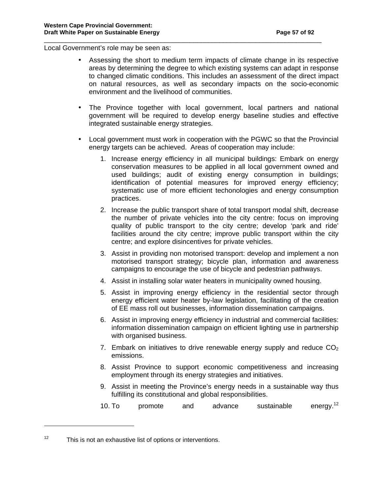Local Government's role may be seen as:

• Assessing the short to medium term impacts of climate change in its respective areas by determining the degree to which existing systems can adapt in response to changed climatic conditions. This includes an assessment of the direct impact on natural resources, as well as secondary impacts on the socio-economic environment and the livelihood of communities.

\_\_\_\_\_\_\_\_\_\_\_\_\_\_\_\_\_\_\_\_\_\_\_\_\_\_\_\_\_\_\_\_\_\_\_\_\_\_\_\_\_\_\_\_\_\_\_\_\_\_\_\_\_\_\_\_\_\_\_\_\_\_\_\_\_\_\_\_\_\_\_\_\_\_\_\_

- The Province together with local government, local partners and national government will be required to develop energy baseline studies and effective integrated sustainable energy strategies.
- Local government must work in cooperation with the PGWC so that the Provincial energy targets can be achieved. Areas of cooperation may include:
	- 1. Increase energy efficiency in all municipal buildings: Embark on energy conservation measures to be applied in all local government owned and used buildings; audit of existing energy consumption in buildings; identification of potential measures for improved energy efficiency; systematic use of more efficient techonologies and energy consumption practices.
	- 2. Increase the public transport share of total transport modal shift, decrease the number of private vehicles into the city centre: focus on improving quality of public transport to the city centre; develop 'park and ride' facilities around the city centre; improve public transport within the city centre; and explore disincentives for private vehicles.
	- 3. Assist in providing non motorised transport: develop and implement a non motorised transport strategy; bicycle plan, information and awareness campaigns to encourage the use of bicycle and pedestrian pathways.
	- 4. Assist in installing solar water heaters in municipality owned housing.
	- 5. Assist in improving energy efficiency in the residential sector through energy efficient water heater by-law legislation, facilitating of the creation of EE mass roll out businesses, information dissemination campaigns.
	- 6. Assist in improving energy efficiency in industrial and commercial facilities: information dissemination campaign on efficient lighting use in partnership with organised business.
	- 7. Embark on initiatives to drive renewable energy supply and reduce  $CO<sub>2</sub>$ emissions.
	- 8. Assist Province to support economic competitiveness and increasing employment through its energy strategies and initiatives.
	- 9. Assist in meeting the Province's energy needs in a sustainable way thus fulfilling its constitutional and global responsibilities.
	- 10. To promote and advance sustainable energy.<sup>12</sup>

 $12$  This is not an exhaustive list of options or interventions.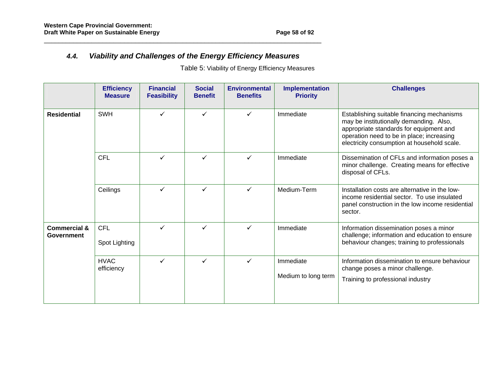# **4.4. Viability and Challenges of the Energy Efficiency Measures**

Table 5: Viability of Energy Efficiency Measures

|                                       | <b>Efficiency</b><br><b>Measure</b> | <b>Financial</b><br><b>Feasibility</b> | <b>Social</b><br><b>Benefit</b> | <b>Environmental</b><br><b>Benefits</b> | <b>Implementation</b><br><b>Priority</b> | <b>Challenges</b>                                                                                                                                                                                                            |
|---------------------------------------|-------------------------------------|----------------------------------------|---------------------------------|-----------------------------------------|------------------------------------------|------------------------------------------------------------------------------------------------------------------------------------------------------------------------------------------------------------------------------|
| <b>Residential</b>                    | <b>SWH</b>                          | ✓                                      | ✓                               | ✓                                       | Immediate                                | Establishing suitable financing mechanisms<br>may be institutionally demanding. Also,<br>appropriate standards for equipment and<br>operation need to be in place; increasing<br>electricity consumption at household scale. |
|                                       | <b>CFL</b>                          | $\checkmark$                           | $\checkmark$                    | ✓                                       | Immediate                                | Dissemination of CFLs and information poses a<br>minor challenge. Creating means for effective<br>disposal of CFLs.                                                                                                          |
|                                       | Ceilings                            | $\checkmark$                           | $\checkmark$                    | ✓                                       | Medium-Term                              | Installation costs are alternative in the low-<br>income residential sector. To use insulated<br>panel construction in the low income residential<br>sector.                                                                 |
| <b>Commercial &amp;</b><br>Government | <b>CFL</b><br>Spot Lighting         | $\checkmark$                           | $\checkmark$                    | ✓                                       | Immediate                                | Information dissemination poses a minor<br>challenge; information and education to ensure<br>behaviour changes; training to professionals                                                                                    |
|                                       | <b>HVAC</b><br>efficiency           | $\checkmark$                           | $\checkmark$                    | ✓                                       | Immediate<br>Medium to long term         | Information dissemination to ensure behaviour<br>change poses a minor challenge.<br>Training to professional industry                                                                                                        |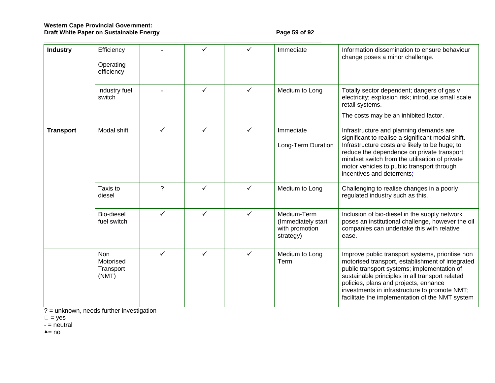# Western Cape Provincial Government:<br>Draft White Paper on Sustainable Energy Page 59 of 92

| <b>Industry</b>  | Efficiency<br>Operating<br>efficiency  |                |              |              | Immediate                                                        | Information dissemination to ensure behaviour<br>change poses a minor challenge.                                                                                                                                                                                                                                                                    |
|------------------|----------------------------------------|----------------|--------------|--------------|------------------------------------------------------------------|-----------------------------------------------------------------------------------------------------------------------------------------------------------------------------------------------------------------------------------------------------------------------------------------------------------------------------------------------------|
|                  | Industry fuel<br>switch                |                | $\checkmark$ | $\checkmark$ | Medium to Long                                                   | Totally sector dependent; dangers of gas v<br>electricity; explosion risk; introduce small scale<br>retail systems.<br>The costs may be an inhibited factor.                                                                                                                                                                                        |
| <b>Transport</b> | Modal shift                            | ✓              | ✓            | ✓            | Immediate<br>Long-Term Duration                                  | Infrastructure and planning demands are<br>significant to realise a significant modal shift.<br>Infrastructure costs are likely to be huge; to<br>reduce the dependence on private transport;<br>mindset switch from the utilisation of private<br>motor vehicles to public transport through<br>incentives and deterrents;                         |
|                  | Taxis to<br>diesel                     | $\overline{?}$ | ✓            | ✓            | Medium to Long                                                   | Challenging to realise changes in a poorly<br>regulated industry such as this.                                                                                                                                                                                                                                                                      |
|                  | Bio-diesel<br>fuel switch              | ✓              | ✓            | ✓            | Medium-Term<br>(Immediately start<br>with promotion<br>strategy) | Inclusion of bio-diesel in the supply network<br>poses an institutional challenge, however the oil<br>companies can undertake this with relative<br>ease.                                                                                                                                                                                           |
|                  | Non<br>Motorised<br>Transport<br>(NMT) | $\checkmark$   | $\checkmark$ | $\checkmark$ | Medium to Long<br>Term                                           | Improve public transport systems, prioritise non<br>motorised transport, establishment of integrated<br>public transport systems; implementation of<br>sustainable principles in all transport related<br>policies, plans and projects, enhance<br>investments in infrastructure to promote NMT;<br>facilitate the implementation of the NMT system |

? = unknown, needs further investigation

= yes

- = neutral

×= no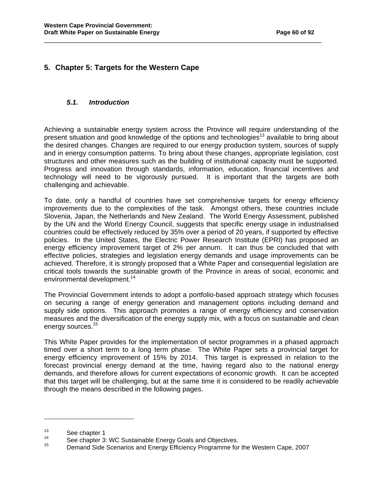# **5. Chapter 5: Targets for the Western Cape**

#### **5.1. Introduction**

Achieving a sustainable energy system across the Province will require understanding of the present situation and good knowledge of the options and technologies<sup>13</sup> available to bring about the desired changes. Changes are required to our energy production system, sources of supply and in energy consumption patterns. To bring about these changes, appropriate legislation, cost structures and other measures such as the building of institutional capacity must be supported. Progress and innovation through standards, information, education, financial incentives and technology will need to be vigorously pursued. It is important that the targets are both challenging and achievable.

\_\_\_\_\_\_\_\_\_\_\_\_\_\_\_\_\_\_\_\_\_\_\_\_\_\_\_\_\_\_\_\_\_\_\_\_\_\_\_\_\_\_\_\_\_\_\_\_\_\_\_\_\_\_\_\_\_\_\_\_\_\_\_\_\_\_\_\_\_\_\_\_\_\_\_\_

To date, only a handful of countries have set comprehensive targets for energy efficiency improvements due to the complexities of the task. Amongst others, these countries include Slovenia, Japan, the Netherlands and New Zealand. The World Energy Assessment, published by the UN and the World Energy Council, suggests that specific energy usage in industrialised countries could be effectively reduced by 35% over a period of 20 years, if supported by effective policies. In the United States, the Electric Power Research Institute (EPRI) has proposed an energy efficiency improvement target of 2% per annum. It can thus be concluded that with effective policies, strategies and legislation energy demands and usage improvements can be achieved. Therefore, it is strongly proposed that a White Paper and consequential legislation are critical tools towards the sustainable growth of the Province in areas of social, economic and environmental development.<sup>14</sup>

The Provincial Government intends to adopt a portfolio-based approach strategy which focuses on securing a range of energy generation and management options including demand and supply side options. This approach promotes a range of energy efficiency and conservation measures and the diversification of the energy supply mix, with a focus on sustainable and clean energy sources.<sup>15</sup>

This White Paper provides for the implementation of sector programmes in a phased approach timed over a short term to a long term phase. The White Paper sets a provincial target for energy efficiency improvement of 15% by 2014. This target is expressed in relation to the forecast provincial energy demand at the time, having regard also to the national energy demands, and therefore allows for current expectations of economic growth. It can be accepted that this target will be challenging, but at the same time it is considered to be readily achievable through the means described in the following pages.

 $13$  See chapter 1

<sup>&</sup>lt;sup>14</sup> See chapter 3: WC Sustainable Energy Goals and Objectives.<br><sup>15</sup> Demand Side Canaries and Energy Efficiency Programme for

<sup>15</sup> Demand Side Scenarios and Energy Efficiency Programme for the Western Cape, 2007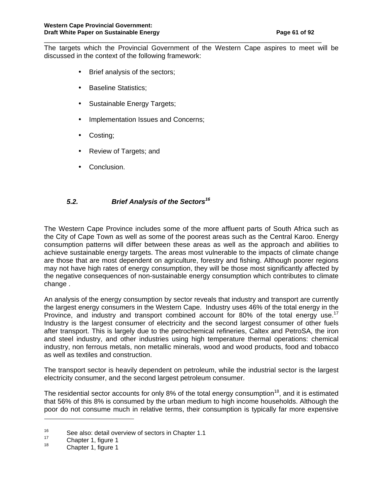The targets which the Provincial Government of the Western Cape aspires to meet will be discussed in the context of the following framework:

\_\_\_\_\_\_\_\_\_\_\_\_\_\_\_\_\_\_\_\_\_\_\_\_\_\_\_\_\_\_\_\_\_\_\_\_\_\_\_\_\_\_\_\_\_\_\_\_\_\_\_\_\_\_\_\_\_\_\_\_\_\_\_\_\_\_\_\_\_\_\_\_\_\_\_\_

- Brief analysis of the sectors;
- Baseline Statistics;
- Sustainable Energy Targets;
- Implementation Issues and Concerns;
- Costing;
- Review of Targets; and
- Conclusion.

# **5.2. Brief Analysis of the Sectors<sup>16</sup>**

The Western Cape Province includes some of the more affluent parts of South Africa such as the City of Cape Town as well as some of the poorest areas such as the Central Karoo. Energy consumption patterns will differ between these areas as well as the approach and abilities to achieve sustainable energy targets. The areas most vulnerable to the impacts of climate change are those that are most dependent on agriculture, forestry and fishing. Although poorer regions may not have high rates of energy consumption, they will be those most significantly affected by the negative consequences of non-sustainable energy consumption which contributes to climate change .

An analysis of the energy consumption by sector reveals that industry and transport are currently the largest energy consumers in the Western Cape. Industry uses 46% of the total energy in the Province, and industry and transport combined account for 80% of the total energy use.<sup>17</sup> Industry is the largest consumer of electricity and the second largest consumer of other fuels after transport. This is largely due to the petrochemical refineries, Caltex and PetroSA, the iron and steel industry, and other industries using high temperature thermal operations: chemical industry, non ferrous metals, non metallic minerals, wood and wood products, food and tobacco as well as textiles and construction.

The transport sector is heavily dependent on petroleum, while the industrial sector is the largest electricity consumer, and the second largest petroleum consumer.

The residential sector accounts for only 8% of the total energy consumption<sup>18</sup>, and it is estimated that 56% of this 8% is consumed by the urban medium to high income households. Although the poor do not consume much in relative terms, their consumption is typically far more expensive

<sup>&</sup>lt;sup>16</sup> See also: detail overview of sectors in Chapter 1.1<sup>7</sup>

 $^{17}$  Chapter 1, figure 1

Chapter 1, figure 1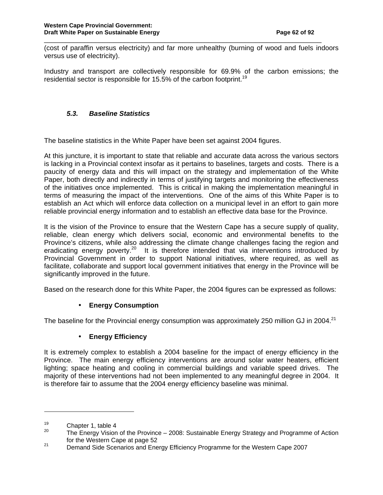(cost of paraffin versus electricity) and far more unhealthy (burning of wood and fuels indoors versus use of electricity).

\_\_\_\_\_\_\_\_\_\_\_\_\_\_\_\_\_\_\_\_\_\_\_\_\_\_\_\_\_\_\_\_\_\_\_\_\_\_\_\_\_\_\_\_\_\_\_\_\_\_\_\_\_\_\_\_\_\_\_\_\_\_\_\_\_\_\_\_\_\_\_\_\_\_\_\_

Industry and transport are collectively responsible for 69.9% of the carbon emissions; the residential sector is responsible for 15.5% of the carbon footprint.<sup>19</sup>

# **5.3. Baseline Statistics**

The baseline statistics in the White Paper have been set against 2004 figures.

At this juncture, it is important to state that reliable and accurate data across the various sectors is lacking in a Provincial context insofar as it pertains to baselines, targets and costs. There is a paucity of energy data and this will impact on the strategy and implementation of the White Paper, both directly and indirectly in terms of justifying targets and monitoring the effectiveness of the initiatives once implemented. This is critical in making the implementation meaningful in terms of measuring the impact of the interventions. One of the aims of this White Paper is to establish an Act which will enforce data collection on a municipal level in an effort to gain more reliable provincial energy information and to establish an effective data base for the Province.

It is the vision of the Province to ensure that the Western Cape has a secure supply of quality, reliable, clean energy which delivers social, economic and environmental benefits to the Province's citizens, while also addressing the climate change challenges facing the region and eradicating energy poverty.<sup>20</sup> It is therefore intended that via interventions introduced by Provincial Government in order to support National initiatives, where required, as well as facilitate, collaborate and support local government initiatives that energy in the Province will be significantly improved in the future.

Based on the research done for this White Paper, the 2004 figures can be expressed as follows:

# • **Energy Consumption**

The baseline for the Provincial energy consumption was approximately 250 million GJ in 2004.<sup>21</sup>

# • **Energy Efficiency**

It is extremely complex to establish a 2004 baseline for the impact of energy efficiency in the Province. The main energy efficiency interventions are around solar water heaters, efficient lighting; space heating and cooling in commercial buildings and variable speed drives. The majority of these interventions had not been implemented to any meaningful degree in 2004. It is therefore fair to assume that the 2004 energy efficiency baseline was minimal.

 $19$  Chapter 1, table 4<br> $19$  Chapter 1, table 4

The Energy Vision of the Province – 2008: Sustainable Energy Strategy and Programme of Action for the Western Cape at page 52

<sup>&</sup>lt;sup>21</sup> Demand Side Scenarios and Energy Efficiency Programme for the Western Cape 2007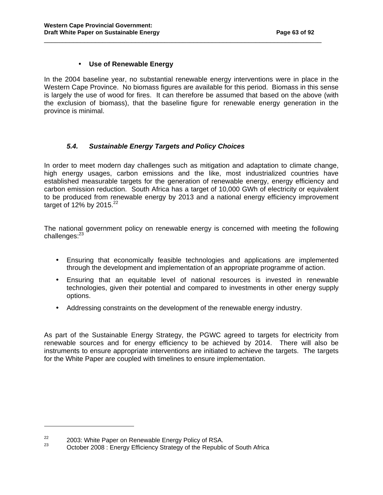# • **Use of Renewable Energy**

In the 2004 baseline year, no substantial renewable energy interventions were in place in the Western Cape Province. No biomass figures are available for this period. Biomass in this sense is largely the use of wood for fires. It can therefore be assumed that based on the above (with the exclusion of biomass), that the baseline figure for renewable energy generation in the province is minimal.

\_\_\_\_\_\_\_\_\_\_\_\_\_\_\_\_\_\_\_\_\_\_\_\_\_\_\_\_\_\_\_\_\_\_\_\_\_\_\_\_\_\_\_\_\_\_\_\_\_\_\_\_\_\_\_\_\_\_\_\_\_\_\_\_\_\_\_\_\_\_\_\_\_\_\_\_

# **5.4. Sustainable Energy Targets and Policy Choices**

In order to meet modern day challenges such as mitigation and adaptation to climate change, high energy usages, carbon emissions and the like, most industrialized countries have established measurable targets for the generation of renewable energy, energy efficiency and carbon emission reduction. South Africa has a target of 10,000 GWh of electricity or equivalent to be produced from renewable energy by 2013 and a national energy efficiency improvement target of 12% by 2015. $22$ 

The national government policy on renewable energy is concerned with meeting the following challenges:<sup>23</sup>

- Ensuring that economically feasible technologies and applications are implemented through the development and implementation of an appropriate programme of action.
- Ensuring that an equitable level of national resources is invested in renewable technologies, given their potential and compared to investments in other energy supply options.
- Addressing constraints on the development of the renewable energy industry.

As part of the Sustainable Energy Strategy, the PGWC agreed to targets for electricity from renewable sources and for energy efficiency to be achieved by 2014. There will also be instruments to ensure appropriate interventions are initiated to achieve the targets. The targets for the White Paper are coupled with timelines to ensure implementation.

l

<sup>&</sup>lt;sup>22</sup> 2003: White Paper on Renewable Energy Policy of RSA.

October 2008 : Energy Efficiency Strategy of the Republic of South Africa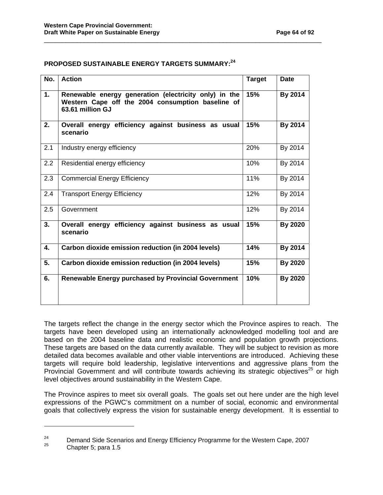# **PROPOSED SUSTAINABLE ENERGY TARGETS SUMMARY:<sup>24</sup>**

| No. | <b>Action</b>                                                                                                                  | <b>Target</b> | <b>Date</b>    |
|-----|--------------------------------------------------------------------------------------------------------------------------------|---------------|----------------|
| 1.  | Renewable energy generation (electricity only) in the<br>Western Cape off the 2004 consumption baseline of<br>63.61 million GJ | 15%           | By 2014        |
| 2.  | Overall energy efficiency against business as usual<br>scenario                                                                | 15%           | By 2014        |
| 2.1 | Industry energy efficiency                                                                                                     | 20%           | By 2014        |
| 2.2 | Residential energy efficiency                                                                                                  | 10%           | By 2014        |
| 2.3 | <b>Commercial Energy Efficiency</b>                                                                                            | 11%           | By 2014        |
| 2.4 | <b>Transport Energy Efficiency</b>                                                                                             | 12%           | By 2014        |
| 2.5 | Government                                                                                                                     | 12%           | By 2014        |
| 3.  | Overall energy efficiency against business as usual<br>scenario                                                                | 15%           | By 2020        |
| 4.  | Carbon dioxide emission reduction (in 2004 levels)                                                                             | 14%           | By 2014        |
| 5.  | Carbon dioxide emission reduction (in 2004 levels)                                                                             | 15%           | <b>By 2020</b> |
| 6.  | <b>Renewable Energy purchased by Provincial Government</b>                                                                     | 10%           | <b>By 2020</b> |

\_\_\_\_\_\_\_\_\_\_\_\_\_\_\_\_\_\_\_\_\_\_\_\_\_\_\_\_\_\_\_\_\_\_\_\_\_\_\_\_\_\_\_\_\_\_\_\_\_\_\_\_\_\_\_\_\_\_\_\_\_\_\_\_\_\_\_\_\_\_\_\_\_\_\_\_

The targets reflect the change in the energy sector which the Province aspires to reach. The targets have been developed using an internationally acknowledged modelling tool and are based on the 2004 baseline data and realistic economic and population growth projections. These targets are based on the data currently available. They will be subject to revision as more detailed data becomes available and other viable interventions are introduced. Achieving these targets will require bold leadership, legislative interventions and aggressive plans from the Provincial Government and will contribute towards achieving its strategic objectives<sup>25</sup> or high level objectives around sustainability in the Western Cape.

The Province aspires to meet six overall goals. The goals set out here under are the high level expressions of the PGWC's commitment on a number of social, economic and environmental goals that collectively express the vision for sustainable energy development. It is essential to

l

<sup>&</sup>lt;sup>24</sup> Demand Side Scenarios and Energy Efficiency Programme for the Western Cape, 2007

Chapter 5; para 1.5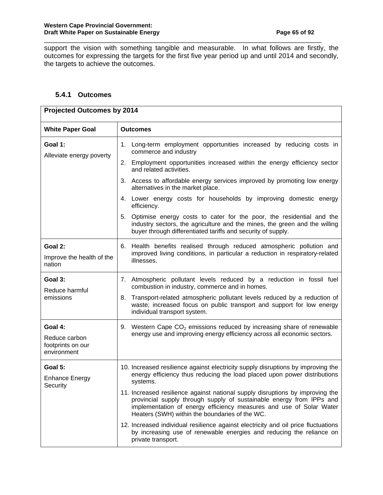support the vision with something tangible and measurable. In what follows are firstly, the outcomes for expressing the targets for the first five year period up and until 2014 and secondly, the targets to achieve the outcomes.

\_\_\_\_\_\_\_\_\_\_\_\_\_\_\_\_\_\_\_\_\_\_\_\_\_\_\_\_\_\_\_\_\_\_\_\_\_\_\_\_\_\_\_\_\_\_\_\_\_\_\_\_\_\_\_\_\_\_\_\_\_\_\_\_\_\_\_\_\_\_\_\_\_\_\_\_

# **5.4.1 Outcomes**

| <b>Projected Outcomes by 2014</b>                 |                                                                                                                                                                                                                                                                                |  |  |  |
|---------------------------------------------------|--------------------------------------------------------------------------------------------------------------------------------------------------------------------------------------------------------------------------------------------------------------------------------|--|--|--|
| <b>White Paper Goal</b>                           | <b>Outcomes</b>                                                                                                                                                                                                                                                                |  |  |  |
| Goal 1:<br>Alleviate energy poverty               | 1. Long-term employment opportunities increased by reducing costs in<br>commerce and industry                                                                                                                                                                                  |  |  |  |
|                                                   | 2. Employment opportunities increased within the energy efficiency sector<br>and related activities.                                                                                                                                                                           |  |  |  |
|                                                   | 3. Access to affordable energy services improved by promoting low energy<br>alternatives in the market place.                                                                                                                                                                  |  |  |  |
|                                                   | 4. Lower energy costs for households by improving domestic energy<br>efficiency.                                                                                                                                                                                               |  |  |  |
|                                                   | 5. Optimise energy costs to cater for the poor, the residential and the<br>industry sectors, the agriculture and the mines, the green and the willing<br>buyer through differentiated tariffs and security of supply.                                                          |  |  |  |
| Goal 2:                                           | 6. Health benefits realised through reduced atmospheric pollution and                                                                                                                                                                                                          |  |  |  |
| Improve the health of the<br>nation               | improved living conditions, in particular a reduction in respiratory-related<br>illnesses.                                                                                                                                                                                     |  |  |  |
| Goal 3:<br>Reduce harmful                         | 7. Atmospheric pollutant levels reduced by a reduction in fossil fuel<br>combustion in industry, commerce and in homes.                                                                                                                                                        |  |  |  |
| emissions                                         | Transport-related atmospheric pollutant levels reduced by a reduction of<br>8.<br>waste; increased focus on public transport and support for low energy<br>individual transport system.                                                                                        |  |  |  |
| Goal 4:                                           | 9. Western Cape CO <sub>2</sub> emissions reduced by increasing share of renewable                                                                                                                                                                                             |  |  |  |
| Reduce carbon<br>footprints on our<br>environment | energy use and improving energy efficiency across all economic sectors.                                                                                                                                                                                                        |  |  |  |
| Goal 5:<br><b>Enhance Energy</b>                  | 10. Increased resilience against electricity supply disruptions by improving the<br>energy efficiency thus reducing the load placed upon power distributions                                                                                                                   |  |  |  |
| Security                                          | systems.                                                                                                                                                                                                                                                                       |  |  |  |
|                                                   | 11. Increased resilience against national supply disruptions by improving the<br>provincial supply through supply of sustainable energy from IPPs and<br>implementation of energy efficiency measures and use of Solar Water<br>Heaters (SWH) within the boundaries of the WC. |  |  |  |
|                                                   | 12. Increased individual resilience against electricity and oil price fluctuations<br>by increasing use of renewable energies and reducing the reliance on<br>private transport.                                                                                               |  |  |  |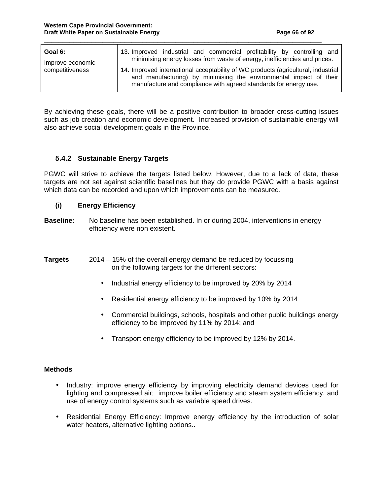| Goal 6:          | 13. Improved industrial and commercial profitability by controlling and                                                                                                                                                     |
|------------------|-----------------------------------------------------------------------------------------------------------------------------------------------------------------------------------------------------------------------------|
| Improve economic | minimising energy losses from waste of energy, inefficiencies and prices.                                                                                                                                                   |
| competitiveness  | 14. Improved international acceptability of WC products (agricultural, industrial<br>and manufacturing) by minimising the environmental impact of their<br>manufacture and compliance with agreed standards for energy use. |

\_\_\_\_\_\_\_\_\_\_\_\_\_\_\_\_\_\_\_\_\_\_\_\_\_\_\_\_\_\_\_\_\_\_\_\_\_\_\_\_\_\_\_\_\_\_\_\_\_\_\_\_\_\_\_\_\_\_\_\_\_\_\_\_\_\_\_\_\_\_\_\_\_\_\_\_

By achieving these goals, there will be a positive contribution to broader cross-cutting issues such as job creation and economic development. Increased provision of sustainable energy will also achieve social development goals in the Province.

# **5.4.2 Sustainable Energy Targets**

PGWC will strive to achieve the targets listed below. However, due to a lack of data, these targets are not set against scientific baselines but they do provide PGWC with a basis against which data can be recorded and upon which improvements can be measured.

#### **(i) Energy Efficiency**

- **Baseline:** No baseline has been established. In or during 2004, interventions in energy efficiency were non existent.
- **Targets** 2014 15% of the overall energy demand be reduced by focussing on the following targets for the different sectors:
	- Industrial energy efficiency to be improved by 20% by 2014
	- Residential energy efficiency to be improved by 10% by 2014
	- Commercial buildings, schools, hospitals and other public buildings energy efficiency to be improved by 11% by 2014; and
	- Transport energy efficiency to be improved by 12% by 2014.

#### **Methods**

- Industry: improve energy efficiency by improving electricity demand devices used for lighting and compressed air; improve boiler efficiency and steam system efficiency. and use of energy control systems such as variable speed drives.
- Residential Energy Efficiency: Improve energy efficiency by the introduction of solar water heaters, alternative lighting options..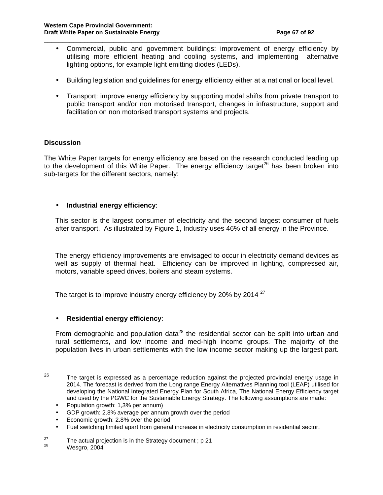• Commercial, public and government buildings: improvement of energy efficiency by utilising more efficient heating and cooling systems, and implementing alternative lighting options, for example light emitting diodes (LEDs).

\_\_\_\_\_\_\_\_\_\_\_\_\_\_\_\_\_\_\_\_\_\_\_\_\_\_\_\_\_\_\_\_\_\_\_\_\_\_\_\_\_\_\_\_\_\_\_\_\_\_\_\_\_\_\_\_\_\_\_\_\_\_\_\_\_\_\_\_\_\_\_\_\_\_\_\_

- Building legislation and guidelines for energy efficiency either at a national or local level.
- Transport: improve energy efficiency by supporting modal shifts from private transport to public transport and/or non motorised transport, changes in infrastructure, support and facilitation on non motorised transport systems and projects.

#### **Discussion**

The White Paper targets for energy efficiency are based on the research conducted leading up to the development of this White Paper. The energy efficiency target<sup>26</sup> has been broken into sub-targets for the different sectors, namely:

#### • **Industrial energy efficiency**:

This sector is the largest consumer of electricity and the second largest consumer of fuels after transport. As illustrated by Figure 1, Industry uses 46% of all energy in the Province.

The energy efficiency improvements are envisaged to occur in electricity demand devices as well as supply of thermal heat. Efficiency can be improved in lighting, compressed air, motors, variable speed drives, boilers and steam systems.

The target is to improve industry energy efficiency by 20% by 2014<sup>27</sup>

# • **Residential energy efficiency**:

From demographic and population data<sup>28</sup> the residential sector can be split into urban and rural settlements, and low income and med-high income groups. The majority of the population lives in urban settlements with the low income sector making up the largest part.

- Economic growth: 2.8% over the period
- Fuel switching limited apart from general increase in electricity consumption in residential sector.

<sup>26</sup> The target is expressed as a percentage reduction against the projected provincial energy usage in 2014. The forecast is derived from the Long range Energy Alternatives Planning tool (LEAP) utilised for developing the National Integrated Energy Plan for South Africa, The National Energy Efficiency target and used by the PGWC for the Sustainable Energy Strategy. The following assumptions are made:

<sup>•</sup> Population growth: 1,3% per annum)

<sup>•</sup> GDP growth: 2.8% average per annum growth over the period

<sup>&</sup>lt;sup>27</sup> The actual projection is in the Strategy document ; p 21<br><sup>28</sup> Measure 2004

Wesgro, 2004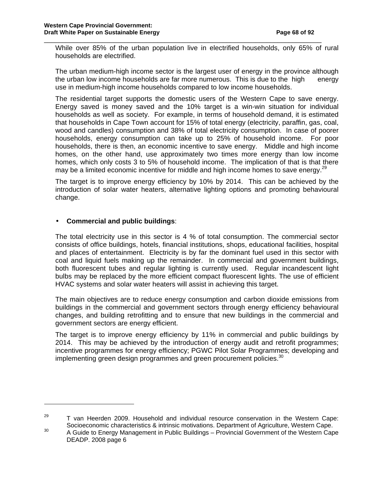While over 85% of the urban population live in electrified households, only 65% of rural households are electrified.

\_\_\_\_\_\_\_\_\_\_\_\_\_\_\_\_\_\_\_\_\_\_\_\_\_\_\_\_\_\_\_\_\_\_\_\_\_\_\_\_\_\_\_\_\_\_\_\_\_\_\_\_\_\_\_\_\_\_\_\_\_\_\_\_\_\_\_\_\_\_\_\_\_\_\_\_

The urban medium-high income sector is the largest user of energy in the province although the urban low income households are far more numerous. This is due to the high energy use in medium-high income households compared to low income households.

The residential target supports the domestic users of the Western Cape to save energy. Energy saved is money saved and the 10% target is a win-win situation for individual households as well as society. For example, in terms of household demand, it is estimated that households in Cape Town account for 15% of total energy (electricity, paraffin, gas, coal, wood and candles) consumption and 38% of total electricity consumption. In case of poorer households, energy consumption can take up to 25% of household income. For poor households, there is then, an economic incentive to save energy. Middle and high income homes, on the other hand, use approximately two times more energy than low income homes, which only costs 3 to 5% of household income. The implication of that is that there may be a limited economic incentive for middle and high income homes to save energy.<sup>29</sup>

The target is to improve energy efficiency by 10% by 2014. This can be achieved by the introduction of solar water heaters, alternative lighting options and promoting behavioural change.

# • **Commercial and public buildings**:

 $\overline{a}$ 

The total electricity use in this sector is 4 % of total consumption. The commercial sector consists of office buildings, hotels, financial institutions, shops, educational facilities, hospital and places of entertainment. Electricity is by far the dominant fuel used in this sector with coal and liquid fuels making up the remainder. In commercial and government buildings, both fluorescent tubes and regular lighting is currently used. Regular incandescent light bulbs may be replaced by the more efficient compact fluorescent lights. The use of efficient HVAC systems and solar water heaters will assist in achieving this target.

The main objectives are to reduce energy consumption and carbon dioxide emissions from buildings in the commercial and government sectors through energy efficiency behavioural changes, and building retrofitting and to ensure that new buildings in the commercial and government sectors are energy efficient.

The target is to improve energy efficiency by 11% in commercial and public buildings by 2014. This may be achieved by the introduction of energy audit and retrofit programmes; incentive programmes for energy efficiency; PGWC Pilot Solar Programmes; developing and implementing green design programmes and green procurement policies.<sup>30</sup>

 $29$  T van Heerden 2009. Household and individual resource conservation in the Western Cape: Socioeconomic characteristics & intrinsic motivations. Department of Agriculture, Western Cape.<br>30 A Quidate Example Magazine at in Public Public Publicace Previously Queense at of the Western Cap

A Guide to Energy Management in Public Buildings – Provincial Government of the Western Cape DEADP. 2008 page 6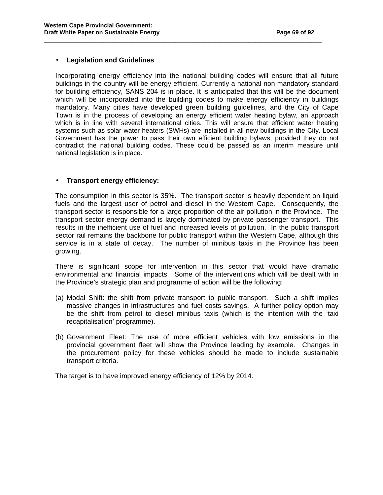#### • **Legislation and Guidelines**

Incorporating energy efficiency into the national building codes will ensure that all future buildings in the country will be energy efficient. Currently a national non mandatory standard for building efficiency, SANS 204 is in place. It is anticipated that this will be the document which will be incorporated into the building codes to make energy efficiency in buildings mandatory. Many cities have developed green building guidelines, and the City of Cape Town is in the process of developing an energy efficient water heating bylaw, an approach which is in line with several international cities. This will ensure that efficient water heating systems such as solar water heaters (SWHs) are installed in all new buildings in the City. Local Government has the power to pass their own efficient building bylaws, provided they do not contradict the national building codes. These could be passed as an interim measure until national legislation is in place.

\_\_\_\_\_\_\_\_\_\_\_\_\_\_\_\_\_\_\_\_\_\_\_\_\_\_\_\_\_\_\_\_\_\_\_\_\_\_\_\_\_\_\_\_\_\_\_\_\_\_\_\_\_\_\_\_\_\_\_\_\_\_\_\_\_\_\_\_\_\_\_\_\_\_\_\_

#### • **Transport energy efficiency:**

The consumption in this sector is 35%. The transport sector is heavily dependent on liquid fuels and the largest user of petrol and diesel in the Western Cape. Consequently, the transport sector is responsible for a large proportion of the air pollution in the Province. The transport sector energy demand is largely dominated by private passenger transport. This results in the inefficient use of fuel and increased levels of pollution. In the public transport sector rail remains the backbone for public transport within the Western Cape, although this service is in a state of decay. The number of minibus taxis in the Province has been growing.

There is significant scope for intervention in this sector that would have dramatic environmental and financial impacts. Some of the interventions which will be dealt with in the Province's strategic plan and programme of action will be the following:

- (a) Modal Shift: the shift from private transport to public transport. Such a shift implies massive changes in infrastructures and fuel costs savings. A further policy option may be the shift from petrol to diesel minibus taxis (which is the intention with the 'taxi recapitalisation' programme).
- (b) Government Fleet: The use of more efficient vehicles with low emissions in the provincial government fleet will show the Province leading by example. Changes in the procurement policy for these vehicles should be made to include sustainable transport criteria.

The target is to have improved energy efficiency of 12% by 2014.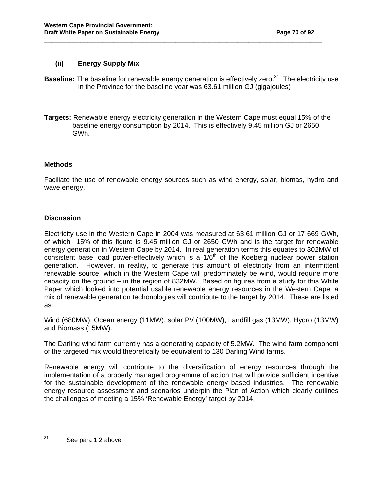# **(ii) Energy Supply Mix**

**Baseline:** The baseline for renewable energy generation is effectively zero.<sup>31</sup> The electricity use in the Province for the baseline year was 63.61 million GJ (gigajoules)

\_\_\_\_\_\_\_\_\_\_\_\_\_\_\_\_\_\_\_\_\_\_\_\_\_\_\_\_\_\_\_\_\_\_\_\_\_\_\_\_\_\_\_\_\_\_\_\_\_\_\_\_\_\_\_\_\_\_\_\_\_\_\_\_\_\_\_\_\_\_\_\_\_\_\_\_

**Targets:** Renewable energy electricity generation in the Western Cape must equal 15% of the baseline energy consumption by 2014. This is effectively 9.45 million GJ or 2650 GWh.

#### **Methods**

Faciliate the use of renewable energy sources such as wind energy, solar, biomas, hydro and wave energy.

# **Discussion**

Electricity use in the Western Cape in 2004 was measured at 63.61 million GJ or 17 669 GWh, of which 15% of this figure is 9.45 million GJ or 2650 GWh and is the target for renewable energy generation in Western Cape by 2014. In real generation terms this equates to 302MW of consistent base load power-effectively which is a  $1/6<sup>th</sup>$  of the Koeberg nuclear power station generation. However, in reality, to generate this amount of electricity from an intermittent renewable source, which in the Western Cape will predominately be wind, would require more capacity on the ground – in the region of 832MW. Based on figures from a study for this White Paper which looked into potential usable renewable energy resources in the Western Cape, a mix of renewable generation techonologies will contribute to the target by 2014. These are listed as:

Wind (680MW), Ocean energy (11MW), solar PV (100MW), Landfill gas (13MW), Hydro (13MW) and Biomass (15MW).

The Darling wind farm currently has a generating capacity of 5.2MW. The wind farm component of the targeted mix would theoretically be equivalent to 130 Darling Wind farms.

Renewable energy will contribute to the diversification of energy resources through the implementation of a properly managed programme of action that will provide sufficient incentive for the sustainable development of the renewable energy based industries. The renewable energy resource assessment and scenarios underpin the Plan of Action which clearly outlines the challenges of meeting a 15% 'Renewable Energy' target by 2014.

 $31$  See para 1.2 above.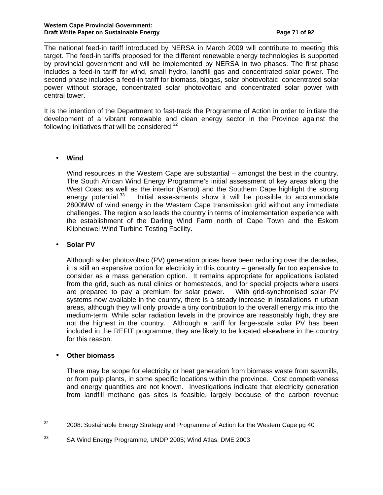The national feed-in tariff introduced by NERSA in March 2009 will contribute to meeting this target. The feed-in tariffs proposed for the different renewable energy technologies is supported by provincial government and will be implemented by NERSA in two phases. The first phase includes a feed-in tariff for wind, small hydro, landfill gas and concentrated solar power. The second phase includes a feed-in tariff for biomass, biogas, solar photovoltaic, concentrated solar power without storage, concentrated solar photovoltaic and concentrated solar power with central tower.

\_\_\_\_\_\_\_\_\_\_\_\_\_\_\_\_\_\_\_\_\_\_\_\_\_\_\_\_\_\_\_\_\_\_\_\_\_\_\_\_\_\_\_\_\_\_\_\_\_\_\_\_\_\_\_\_\_\_\_\_\_\_\_\_\_\_\_\_\_\_\_\_\_\_\_\_

It is the intention of the Department to fast-track the Programme of Action in order to initiate the development of a vibrant renewable and clean energy sector in the Province against the following initiatives that will be considered: $32$ 

# • **Wind**

Wind resources in the Western Cape are substantial – amongst the best in the country. The South African Wind Energy Programme's initial assessment of key areas along the West Coast as well as the interior (Karoo) and the Southern Cape highlight the strong energy potential.<sup>33</sup> Initial assessments show it will be possible to accommodate 2800MW of wind energy in the Western Cape transmission grid without any immediate challenges. The region also leads the country in terms of implementation experience with the establishment of the Darling Wind Farm north of Cape Town and the Eskom Klipheuwel Wind Turbine Testing Facility.

#### • **Solar PV**

 Although solar photovoltaic (PV) generation prices have been reducing over the decades, it is still an expensive option for electricity in this country – generally far too expensive to consider as a mass generation option. It remains appropriate for applications isolated from the grid, such as rural clinics or homesteads, and for special projects where users are prepared to pay a premium for solar power. With grid-synchronised solar PV systems now available in the country, there is a steady increase in installations in urban areas, although they will only provide a tiny contribution to the overall energy mix into the medium-term. While solar radiation levels in the province are reasonably high, they are not the highest in the country. Although a tariff for large-scale solar PV has been included in the REFIT programme, they are likely to be located elsewhere in the country for this reason.

#### • **Other biomass**

l

 There may be scope for electricity or heat generation from biomass waste from sawmills, or from pulp plants, in some specific locations within the province. Cost competitiveness and energy quantities are not known. Investigations indicate that electricity generation from landfill methane gas sites is feasible, largely because of the carbon revenue

 $32$  2008: Sustainable Energy Strategy and Programme of Action for the Western Cape pg 40

<sup>33</sup> SA Wind Energy Programme, UNDP 2005; Wind Atlas, DME 2003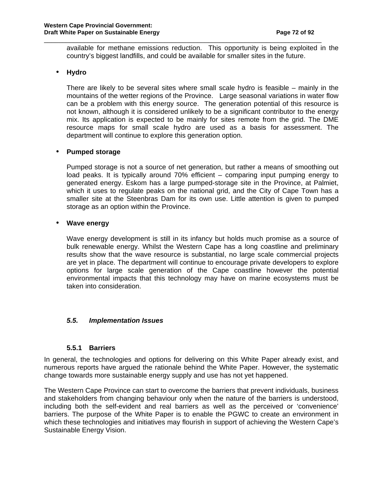available for methane emissions reduction. This opportunity is being exploited in the country's biggest landfills, and could be available for smaller sites in the future.

\_\_\_\_\_\_\_\_\_\_\_\_\_\_\_\_\_\_\_\_\_\_\_\_\_\_\_\_\_\_\_\_\_\_\_\_\_\_\_\_\_\_\_\_\_\_\_\_\_\_\_\_\_\_\_\_\_\_\_\_\_\_\_\_\_\_\_\_\_\_\_\_\_\_\_\_

# • **Hydro**

 There are likely to be several sites where small scale hydro is feasible – mainly in the mountains of the wetter regions of the Province. Large seasonal variations in water flow can be a problem with this energy source. The generation potential of this resource is not known, although it is considered unlikely to be a significant contributor to the energy mix. Its application is expected to be mainly for sites remote from the grid. The DME resource maps for small scale hydro are used as a basis for assessment. The department will continue to explore this generation option.

#### • **Pumped storage**

 Pumped storage is not a source of net generation, but rather a means of smoothing out load peaks. It is typically around 70% efficient – comparing input pumping energy to generated energy. Eskom has a large pumped-storage site in the Province, at Palmiet, which it uses to regulate peaks on the national grid, and the City of Cape Town has a smaller site at the Steenbras Dam for its own use. Little attention is given to pumped storage as an option within the Province.

#### • **Wave energy**

 Wave energy development is still in its infancy but holds much promise as a source of bulk renewable energy. Whilst the Western Cape has a long coastline and preliminary results show that the wave resource is substantial, no large scale commercial projects are yet in place. The department will continue to encourage private developers to explore options for large scale generation of the Cape coastline however the potential environmental impacts that this technology may have on marine ecosystems must be taken into consideration.

#### **5.5. Implementation Issues**

#### **5.5.1 Barriers**

In general, the technologies and options for delivering on this White Paper already exist, and numerous reports have argued the rationale behind the White Paper. However, the systematic change towards more sustainable energy supply and use has not yet happened.

The Western Cape Province can start to overcome the barriers that prevent individuals, business and stakeholders from changing behaviour only when the nature of the barriers is understood, including both the self-evident and real barriers as well as the perceived or 'convenience' barriers. The purpose of the White Paper is to enable the PGWC to create an environment in which these technologies and initiatives may flourish in support of achieving the Western Cape's Sustainable Energy Vision.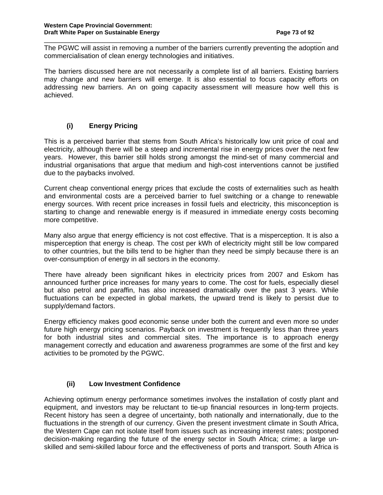The PGWC will assist in removing a number of the barriers currently preventing the adoption and commercialisation of clean energy technologies and initiatives.

\_\_\_\_\_\_\_\_\_\_\_\_\_\_\_\_\_\_\_\_\_\_\_\_\_\_\_\_\_\_\_\_\_\_\_\_\_\_\_\_\_\_\_\_\_\_\_\_\_\_\_\_\_\_\_\_\_\_\_\_\_\_\_\_\_\_\_\_\_\_\_\_\_\_\_\_

The barriers discussed here are not necessarily a complete list of all barriers. Existing barriers may change and new barriers will emerge. It is also essential to focus capacity efforts on addressing new barriers. An on going capacity assessment will measure how well this is achieved.

## **(i) Energy Pricing**

This is a perceived barrier that stems from South Africa's historically low unit price of coal and electricity, although there will be a steep and incremental rise in energy prices over the next few years. However, this barrier still holds strong amongst the mind-set of many commercial and industrial organisations that argue that medium and high-cost interventions cannot be justified due to the paybacks involved.

Current cheap conventional energy prices that exclude the costs of externalities such as health and environmental costs are a perceived barrier to fuel switching or a change to renewable energy sources. With recent price increases in fossil fuels and electricity, this misconception is starting to change and renewable energy is if measured in immediate energy costs becoming more competitive.

Many also argue that energy efficiency is not cost effective. That is a misperception. It is also a misperception that energy is cheap. The cost per kWh of electricity might still be low compared to other countries, but the bills tend to be higher than they need be simply because there is an over-consumption of energy in all sectors in the economy.

There have already been significant hikes in electricity prices from 2007 and Eskom has announced further price increases for many years to come. The cost for fuels, especially diesel but also petrol and paraffin, has also increased dramatically over the past 3 years. While fluctuations can be expected in global markets, the upward trend is likely to persist due to supply/demand factors.

Energy efficiency makes good economic sense under both the current and even more so under future high energy pricing scenarios. Payback on investment is frequently less than three years for both industrial sites and commercial sites. The importance is to approach energy management correctly and education and awareness programmes are some of the first and key activities to be promoted by the PGWC.

#### **(ii) Low Investment Confidence**

Achieving optimum energy performance sometimes involves the installation of costly plant and equipment, and investors may be reluctant to tie-up financial resources in long-term projects. Recent history has seen a degree of uncertainty, both nationally and internationally, due to the fluctuations in the strength of our currency. Given the present investment climate in South Africa, the Western Cape can not isolate itself from issues such as increasing interest rates; postponed decision-making regarding the future of the energy sector in South Africa; crime; a large unskilled and semi-skilled labour force and the effectiveness of ports and transport. South Africa is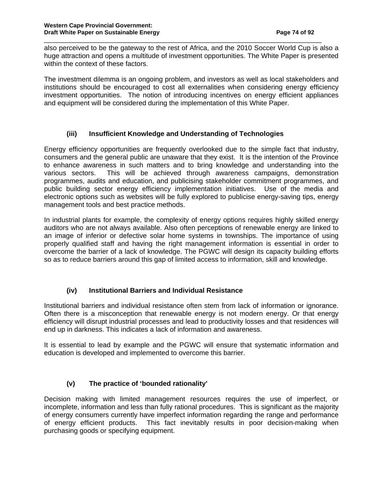also perceived to be the gateway to the rest of Africa, and the 2010 Soccer World Cup is also a huge attraction and opens a multitude of investment opportunities. The White Paper is presented within the context of these factors.

\_\_\_\_\_\_\_\_\_\_\_\_\_\_\_\_\_\_\_\_\_\_\_\_\_\_\_\_\_\_\_\_\_\_\_\_\_\_\_\_\_\_\_\_\_\_\_\_\_\_\_\_\_\_\_\_\_\_\_\_\_\_\_\_\_\_\_\_\_\_\_\_\_\_\_\_

The investment dilemma is an ongoing problem, and investors as well as local stakeholders and institutions should be encouraged to cost all externalities when considering energy efficiency investment opportunities. The notion of introducing incentives on energy efficient appliances and equipment will be considered during the implementation of this White Paper.

### **(iii) Insufficient Knowledge and Understanding of Technologies**

Energy efficiency opportunities are frequently overlooked due to the simple fact that industry, consumers and the general public are unaware that they exist. It is the intention of the Province to enhance awareness in such matters and to bring knowledge and understanding into the various sectors. This will be achieved through awareness campaigns, demonstration programmes, audits and education, and publicising stakeholder commitment programmes, and public building sector energy efficiency implementation initiatives. Use of the media and electronic options such as websites will be fully explored to publicise energy-saving tips, energy management tools and best practice methods.

In industrial plants for example, the complexity of energy options requires highly skilled energy auditors who are not always available. Also often perceptions of renewable energy are linked to an image of inferior or defective solar home systems in townships. The importance of using properly qualified staff and having the right management information is essential in order to overcome the barrier of a lack of knowledge. The PGWC will design its capacity building efforts so as to reduce barriers around this gap of limited access to information, skill and knowledge.

## **(iv) Institutional Barriers and Individual Resistance**

Institutional barriers and individual resistance often stem from lack of information or ignorance. Often there is a misconception that renewable energy is not modern energy. Or that energy efficiency will disrupt industrial processes and lead to productivity losses and that residences will end up in darkness. This indicates a lack of information and awareness.

It is essential to lead by example and the PGWC will ensure that systematic information and education is developed and implemented to overcome this barrier.

## **(v) The practice of 'bounded rationality'**

Decision making with limited management resources requires the use of imperfect, or incomplete, information and less than fully rational procedures. This is significant as the majority of energy consumers currently have imperfect information regarding the range and performance of energy efficient products. This fact inevitably results in poor decision-making when purchasing goods or specifying equipment.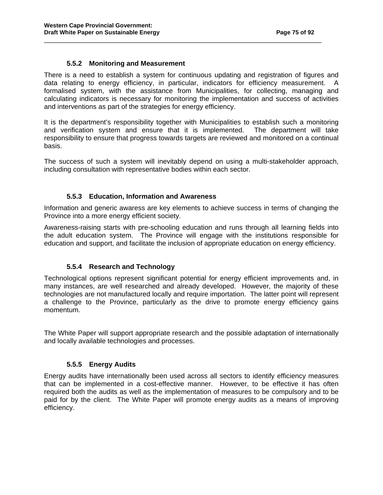#### **5.5.2 Monitoring and Measurement**

There is a need to establish a system for continuous updating and registration of figures and data relating to energy efficiency, in particular, indicators for efficiency measurement. A formalised system, with the assistance from Municipalities, for collecting, managing and calculating indicators is necessary for monitoring the implementation and success of activities and interventions as part of the strategies for energy efficiency.

\_\_\_\_\_\_\_\_\_\_\_\_\_\_\_\_\_\_\_\_\_\_\_\_\_\_\_\_\_\_\_\_\_\_\_\_\_\_\_\_\_\_\_\_\_\_\_\_\_\_\_\_\_\_\_\_\_\_\_\_\_\_\_\_\_\_\_\_\_\_\_\_\_\_\_\_

It is the department's responsibility together with Municipalities to establish such a monitoring and verification system and ensure that it is implemented. The department will take responsibility to ensure that progress towards targets are reviewed and monitored on a continual basis.

The success of such a system will inevitably depend on using a multi-stakeholder approach, including consultation with representative bodies within each sector.

#### **5.5.3 Education, Information and Awareness**

Information and generic awaress are key elements to achieve success in terms of changing the Province into a more energy efficient society.

Awareness-raising starts with pre-schooling education and runs through all learning fields into the adult education system. The Province will engage with the institutions responsible for education and support, and facilitate the inclusion of appropriate education on energy efficiency.

#### **5.5.4 Research and Technology**

Technological options represent significant potential for energy efficient improvements and, in many instances, are well researched and already developed. However, the majority of these technologies are not manufactured locally and require importation. The latter point will represent a challenge to the Province, particularly as the drive to promote energy efficiency gains momentum.

The White Paper will support appropriate research and the possible adaptation of internationally and locally available technologies and processes.

#### **5.5.5 Energy Audits**

Energy audits have internationally been used across all sectors to identify efficiency measures that can be implemented in a cost-effective manner. However, to be effective it has often required both the audits as well as the implementation of measures to be compulsory and to be paid for by the client. The White Paper will promote energy audits as a means of improving efficiency.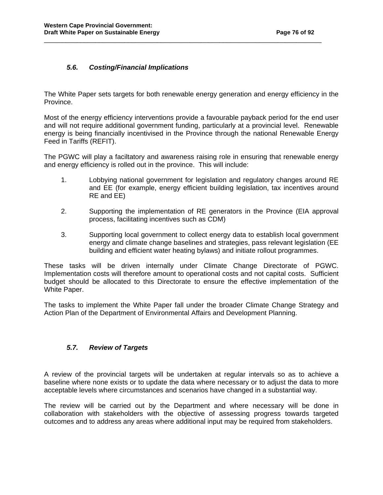### **5.6. Costing/Financial Implications**

The White Paper sets targets for both renewable energy generation and energy efficiency in the Province.

\_\_\_\_\_\_\_\_\_\_\_\_\_\_\_\_\_\_\_\_\_\_\_\_\_\_\_\_\_\_\_\_\_\_\_\_\_\_\_\_\_\_\_\_\_\_\_\_\_\_\_\_\_\_\_\_\_\_\_\_\_\_\_\_\_\_\_\_\_\_\_\_\_\_\_\_

Most of the energy efficiency interventions provide a favourable payback period for the end user and will not require additional government funding, particularly at a provincial level. Renewable energy is being financially incentivised in the Province through the national Renewable Energy Feed in Tariffs (REFIT).

The PGWC will play a faciltatory and awareness raising role in ensuring that renewable energy and energy efficiency is rolled out in the province. This will include:

- 1. Lobbying national government for legislation and regulatory changes around RE and EE (for example, energy efficient building legislation, tax incentives around RE and EE)
- 2. Supporting the implementation of RE generators in the Province (EIA approval process, facilitating incentives such as CDM)
- 3. Supporting local government to collect energy data to establish local government energy and climate change baselines and strategies, pass relevant legislation (EE building and efficient water heating bylaws) and initiate rollout programmes.

These tasks will be driven internally under Climate Change Directorate of PGWC. Implementation costs will therefore amount to operational costs and not capital costs. Sufficient budget should be allocated to this Directorate to ensure the effective implementation of the White Paper.

The tasks to implement the White Paper fall under the broader Climate Change Strategy and Action Plan of the Department of Environmental Affairs and Development Planning.

#### **5.7. Review of Targets**

A review of the provincial targets will be undertaken at regular intervals so as to achieve a baseline where none exists or to update the data where necessary or to adjust the data to more acceptable levels where circumstances and scenarios have changed in a substantial way.

The review will be carried out by the Department and where necessary will be done in collaboration with stakeholders with the objective of assessing progress towards targeted outcomes and to address any areas where additional input may be required from stakeholders.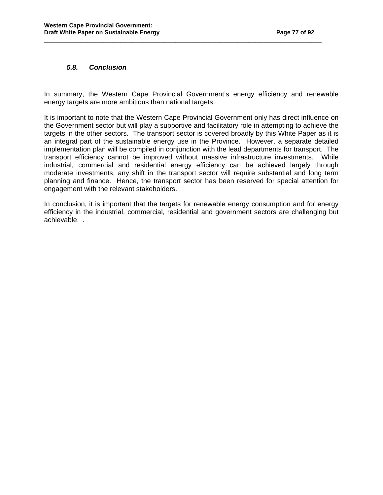#### **5.8. Conclusion**

In summary, the Western Cape Provincial Government's energy efficiency and renewable energy targets are more ambitious than national targets.

\_\_\_\_\_\_\_\_\_\_\_\_\_\_\_\_\_\_\_\_\_\_\_\_\_\_\_\_\_\_\_\_\_\_\_\_\_\_\_\_\_\_\_\_\_\_\_\_\_\_\_\_\_\_\_\_\_\_\_\_\_\_\_\_\_\_\_\_\_\_\_\_\_\_\_\_

It is important to note that the Western Cape Provincial Government only has direct influence on the Government sector but will play a supportive and facilitatory role in attempting to achieve the targets in the other sectors. The transport sector is covered broadly by this White Paper as it is an integral part of the sustainable energy use in the Province. However, a separate detailed implementation plan will be compiled in conjunction with the lead departments for transport. The transport efficiency cannot be improved without massive infrastructure investments. While industrial, commercial and residential energy efficiency can be achieved largely through moderate investments, any shift in the transport sector will require substantial and long term planning and finance. Hence, the transport sector has been reserved for special attention for engagement with the relevant stakeholders.

In conclusion, it is important that the targets for renewable energy consumption and for energy efficiency in the industrial, commercial, residential and government sectors are challenging but achievable. .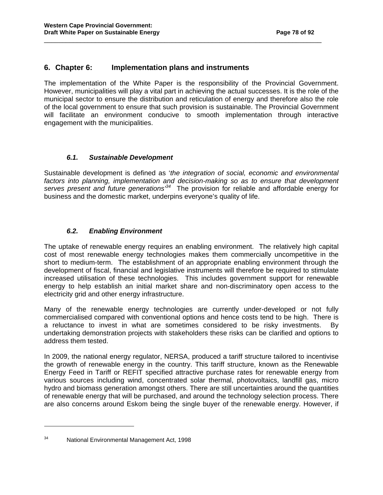### **6. Chapter 6: Implementation plans and instruments**

The implementation of the White Paper is the responsibility of the Provincial Government. However, municipalities will play a vital part in achieving the actual successes. It is the role of the municipal sector to ensure the distribution and reticulation of energy and therefore also the role of the local government to ensure that such provision is sustainable. The Provincial Government will facilitate an environment conducive to smooth implementation through interactive engagement with the municipalities.

\_\_\_\_\_\_\_\_\_\_\_\_\_\_\_\_\_\_\_\_\_\_\_\_\_\_\_\_\_\_\_\_\_\_\_\_\_\_\_\_\_\_\_\_\_\_\_\_\_\_\_\_\_\_\_\_\_\_\_\_\_\_\_\_\_\_\_\_\_\_\_\_\_\_\_\_

#### **6.1. Sustainable Development**

Sustainable development is defined as 'the integration of social, economic and environmental factors into planning, implementation and decision-making so as to ensure that development serves present and future generations<sup>34</sup>. The provision for reliable and affordable energy for business and the domestic market, underpins everyone's quality of life.

#### **6.2. Enabling Environment**

The uptake of renewable energy requires an enabling environment. The relatively high capital cost of most renewable energy technologies makes them commercially uncompetitive in the short to medium-term. The establishment of an appropriate enabling environment through the development of fiscal, financial and legislative instruments will therefore be required to stimulate increased utilisation of these technologies. This includes government support for renewable energy to help establish an initial market share and non-discriminatory open access to the electricity grid and other energy infrastructure.

Many of the renewable energy technologies are currently under-developed or not fully commercialised compared with conventional options and hence costs tend to be high. There is a reluctance to invest in what are sometimes considered to be risky investments. By undertaking demonstration projects with stakeholders these risks can be clarified and options to address them tested.

In 2009, the national energy regulator, NERSA, produced a tariff structure tailored to incentivise the growth of renewable energy in the country. This tariff structure, known as the Renewable Energy Feed in Tariff or REFIT specified attractive purchase rates for renewable energy from various sources including wind, concentrated solar thermal, photovoltaics, landfill gas, micro hydro and biomass generation amongst others. There are still uncertainties around the quantities of renewable energy that will be purchased, and around the technology selection process. There are also concerns around Eskom being the single buyer of the renewable energy. However, if

 $\overline{a}$ 

<sup>34</sup> National Environmental Management Act, 1998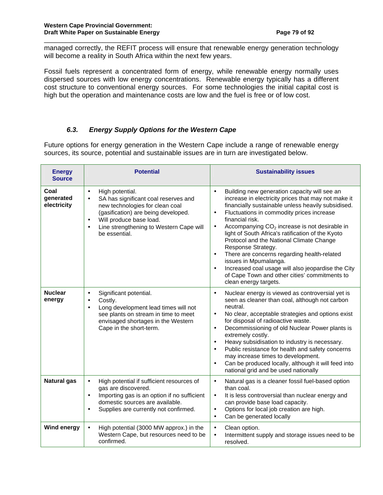managed correctly, the REFIT process will ensure that renewable energy generation technology will become a reality in South Africa within the next few years.

\_\_\_\_\_\_\_\_\_\_\_\_\_\_\_\_\_\_\_\_\_\_\_\_\_\_\_\_\_\_\_\_\_\_\_\_\_\_\_\_\_\_\_\_\_\_\_\_\_\_\_\_\_\_\_\_\_\_\_\_\_\_\_\_\_\_\_\_\_\_\_\_\_\_\_\_

Fossil fuels represent a concentrated form of energy, while renewable energy normally uses dispersed sources with low energy concentrations. Renewable energy typically has a different cost structure to conventional energy sources. For some technologies the initial capital cost is high but the operation and maintenance costs are low and the fuel is free or of low cost.

### **6.3. Energy Supply Options for the Western Cape**

Future options for energy generation in the Western Cape include a range of renewable energy sources, its source, potential and sustainable issues are in turn are investigated below.

| <b>Energy</b><br><b>Source</b>   | <b>Potential</b>                                                                                                                                                                                                                                                             | <b>Sustainability issues</b>                                                                                                                                                                                                                                                                                                                                                                                                                                                                                                                                                                                                                                                           |  |  |  |
|----------------------------------|------------------------------------------------------------------------------------------------------------------------------------------------------------------------------------------------------------------------------------------------------------------------------|----------------------------------------------------------------------------------------------------------------------------------------------------------------------------------------------------------------------------------------------------------------------------------------------------------------------------------------------------------------------------------------------------------------------------------------------------------------------------------------------------------------------------------------------------------------------------------------------------------------------------------------------------------------------------------------|--|--|--|
| Coal<br>generated<br>electricity | High potential.<br>$\bullet$<br>SA has significant coal reserves and<br>$\bullet$<br>new technologies for clean coal<br>(gasification) are being developed.<br>Will produce base load.<br>$\bullet$<br>Line strengthening to Western Cape will<br>$\bullet$<br>be essential. | Building new generation capacity will see an<br>$\bullet$<br>increase in electricity prices that may not make it<br>financially sustainable unless heavily subsidised.<br>Fluctuations in commodity prices increase<br>$\bullet$<br>financial risk.<br>Accompanying CO <sub>2</sub> increase is not desirable in<br>$\bullet$<br>light of South Africa's ratification of the Kyoto<br>Protocol and the National Climate Change<br>Response Strategy.<br>There are concerns regarding health-related<br>$\bullet$<br>issues in Mpumalanga.<br>Increased coal usage will also jeopardise the City<br>$\bullet$<br>of Cape Town and other cities' commitments to<br>clean energy targets. |  |  |  |
| <b>Nuclear</b><br>energy         | Significant potential.<br>$\bullet$<br>Costly.<br>$\bullet$<br>Long development lead times will not<br>$\bullet$<br>see plants on stream in time to meet<br>envisaged shortages in the Western<br>Cape in the short-term.                                                    | Nuclear energy is viewed as controversial yet is<br>$\bullet$<br>seen as cleaner than coal, although not carbon<br>neutral.<br>No clear, acceptable strategies and options exist<br>$\bullet$<br>for disposal of radioactive waste.<br>Decommissioning of old Nuclear Power plants is<br>$\bullet$<br>extremely costly.<br>Heavy subsidisation to industry is necessary.<br>$\bullet$<br>Public resistance for health and safety concerns<br>$\bullet$<br>may increase times to development.<br>Can be produced locally, although it will feed into<br>$\bullet$<br>national grid and be used nationally                                                                               |  |  |  |
| <b>Natural gas</b>               | High potential if sufficient resources of<br>$\bullet$<br>gas are discovered.<br>Importing gas is an option if no sufficient<br>$\bullet$<br>domestic sources are available.<br>Supplies are currently not confirmed.<br>$\bullet$                                           | Natural gas is a cleaner fossil fuel-based option<br>$\bullet$<br>than coal.<br>It is less controversial than nuclear energy and<br>$\bullet$<br>can provide base load capacity.<br>Options for local job creation are high.<br>$\bullet$<br>Can be generated locally<br>$\bullet$                                                                                                                                                                                                                                                                                                                                                                                                     |  |  |  |
| <b>Wind energy</b>               | High potential (3000 MW approx.) in the<br>$\bullet$<br>Western Cape, but resources need to be<br>confirmed.                                                                                                                                                                 | Clean option.<br>$\bullet$<br>Intermittent supply and storage issues need to be<br>$\bullet$<br>resolved.                                                                                                                                                                                                                                                                                                                                                                                                                                                                                                                                                                              |  |  |  |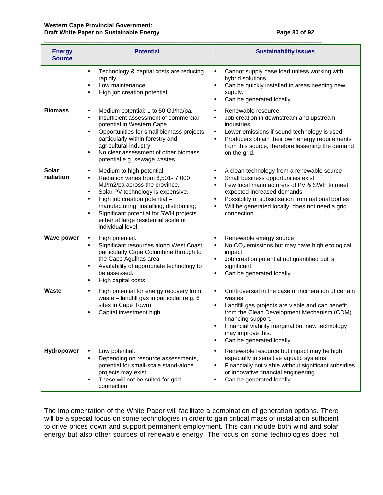| <b>Energy</b><br><b>Source</b> | <b>Potential</b>                                                                                                                                                                                                                                                                                                                                                                          | <b>Sustainability issues</b>                                                                                                                                                                                                                                                                                                                         |  |  |  |
|--------------------------------|-------------------------------------------------------------------------------------------------------------------------------------------------------------------------------------------------------------------------------------------------------------------------------------------------------------------------------------------------------------------------------------------|------------------------------------------------------------------------------------------------------------------------------------------------------------------------------------------------------------------------------------------------------------------------------------------------------------------------------------------------------|--|--|--|
|                                | Technology & capital costs are reducing<br>$\bullet$<br>rapidly.<br>Low maintenance.<br>$\bullet$<br>High job creation potential<br>$\bullet$                                                                                                                                                                                                                                             | Cannot supply base load unless working with<br>$\bullet$<br>hybrid solutions.<br>Can be quickly installed in areas needing new<br>$\bullet$<br>supply.<br>Can be generated locally<br>$\bullet$                                                                                                                                                      |  |  |  |
| <b>Biomass</b>                 | Medium potential: 1 to 50 GJ/ha/pa.<br>$\bullet$<br>Insufficient assessment of commercial<br>$\bullet$<br>potential in Western Cape.<br>Opportunities for small biomass projects<br>$\bullet$<br>particularly within forestry and<br>agricultural industry.<br>No clear assessment of other biomass<br>$\bullet$<br>potential e.g. sewage wastes.                                         | Renewable resource.<br>$\bullet$<br>Job creation in downstream and upstream<br>$\bullet$<br>industries.<br>Lower emissions if sound technology is used.<br>$\bullet$<br>Producers obtain their own energy requirements<br>$\bullet$<br>from this source, therefore lessening the demand<br>on the grid.                                              |  |  |  |
| <b>Solar</b><br>radiation      | Medium to high potential.<br>$\bullet$<br>Radiation varies from 6,501-7 000<br>$\bullet$<br>MJ/m2/pa across the province.<br>Solar PV technology is expensive.<br>$\bullet$<br>High job creation potential -<br>$\bullet$<br>manufacturing, installing, distributing;<br>Significant potential for SWH projects<br>$\bullet$<br>either at large residential scale or<br>individual level. | A clean technology from a renewable source<br>$\bullet$<br>Small business opportunities exist<br>$\bullet$<br>Few local manufacturers of PV & SWH to meet<br>$\bullet$<br>expected increased demands<br>Possibility of subsidisation from national bodies<br>$\bullet$<br>Will be generated locally; does not need a grid<br>$\bullet$<br>connection |  |  |  |
| <b>Wave power</b>              | High potential.<br>$\bullet$<br>Significant resources along West Coast<br>$\bullet$<br>particularly Cape Columbine through to<br>the Cape Agulhas area.<br>Availability of appropriate technology to<br>$\bullet$<br>be assessed.<br>High capital costs.<br>$\bullet$                                                                                                                     | Renewable energy source<br>$\bullet$<br>No CO <sub>2</sub> emissions but may have high ecological<br>$\bullet$<br>impact.<br>Job creation potential not quantified but is<br>$\bullet$<br>significant.<br>Can be generated locally<br>$\bullet$                                                                                                      |  |  |  |
| <b>Waste</b>                   | High potential for energy recovery from<br>$\bullet$<br>waste - landfill gas in particular (e.g. 6<br>sites in Cape Town).<br>Capital investment high.<br>$\bullet$                                                                                                                                                                                                                       | Controversial in the case of incineration of certain<br>$\bullet$<br>wastes.<br>Landfill gas projects are viable and can benefit<br>$\bullet$<br>from the Clean Development Mechanism (CDM)<br>financing support.<br>Financial viability marginal but new technology<br>٠<br>may improve this.<br>Can be generated locally<br>$\bullet$              |  |  |  |
| Hydropower                     | Low potential.<br>$\bullet$<br>Depending on resource assessments,<br>$\bullet$<br>potential for small-scale stand-alone<br>projects may exist.<br>These will not be suited for grid<br>$\bullet$<br>connection.                                                                                                                                                                           | Renewable resource but impact may be high<br>$\bullet$<br>especially in sensitive aquatic systems.<br>Financially not viable without significant subsidies<br>$\bullet$<br>or innovative financial engineering.<br>Can be generated locally<br>$\bullet$                                                                                             |  |  |  |

\_\_\_\_\_\_\_\_\_\_\_\_\_\_\_\_\_\_\_\_\_\_\_\_\_\_\_\_\_\_\_\_\_\_\_\_\_\_\_\_\_\_\_\_\_\_\_\_\_\_\_\_\_\_\_\_\_\_\_\_\_\_\_\_\_\_\_\_\_\_\_\_\_\_\_\_

The implementation of the White Paper will facilitate a combination of generation options. There will be a special focus on some technologies in order to gain critical mass of installation sufficient to drive prices down and support permanent employment. This can include both wind and solar energy but also other sources of renewable energy. The focus on some technologies does not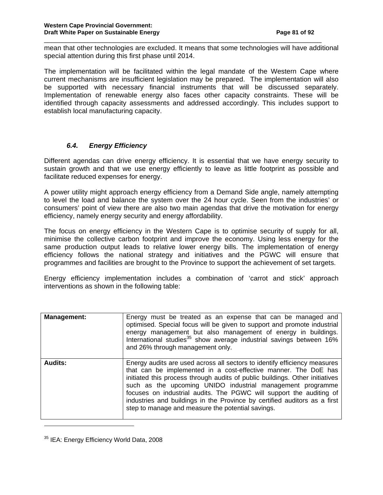mean that other technologies are excluded. It means that some technologies will have additional special attention during this first phase until 2014.

\_\_\_\_\_\_\_\_\_\_\_\_\_\_\_\_\_\_\_\_\_\_\_\_\_\_\_\_\_\_\_\_\_\_\_\_\_\_\_\_\_\_\_\_\_\_\_\_\_\_\_\_\_\_\_\_\_\_\_\_\_\_\_\_\_\_\_\_\_\_\_\_\_\_\_\_

The implementation will be facilitated within the legal mandate of the Western Cape where current mechanisms are insufficient legislation may be prepared. The implementation will also be supported with necessary financial instruments that will be discussed separately. Implementation of renewable energy also faces other capacity constraints. These will be identified through capacity assessments and addressed accordingly. This includes support to establish local manufacturing capacity.

#### **6.4. Energy Efficiency**

Different agendas can drive energy efficiency. It is essential that we have energy security to sustain growth and that we use energy efficiently to leave as little footprint as possible and facilitate reduced expenses for energy.

A power utility might approach energy efficiency from a Demand Side angle, namely attempting to level the load and balance the system over the 24 hour cycle. Seen from the industries' or consumers' point of view there are also two main agendas that drive the motivation for energy efficiency, namely energy security and energy affordability.

The focus on energy efficiency in the Western Cape is to optimise security of supply for all, minimise the collective carbon footprint and improve the economy. Using less energy for the same production output leads to relative lower energy bills. The implementation of energy efficiency follows the national strategy and initiatives and the PGWC will ensure that programmes and facilities are brought to the Province to support the achievement of set targets.

Energy efficiency implementation includes a combination of 'carrot and stick' approach interventions as shown in the following table:

| <b>Management:</b> | Energy must be treated as an expense that can be managed and<br>optimised. Special focus will be given to support and promote industrial<br>energy management but also management of energy in buildings.<br>International studies <sup>35</sup> show average industrial savings between 16%<br>and 26% through management only.                                                                                                                                                                    |
|--------------------|-----------------------------------------------------------------------------------------------------------------------------------------------------------------------------------------------------------------------------------------------------------------------------------------------------------------------------------------------------------------------------------------------------------------------------------------------------------------------------------------------------|
| <b>Audits:</b>     | Energy audits are used across all sectors to identify efficiency measures<br>that can be implemented in a cost-effective manner. The DoE has<br>initiated this process through audits of public buildings. Other initiatives<br>such as the upcoming UNIDO industrial management programme<br>focuses on industrial audits. The PGWC will support the auditing of<br>industries and buildings in the Province by certified auditors as a first<br>step to manage and measure the potential savings. |

<sup>&</sup>lt;sup>35</sup> IEA: Energy Efficiency World Data, 2008

 $\overline{a}$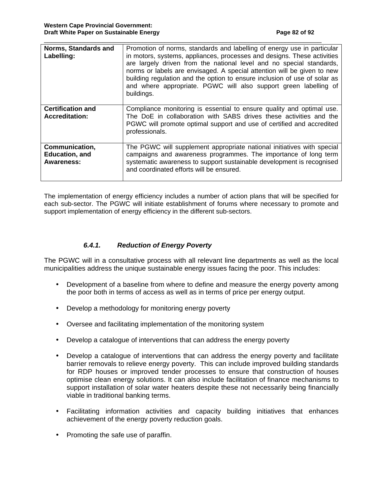| Norms, Standards and<br>Labelling:                    | Promotion of norms, standards and labelling of energy use in particular<br>in motors, systems, appliances, processes and designs. These activities<br>are largely driven from the national level and no special standards,<br>norms or labels are envisaged. A special attention will be given to new<br>building regulation and the option to ensure inclusion of use of solar as<br>and where appropriate. PGWC will also support green labelling of<br>buildings. |
|-------------------------------------------------------|----------------------------------------------------------------------------------------------------------------------------------------------------------------------------------------------------------------------------------------------------------------------------------------------------------------------------------------------------------------------------------------------------------------------------------------------------------------------|
| <b>Certification and</b><br><b>Accreditation:</b>     | Compliance monitoring is essential to ensure quality and optimal use.<br>The DoE in collaboration with SABS drives these activities and the<br>PGWC will promote optimal support and use of certified and accredited<br>professionals.                                                                                                                                                                                                                               |
| Communication,<br><b>Education, and</b><br>Awareness: | The PGWC will supplement appropriate national initiatives with special<br>campaigns and awareness programmes. The importance of long term<br>systematic awareness to support sustainable development is recognised<br>and coordinated efforts will be ensured.                                                                                                                                                                                                       |

\_\_\_\_\_\_\_\_\_\_\_\_\_\_\_\_\_\_\_\_\_\_\_\_\_\_\_\_\_\_\_\_\_\_\_\_\_\_\_\_\_\_\_\_\_\_\_\_\_\_\_\_\_\_\_\_\_\_\_\_\_\_\_\_\_\_\_\_\_\_\_\_\_\_\_\_

The implementation of energy efficiency includes a number of action plans that will be specified for each sub-sector. The PGWC will initiate establishment of forums where necessary to promote and support implementation of energy efficiency in the different sub-sectors.

### **6.4.1. Reduction of Energy Poverty**

The PGWC will in a consultative process with all relevant line departments as well as the local municipalities address the unique sustainable energy issues facing the poor. This includes:

- Development of a baseline from where to define and measure the energy poverty among the poor both in terms of access as well as in terms of price per energy output.
- Develop a methodology for monitoring energy poverty
- Oversee and facilitating implementation of the monitoring system
- Develop a catalogue of interventions that can address the energy poverty
- Develop a catalogue of interventions that can address the energy poverty and facilitate barrier removals to relieve energy poverty. This can include improved building standards for RDP houses or improved tender processes to ensure that construction of houses optimise clean energy solutions. It can also include facilitation of finance mechanisms to support installation of solar water heaters despite these not necessarily being financially viable in traditional banking terms.
- Facilitating information activities and capacity building initiatives that enhances achievement of the energy poverty reduction goals.
- Promoting the safe use of paraffin.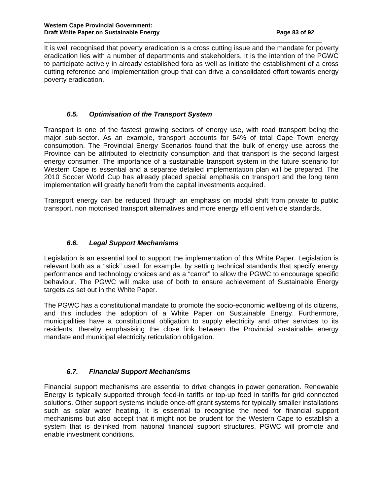It is well recognised that poverty eradication is a cross cutting issue and the mandate for poverty eradication lies with a number of departments and stakeholders. It is the intention of the PGWC to participate actively in already established fora as well as initiate the establishment of a cross cutting reference and implementation group that can drive a consolidated effort towards energy poverty eradication.

\_\_\_\_\_\_\_\_\_\_\_\_\_\_\_\_\_\_\_\_\_\_\_\_\_\_\_\_\_\_\_\_\_\_\_\_\_\_\_\_\_\_\_\_\_\_\_\_\_\_\_\_\_\_\_\_\_\_\_\_\_\_\_\_\_\_\_\_\_\_\_\_\_\_\_\_

#### **6.5. Optimisation of the Transport System**

Transport is one of the fastest growing sectors of energy use, with road transport being the major sub-sector. As an example, transport accounts for 54% of total Cape Town energy consumption. The Provincial Energy Scenarios found that the bulk of energy use across the Province can be attributed to electricity consumption and that transport is the second largest energy consumer. The importance of a sustainable transport system in the future scenario for Western Cape is essential and a separate detailed implementation plan will be prepared. The 2010 Soccer World Cup has already placed special emphasis on transport and the long term implementation will greatly benefit from the capital investments acquired.

Transport energy can be reduced through an emphasis on modal shift from private to public transport, non motorised transport alternatives and more energy efficient vehicle standards.

### **6.6. Legal Support Mechanisms**

Legislation is an essential tool to support the implementation of this White Paper. Legislation is relevant both as a "stick" used, for example, by setting technical standards that specify energy performance and technology choices and as a "carrot" to allow the PGWC to encourage specific behaviour. The PGWC will make use of both to ensure achievement of Sustainable Energy targets as set out in the White Paper.

The PGWC has a constitutional mandate to promote the socio-economic wellbeing of its citizens, and this includes the adoption of a White Paper on Sustainable Energy. Furthermore, municipalities have a constitutional obligation to supply electricity and other services to its residents, thereby emphasising the close link between the Provincial sustainable energy mandate and municipal electricity reticulation obligation.

## **6.7. Financial Support Mechanisms**

Financial support mechanisms are essential to drive changes in power generation. Renewable Energy is typically supported through feed-in tariffs or top-up feed in tariffs for grid connected solutions. Other support systems include once-off grant systems for typically smaller installations such as solar water heating. It is essential to recognise the need for financial support mechanisms but also accept that it might not be prudent for the Western Cape to establish a system that is delinked from national financial support structures. PGWC will promote and enable investment conditions.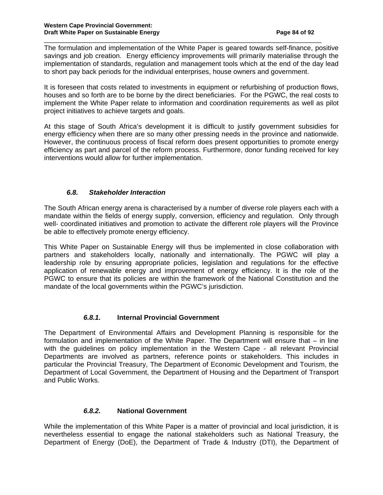The formulation and implementation of the White Paper is geared towards self-finance, positive savings and job creation. Energy efficiency improvements will primarily materialise through the implementation of standards, regulation and management tools which at the end of the day lead to short pay back periods for the individual enterprises, house owners and government.

\_\_\_\_\_\_\_\_\_\_\_\_\_\_\_\_\_\_\_\_\_\_\_\_\_\_\_\_\_\_\_\_\_\_\_\_\_\_\_\_\_\_\_\_\_\_\_\_\_\_\_\_\_\_\_\_\_\_\_\_\_\_\_\_\_\_\_\_\_\_\_\_\_\_\_\_

It is foreseen that costs related to investments in equipment or refurbishing of production flows, houses and so forth are to be borne by the direct beneficiaries. For the PGWC, the real costs to implement the White Paper relate to information and coordination requirements as well as pilot project initiatives to achieve targets and goals.

At this stage of South Africa's development it is difficult to justify government subsidies for energy efficiency when there are so many other pressing needs in the province and nationwide. However, the continuous process of fiscal reform does present opportunities to promote energy efficiency as part and parcel of the reform process. Furthermore, donor funding received for key interventions would allow for further implementation.

### **6.8. Stakeholder Interaction**

The South African energy arena is characterised by a number of diverse role players each with a mandate within the fields of energy supply, conversion, efficiency and regulation. Only through well- coordinated initiatives and promotion to activate the different role players will the Province be able to effectively promote energy efficiency.

This White Paper on Sustainable Energy will thus be implemented in close collaboration with partners and stakeholders locally, nationally and internationally. The PGWC will play a leadership role by ensuring appropriate policies, legislation and regulations for the effective application of renewable energy and improvement of energy efficiency. It is the role of the PGWC to ensure that its policies are within the framework of the National Constitution and the mandate of the local governments within the PGWC's jurisdiction.

#### **6.8.1. Internal Provincial Government**

The Department of Environmental Affairs and Development Planning is responsible for the formulation and implementation of the White Paper. The Department will ensure that – in line with the guidelines on policy implementation in the Western Cape - all relevant Provincial Departments are involved as partners, reference points or stakeholders. This includes in particular the Provincial Treasury, The Department of Economic Development and Tourism, the Department of Local Government, the Department of Housing and the Department of Transport and Public Works.

## **6.8.2. National Government**

While the implementation of this White Paper is a matter of provincial and local jurisdiction, it is nevertheless essential to engage the national stakeholders such as National Treasury, the Department of Energy (DoE), the Department of Trade & Industry (DTI), the Department of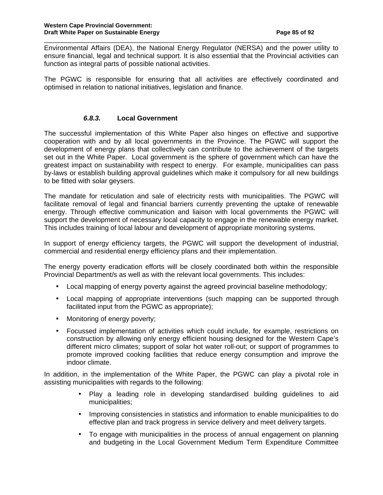Environmental Affairs (DEA), the National Energy Regulator (NERSA) and the power utility to ensure financial, legal and technical support. It is also essential that the Provincial activities can function as integral parts of possible national activities.

\_\_\_\_\_\_\_\_\_\_\_\_\_\_\_\_\_\_\_\_\_\_\_\_\_\_\_\_\_\_\_\_\_\_\_\_\_\_\_\_\_\_\_\_\_\_\_\_\_\_\_\_\_\_\_\_\_\_\_\_\_\_\_\_\_\_\_\_\_\_\_\_\_\_\_\_

The PGWC is responsible for ensuring that all activities are effectively coordinated and optimised in relation to national initiatives, legislation and finance.

#### **6.8.3. Local Government**

The successful implementation of this White Paper also hinges on effective and supportive cooperation with and by all local governments in the Province. The PGWC will support the development of energy plans that collectively can contribute to the achievement of the targets set out in the White Paper. Local government is the sphere of government which can have the greatest impact on sustainability with respect to energy. For example, municipalities can pass by-laws or establish building approval guidelines which make it compulsory for all new buildings to be fitted with solar geysers.

The mandate for reticulation and sale of electricity rests with municipalities. The PGWC will facilitate removal of legal and financial barriers currently preventing the uptake of renewable energy. Through effective communication and liaison with local governments the PGWC will support the development of necessary local capacity to engage in the renewable energy market. This includes training of local labour and development of appropriate monitoring systems.

In support of energy efficiency targets, the PGWC will support the development of industrial, commercial and residential energy efficiency plans and their implementation.

The energy poverty eradication efforts will be closely coordinated both within the responsible Provincial Department/s as well as with the relevant local governments. This includes:

- Local mapping of energy poverty against the agreed provincial baseline methodology;
- Local mapping of appropriate interventions (such mapping can be supported through facilitated input from the PGWC as appropriate);
- Monitoring of energy poverty;
- Focussed implementation of activities which could include, for example, restrictions on construction by allowing only energy efficient housing designed for the Western Cape's different micro climates; support of solar hot water roll-out; or support of programmes to promote improved cooking facilities that reduce energy consumption and improve the indoor climate.

In addition, in the implementation of the White Paper, the PGWC can play a pivotal role in assisting municipalities with regards to the following:

- Play a leading role in developing standardised building guidelines to aid municipalities;
- Improving consistencies in statistics and information to enable municipalities to do effective plan and track progress in service delivery and meet delivery targets.
- To engage with municipalities in the process of annual engagement on planning and budgeting in the Local Government Medium Term Expenditure Committee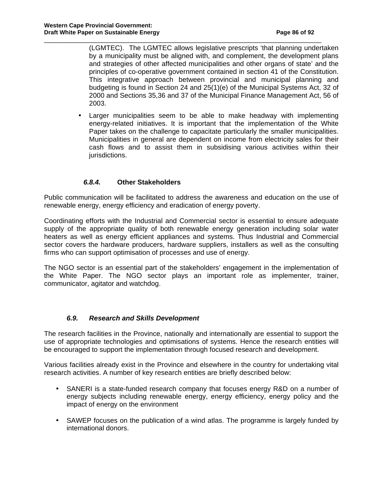(LGMTEC). The LGMTEC allows legislative prescripts 'that planning undertaken by a municipality must be aligned with, and complement, the development plans and strategies of other affected municipalities and other organs of state' and the principles of co-operative government contained in section 41 of the Constitution. This integrative approach between provincial and municipal planning and budgeting is found in Section 24 and 25(1)(e) of the Municipal Systems Act, 32 of 2000 and Sections 35,36 and 37 of the Municipal Finance Management Act, 56 of 2003.

\_\_\_\_\_\_\_\_\_\_\_\_\_\_\_\_\_\_\_\_\_\_\_\_\_\_\_\_\_\_\_\_\_\_\_\_\_\_\_\_\_\_\_\_\_\_\_\_\_\_\_\_\_\_\_\_\_\_\_\_\_\_\_\_\_\_\_\_\_\_\_\_\_\_\_\_

• Larger municipalities seem to be able to make headway with implementing energy-related initiatives. It is important that the implementation of the White Paper takes on the challenge to capacitate particularly the smaller municipalities. Municipalities in general are dependent on income from electricity sales for their cash flows and to assist them in subsidising various activities within their jurisdictions.

### **6.8.4. Other Stakeholders**

Public communication will be facilitated to address the awareness and education on the use of renewable energy, energy efficiency and eradication of energy poverty.

Coordinating efforts with the Industrial and Commercial sector is essential to ensure adequate supply of the appropriate quality of both renewable energy generation including solar water heaters as well as energy efficient appliances and systems. Thus Industrial and Commercial sector covers the hardware producers, hardware suppliers, installers as well as the consulting firms who can support optimisation of processes and use of energy.

The NGO sector is an essential part of the stakeholders' engagement in the implementation of the White Paper. The NGO sector plays an important role as implementer, trainer, communicator, agitator and watchdog.

#### **6.9. Research and Skills Development**

The research facilities in the Province, nationally and internationally are essential to support the use of appropriate technologies and optimisations of systems. Hence the research entities will be encouraged to support the implementation through focused research and development.

Various facilities already exist in the Province and elsewhere in the country for undertaking vital research activities. A number of key research entities are briefly described below:

- SANERI is a state-funded research company that focuses energy R&D on a number of energy subjects including renewable energy, energy efficiency, energy policy and the impact of energy on the environment
- SAWEP focuses on the publication of a wind atlas. The programme is largely funded by international donors.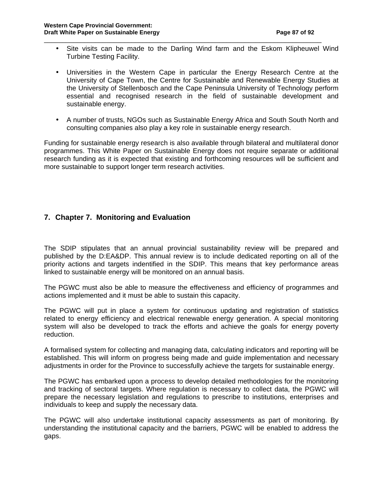• Site visits can be made to the Darling Wind farm and the Eskom Klipheuwel Wind Turbine Testing Facility.

\_\_\_\_\_\_\_\_\_\_\_\_\_\_\_\_\_\_\_\_\_\_\_\_\_\_\_\_\_\_\_\_\_\_\_\_\_\_\_\_\_\_\_\_\_\_\_\_\_\_\_\_\_\_\_\_\_\_\_\_\_\_\_\_\_\_\_\_\_\_\_\_\_\_\_\_

- Universities in the Western Cape in particular the Energy Research Centre at the University of Cape Town, the Centre for Sustainable and Renewable Energy Studies at the University of Stellenbosch and the Cape Peninsula University of Technology perform essential and recognised research in the field of sustainable development and sustainable energy.
- A number of trusts, NGOs such as Sustainable Energy Africa and South South North and consulting companies also play a key role in sustainable energy research.

Funding for sustainable energy research is also available through bilateral and multilateral donor programmes. This White Paper on Sustainable Energy does not require separate or additional research funding as it is expected that existing and forthcoming resources will be sufficient and more sustainable to support longer term research activities.

## **7. Chapter 7. Monitoring and Evaluation**

The SDIP stipulates that an annual provincial sustainability review will be prepared and published by the D:EA&DP. This annual review is to include dedicated reporting on all of the priority actions and targets indentified in the SDIP. This means that key performance areas linked to sustainable energy will be monitored on an annual basis.

The PGWC must also be able to measure the effectiveness and efficiency of programmes and actions implemented and it must be able to sustain this capacity.

The PGWC will put in place a system for continuous updating and registration of statistics related to energy efficiency and electrical renewable energy generation. A special monitoring system will also be developed to track the efforts and achieve the goals for energy poverty reduction.

A formalised system for collecting and managing data, calculating indicators and reporting will be established. This will inform on progress being made and guide implementation and necessary adjustments in order for the Province to successfully achieve the targets for sustainable energy.

The PGWC has embarked upon a process to develop detailed methodologies for the monitoring and tracking of sectoral targets. Where regulation is necessary to collect data, the PGWC will prepare the necessary legislation and regulations to prescribe to institutions, enterprises and individuals to keep and supply the necessary data.

The PGWC will also undertake institutional capacity assessments as part of monitoring. By understanding the institutional capacity and the barriers, PGWC will be enabled to address the gaps.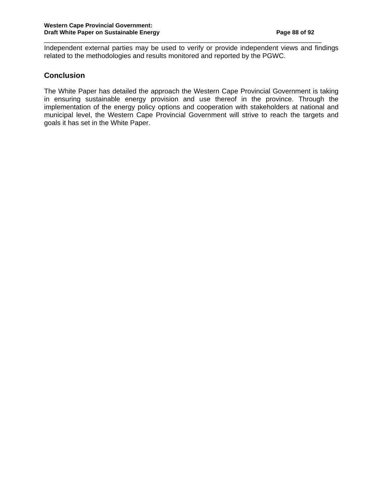Independent external parties may be used to verify or provide independent views and findings related to the methodologies and results monitored and reported by the PGWC.

\_\_\_\_\_\_\_\_\_\_\_\_\_\_\_\_\_\_\_\_\_\_\_\_\_\_\_\_\_\_\_\_\_\_\_\_\_\_\_\_\_\_\_\_\_\_\_\_\_\_\_\_\_\_\_\_\_\_\_\_\_\_\_\_\_\_\_\_\_\_\_\_\_\_\_\_

## **Conclusion**

The White Paper has detailed the approach the Western Cape Provincial Government is taking in ensuring sustainable energy provision and use thereof in the province. Through the implementation of the energy policy options and cooperation with stakeholders at national and municipal level, the Western Cape Provincial Government will strive to reach the targets and goals it has set in the White Paper.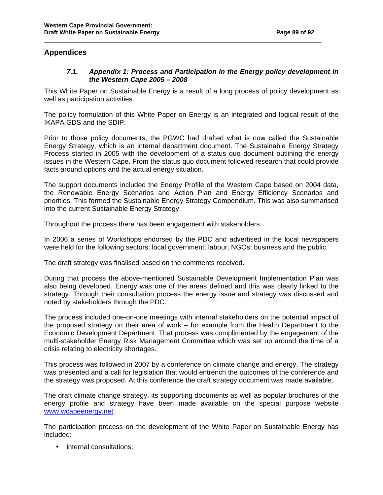#### **Appendices**

#### **7.1. Appendix 1: Process and Participation in the Energy policy development in the Western Cape 2005 – 2008**

This White Paper on Sustainable Energy is a result of a long process of policy development as well as participation activities.

\_\_\_\_\_\_\_\_\_\_\_\_\_\_\_\_\_\_\_\_\_\_\_\_\_\_\_\_\_\_\_\_\_\_\_\_\_\_\_\_\_\_\_\_\_\_\_\_\_\_\_\_\_\_\_\_\_\_\_\_\_\_\_\_\_\_\_\_\_\_\_\_\_\_\_\_

The policy formulation of this White Paper on Energy is an integrated and logical result of the IKAPA GDS and the SDIP.

Prior to those policy documents, the PGWC had drafted what is now called the Sustainable Energy Strategy, which is an internal department document. The Sustainable Energy Strategy Process started in 2005 with the development of a status quo document outlining the energy issues in the Western Cape. From the status quo document followed research that could provide facts around options and the actual energy situation.

The support documents included the Energy Profile of the Western Cape based on 2004 data, the Renewable Energy Scenarios and Action Plan and Energy Efficiency Scenarios and priorities. This formed the Sustainable Energy Strategy Compendium. This was also summarised into the current Sustainable Energy Strategy.

Throughout the process there has been engagement with stakeholders.

In 2006 a series of Workshops endorsed by the PDC and advertised in the local newspapers were held for the following sectors: local government; labour; NGOs; business and the public.

The draft strategy was finalised based on the comments received.

During that process the above-mentioned Sustainable Development Implementation Plan was also being developed. Energy was one of the areas defined and this was clearly linked to the strategy. Through their consultation process the energy issue and strategy was discussed and noted by stakeholders through the PDC.

The process included one-on-one meetings with internal stakeholders on the potential impact of the proposed strategy on their area of work – for example from the Health Department to the Economic Development Department. That process was complimented by the engagement of the multi-stakeholder Energy Risk Management Committee which was set up around the time of a crisis relating to electricity shortages.

This process was followed in 2007 by a conference on climate change and energy. The strategy was presented and a call for legislation that would entrench the outcomes of the conference and the strategy was proposed. At this conference the draft strategy document was made available.

The draft climate change strategy, its supporting documents as well as popular brochures of the energy profile and strategy have been made available on the special purpose website www.wcapeenergy.net.

The participation process on the development of the White Paper on Sustainable Energy has included:

• internal consultations;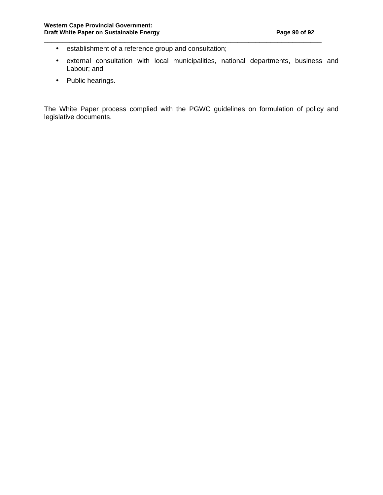- establishment of a reference group and consultation;
- external consultation with local municipalities, national departments, business and Labour; and

\_\_\_\_\_\_\_\_\_\_\_\_\_\_\_\_\_\_\_\_\_\_\_\_\_\_\_\_\_\_\_\_\_\_\_\_\_\_\_\_\_\_\_\_\_\_\_\_\_\_\_\_\_\_\_\_\_\_\_\_\_\_\_\_\_\_\_\_\_\_\_\_\_\_\_\_

• Public hearings.

The White Paper process complied with the PGWC guidelines on formulation of policy and legislative documents.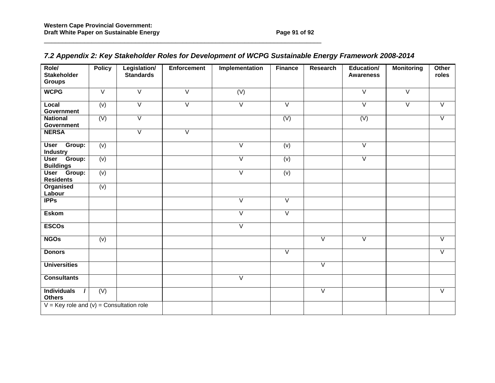| Role/<br><b>Stakeholder</b><br><b>Groups</b> | <b>Policy</b>    | Legislation/<br><b>Standards</b> | <b>Enforcement</b>      | Implementation          | <b>Finance</b>    | <b>Research</b>   | <b>Education/</b><br><b>Awareness</b> | <b>Monitoring</b> | Other<br>roles    |
|----------------------------------------------|------------------|----------------------------------|-------------------------|-------------------------|-------------------|-------------------|---------------------------------------|-------------------|-------------------|
| <b>WCPG</b>                                  | $\overline{V}$   | $\overline{V}$                   | $\overline{V}$          | $\overline{(V)}$        |                   |                   | $\overline{\vee}$                     | $\overline{\vee}$ |                   |
| Local<br><b>Government</b>                   | $\overline{(v)}$ | $\overline{V}$                   | $\overline{\mathsf{v}}$ | $\overline{\mathsf{v}}$ | $\overline{V}$    |                   | $\overline{V}$                        | $\overline{V}$    | $\overline{V}$    |
| <b>National</b><br><b>Government</b>         | $\overline{(V)}$ | $\overline{\vee}$                |                         |                         | (V)               |                   | (V)                                   |                   | $\overline{\vee}$ |
| <b>NERSA</b>                                 |                  | $\overline{\vee}$                | $\overline{\mathsf{v}}$ |                         |                   |                   |                                       |                   |                   |
| Group:<br><b>User</b><br><b>Industry</b>     | (v)              |                                  |                         | $\overline{\vee}$       | (v)               |                   | $\overline{\vee}$                     |                   |                   |
| User Group:<br><b>Buildings</b>              | $\overline{(v)}$ |                                  |                         | $\overline{\vee}$       | (v)               |                   | $\overline{\vee}$                     |                   |                   |
| User Group:<br><b>Residents</b>              | (v)              |                                  |                         | $\overline{\vee}$       | (v)               |                   |                                       |                   |                   |
| Organised<br>Labour                          | (v)              |                                  |                         |                         |                   |                   |                                       |                   |                   |
| <b>IPPs</b>                                  |                  |                                  |                         | $\overline{\vee}$       | $\overline{\vee}$ |                   |                                       |                   |                   |
| <b>Eskom</b>                                 |                  |                                  |                         | $\overline{\vee}$       | $\overline{\vee}$ |                   |                                       |                   |                   |
| <b>ESCOs</b>                                 |                  |                                  |                         | $\overline{\vee}$       |                   |                   |                                       |                   |                   |
| <b>NGOs</b>                                  | (v)              |                                  |                         |                         |                   | $\overline{\vee}$ | $\overline{\vee}$                     |                   | $\overline{\vee}$ |
| <b>Donors</b>                                |                  |                                  |                         |                         | $\overline{\vee}$ |                   |                                       |                   | $\overline{\vee}$ |
| <b>Universities</b>                          |                  |                                  |                         |                         |                   | $\overline{\vee}$ |                                       |                   |                   |
| <b>Consultants</b>                           |                  |                                  |                         | $\overline{\mathsf{v}}$ |                   |                   |                                       |                   |                   |
| <b>Individuals</b><br><b>Others</b>          | (V)              |                                  |                         |                         |                   | $\overline{\vee}$ |                                       |                   | $\overline{\vee}$ |
| $V = Key$ role and (v) = Consultation role   |                  |                                  |                         |                         |                   |                   |                                       |                   |                   |

# **7.2 Appendix 2: Key Stakeholder Roles for Development of WCPG Sustainable Energy Framework 2008-2014**